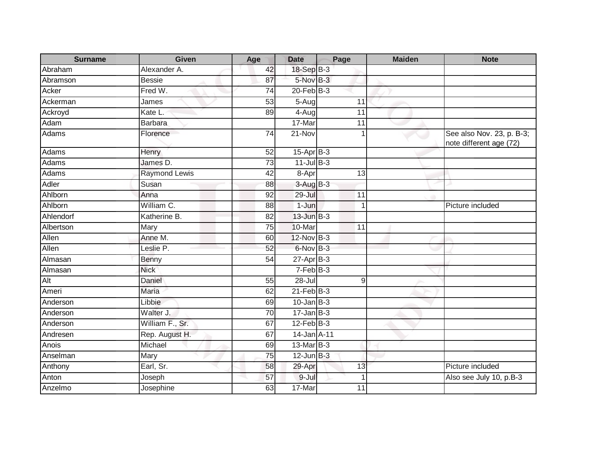| <b>Surname</b> | <b>Given</b>         | Age             | <b>Date</b>     | Page        | <b>Maiden</b> | <b>Note</b>                                          |
|----------------|----------------------|-----------------|-----------------|-------------|---------------|------------------------------------------------------|
| Abraham        | Alexander A.         | 42              | 18-Sep B-3      |             |               |                                                      |
| Abramson       | <b>Bessie</b>        | 87              | $5-Nov$ B-3     |             |               |                                                      |
| Acker          | Fred W.              | 74              | $20$ -Feb $B-3$ |             |               |                                                      |
| Ackerman       | James                | $\overline{53}$ | $5-Aug$         | 11          |               |                                                      |
| Ackroyd        | Kate L.              | 89              | $4-Aug$         | 11          |               |                                                      |
| Adam           | <b>Barbara</b>       |                 | 17-Mar          | 11          |               |                                                      |
| Adams          | Florence             | 74              | 21-Nov          | $\mathbf 1$ |               | See also Nov. 23, p. B-3;<br>note different age (72) |
| Adams          | Henry                | 52              | 15-Apr B-3      |             |               |                                                      |
| Adams          | James D.             | $\overline{73}$ | $11$ -Jul B-3   |             |               |                                                      |
| Adams          | <b>Raymond Lewis</b> | 42              | 8-Apr           | 13          |               |                                                      |
| Adler          | Susan                | 88              | $3-AugB-3$      |             |               |                                                      |
| Ahlborn        | Anna                 | 92              | $29 -$ Jul      | 11          |               |                                                      |
| Ahlborn        | William C.           | 88              | 1-Jun           | 1           |               | Picture included                                     |
| Ahlendorf      | Katherine B.         | $\overline{82}$ | 13-Jun B-3      |             |               |                                                      |
| Albertson      | Mary                 | $\overline{75}$ | 10-Mar          | 11          |               |                                                      |
| Allen          | Anne M.              | 60              | 12-Nov B-3      |             |               |                                                      |
| Allen          | Leslie P.            | 52              | 6-Nov B-3       |             |               |                                                      |
| Almasan        | Benny                | 54              | $27$ -Apr $B-3$ |             |               |                                                      |
| Almasan        | <b>Nick</b>          |                 | $7-FebB-3$      |             |               |                                                      |
| Alt            | Daniel               | 55              | 28-Jul          | $9\,$       |               |                                                      |
| Ameri          | <b>Maria</b>         | 62              | $21$ -Feb $B-3$ |             |               |                                                      |
| Anderson       | Libbie               | 69              | $10$ -Jan $B-3$ |             |               |                                                      |
| Anderson       | Walter J.            | 70              | $17 - Jan$ B-3  |             |               |                                                      |
| Anderson       | William F., Sr.      | 67              | $12$ -Feb $B-3$ |             |               |                                                      |
| Andresen       | Rep. August H.       | 67              | 14-Jan A-11     |             |               |                                                      |
| Anois          | Michael              | 69              | 13-Mar B-3      |             |               |                                                      |
| Anselman       | Mary                 | 75              | $12$ -Jun $B-3$ |             |               |                                                      |
| Anthony        | Earl, Sr.            | 58              | 29-Apr          | 13          |               | Picture included                                     |
| Anton          | Joseph               | 57              | 9-Jul           |             |               | Also see July 10, p.B-3                              |
| Anzelmo        | Josephine            | 63              | 17-Mar          | 11          |               |                                                      |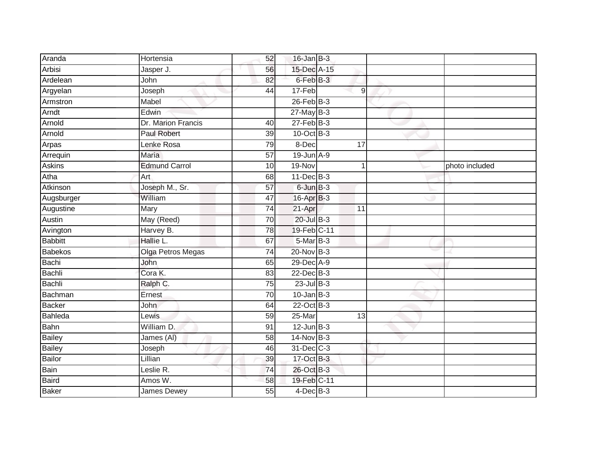| Aranda         | Hortensia            | 52              | $16$ -Jan B-3   |                 |                |
|----------------|----------------------|-----------------|-----------------|-----------------|----------------|
| Arbisi         | Jasper J.            | 56              | 15-Dec A-15     |                 |                |
| Ardelean       | John                 | 82              | 6-Feb B-3       |                 |                |
| Argyelan       | Joseph               | 44              | 17-Feb          | 9               |                |
| Armstron       | Mabel                |                 | $26$ -Feb $B-3$ |                 |                |
| Arndt          | Edwin                |                 | $27$ -May B-3   |                 |                |
| Arnold         | Dr. Marion Francis   | 40              | $27$ -Feb $B-3$ |                 |                |
| Arnold         | Paul Robert          | 39              | 10-Oct B-3      |                 |                |
| Arpas          | Lenke Rosa           | 79              | 8-Dec           | $\overline{17}$ |                |
| Arrequin       | <b>Maria</b>         | $\overline{57}$ | 19-Jun A-9      |                 |                |
| Askins         | <b>Edmund Carrol</b> | 10              | 19-Nov          |                 | photo included |
| Atha           | Art                  | 68              | 11-Dec B-3      |                 |                |
| Atkinson       | Joseph M., Sr.       | 57              | $6$ -Jun $B-3$  |                 |                |
| Augsburger     | William              | 47              | 16-Apr B-3      |                 |                |
| Augustine      | Mary                 | $\overline{74}$ | 21-Apr          | $\overline{11}$ |                |
| Austin         | May (Reed)           | 70              | $20$ -Jul $B-3$ |                 |                |
| Avington       | Harvey B.            | 78              | 19-Feb C-11     |                 |                |
| <b>Babbitt</b> | Hallie L.            | 67              | 5-Mar B-3       |                 |                |
| Babekos        | Olga Petros Megas    | 74              | 20-Nov B-3      |                 |                |
| Bachi          | John                 | 65              | 29-Dec A-9      |                 |                |
| Bachli         | Cora K.              | 83              | 22-Dec B-3      |                 |                |
| <b>Bachli</b>  | Ralph C.             | 75              | $23$ -Jul $B-3$ |                 |                |
| Bachman        | Ernest               | 70              | $10$ -Jan B-3   |                 |                |
| <b>Backer</b>  | <b>John</b>          | 64              | 22-Oct B-3      |                 |                |
| Bahleda        | <b>Lewis</b>         | 59              | 25-Mar          | 13              |                |
| Bahn           | William D.           | 91              | $12$ -Jun B-3   |                 |                |
| Bailey         | James (AI)           | 58              | 14-Nov B-3      |                 |                |
| <b>Bailey</b>  | Joseph               | 46              | 31-Dec C-3      |                 |                |
| Bailor         | Lillian              | 39              | 17-Oct B-3      |                 |                |
| Bain           | Leslie R.            | 74              | 26-Oct B-3      |                 |                |
| Baird          | Amos W.              | 58              | 19-Feb C-11     |                 |                |
| Baker          | <b>James Dewey</b>   | 55              | $4$ -Dec $B$ -3 |                 |                |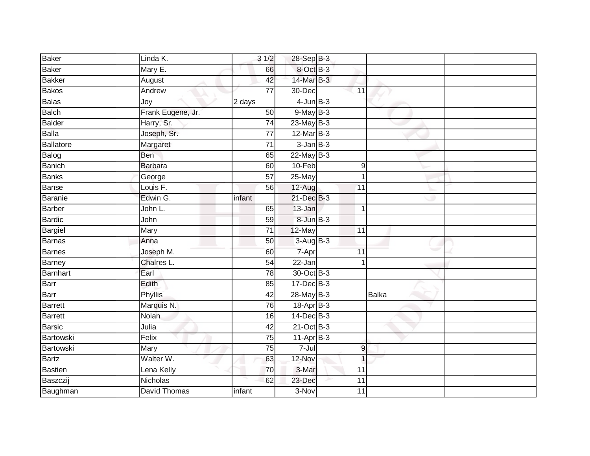| <b>Baker</b>     | Linda K.            | 31/2                | 28-Sep B-3       |                  |       |  |
|------------------|---------------------|---------------------|------------------|------------------|-------|--|
| <b>Baker</b>     | Mary E.             | 66                  | 8-Oct B-3        |                  |       |  |
| <b>Bakker</b>    | August              | 42                  | 14-Mar B-3       |                  |       |  |
| <b>Bakos</b>     | Andrew              | $\overline{77}$     | 30-Dec           | 11               |       |  |
| <b>Balas</b>     | Joy                 | $\overline{2}$ days | $4$ -Jun $B-3$   |                  |       |  |
| <b>Balch</b>     | Frank Eugene, Jr.   | 50                  | $9$ -May $B-3$   |                  |       |  |
| <b>Balder</b>    | Harry, Sr.          | $\overline{74}$     | $23$ -May B-3    |                  |       |  |
| <b>Balla</b>     | Joseph, Sr.         | 77                  | 12-Mar B-3       |                  |       |  |
| <b>Ballatore</b> | Margaret            | 71                  | $3$ -Jan $B-3$   |                  |       |  |
| Balog            | Ben                 | 65                  | 22-May B-3       |                  |       |  |
| Banich           | <b>Barbara</b>      | 60                  | 10-Feb           | $\boldsymbol{9}$ |       |  |
| <b>Banks</b>     | George              | $\overline{57}$     | 25-May           | 1                |       |  |
| Banse            | Louis F.            | 56                  | $12-Aug$         | 11               |       |  |
| Baranie          | Edwin G.            | infant              | 21-Dec B-3       |                  |       |  |
| <b>Barber</b>    | John L.             | 65                  | 13-Jan           | $\mathbf 1$      |       |  |
| <b>Bardic</b>    | John                | 59                  | $8$ -Jun $B$ -3  |                  |       |  |
| <b>Bargiel</b>   | Mary                | 71                  | 12-May           | 11               |       |  |
| <b>Barnas</b>    | Anna                | 50                  | $3-AugB-3$       |                  |       |  |
| <b>Barnes</b>    | Joseph M.           | 60                  | 7-Apr            | 11               |       |  |
| <b>Barney</b>    | Chalres L.          | 54                  | $22 - Jan$       | 1                |       |  |
| Barnhart         | Earl                | 78                  | 30-Oct B-3       |                  |       |  |
| Barr             | Edith               | 85                  | $17 - Dec$ $B-3$ |                  |       |  |
| Barr             | Phyllis             | 42                  | 28-May B-3       |                  | Balka |  |
| <b>Barrett</b>   | Marquis N.          | 76                  | 18-Apr B-3       |                  |       |  |
| <b>Barrett</b>   | Nolan               | 16                  | $14$ -Dec $B-3$  |                  |       |  |
| <b>Barsic</b>    | Julia               | 42                  | $21$ -Oct B-3    |                  |       |  |
| Bartowski        | Felix               | $\overline{75}$     | $11-AprB-3$      |                  |       |  |
| Bartowski        | Mary                | 75                  | $7 -$ Jul        | $\overline{9}$   |       |  |
| <b>Bartz</b>     | Walter W.           | 63                  | 12-Nov           | 1                |       |  |
| <b>Bastien</b>   | Lena Kelly          | 70                  | 3-Mar            | 11               |       |  |
| Baszczij         | Nicholas            | 62                  | 23-Dec           | 11               |       |  |
| Baughman         | <b>David Thomas</b> | infant              | 3-Nov            | 11               |       |  |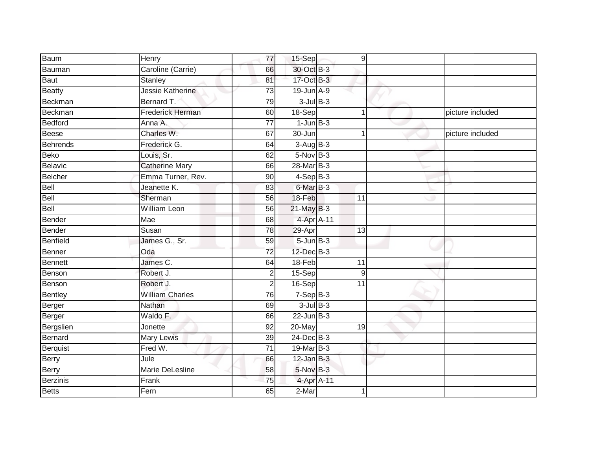| <b>Baum</b>  | Henry                      | 77              | $15-Sep$             | 9               |                  |
|--------------|----------------------------|-----------------|----------------------|-----------------|------------------|
| Bauman       | Caroline (Carrie)          | 66              | 30-Oct B-3           |                 |                  |
| Baut         | <b>Stanley</b>             | 81              | 17-Oct B-3           |                 |                  |
| Beatty       | Jessie Katherine           | 73              | 19-Jun A-9           |                 |                  |
| Beckman      | Bernard T.                 | 79              | $3$ -Jul $B-3$       |                 |                  |
| Beckman      | <b>Frederick Herman</b>    | 60              | $18-Sep$             | $\mathbf{1}$    | picture included |
| Bedford      | Anna A.                    | $\overline{77}$ | $1$ -Jun $B-3$       |                 |                  |
| Beese        | Charles W.                 | 67              | 30-Jun               | $\mathbf 1$     | picture included |
| Behrends     | Frederick G.               | 64              | $3-AugB-3$           |                 |                  |
| Beko         | Louis, Sr.                 | 62              | $5-Nov$ B-3          |                 |                  |
| Belavic      | <b>Catherine Mary</b>      | 66              | 28-Mar B-3           |                 |                  |
| Belcher      | Emma Turner, Rev.          | 90              | $4-SepB-3$           |                 |                  |
| Bell         | Jeanette K.                | 83              | 6-Mar <sub>B-3</sub> |                 |                  |
| Bell         | Sherman                    | 56              | 18-Feb               | 11              |                  |
| Bell         | <b>William Leon</b>        | 56              | 21-May B-3           |                 |                  |
| Bender       | Mae                        | 68              | 4-Apr A-11           |                 |                  |
| Bender       | Susan                      | $\overline{78}$ | 29-Apr               | 13              |                  |
| Benfield     | James G., Sr.              | 59              | $5 - Jun$ $B-3$      |                 |                  |
| Benner       | Oda                        | $\overline{72}$ | $12$ -Dec $B-3$      |                 |                  |
| Bennett      | James C.                   | 64              | $18-Feb$             | $\overline{11}$ |                  |
| Benson       | Robert J.                  | 2               | $15-Sep$             | 9               |                  |
| Benson       | Robert J.                  | 2               | 16-Sep               | 11              |                  |
| Bentley      | <b>William Charles</b>     | 76              | $7-Sep$ B-3          |                 |                  |
| Berger       | Nathan                     | 69              | $3$ -Jul $B-3$       |                 |                  |
| Berger       | Waldo F.                   | 66              | $22$ -Jun $B-3$      |                 |                  |
| Bergslien    | Jonette                    | 92              | 20-May               | 19              |                  |
| Bernard      | <b>Mary Lewis</b>          | $\overline{39}$ | 24-Dec B-3           |                 |                  |
| Berquist     | Fred W.                    | $\overline{71}$ | 19-Mar B-3           |                 |                  |
| Berry        | $\overline{\mathsf{Jule}}$ | 66              | $12$ -Jan B-3        |                 |                  |
| Berry        | <b>Marie DeLesline</b>     | 58              | $5-Nov$ B-3          |                 |                  |
| Berzinis     | Frank                      | $\overline{75}$ | 4-Apr A-11           |                 |                  |
| <b>Betts</b> | Fern                       | 65              | $2-Mar$              |                 |                  |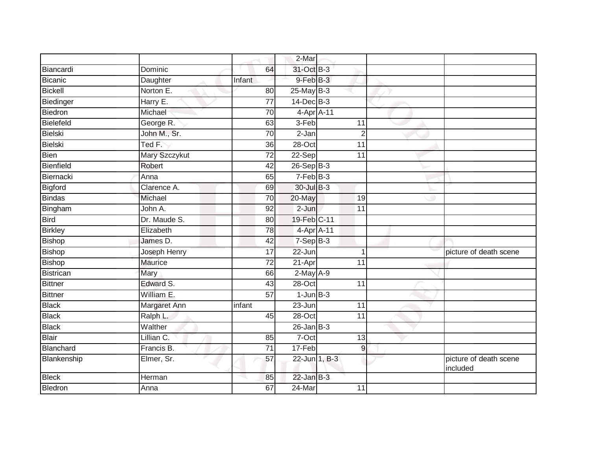|                |                |                 | 2-Mar            |                 |                                    |
|----------------|----------------|-----------------|------------------|-----------------|------------------------------------|
| Biancardi      | Dominic        | 64              | 31-Oct B-3       |                 |                                    |
| Bicanic        | Daughter       | Infant          | 9-Feb B-3        |                 |                                    |
| <b>Bickell</b> | Norton E.      | 80              | $25$ -May B-3    |                 |                                    |
| Biedinger      | Harry E.       | $\overline{77}$ | 14-Dec B-3       |                 |                                    |
| Biedron        | Michael        | 70              | 4-Apr A-11       |                 |                                    |
| Bielefeld      | George R.      | 63              | 3-Feb            | 11              |                                    |
| Bielski        | John M., Sr.   | 70              | $2-Jan$          | $\overline{2}$  |                                    |
| Bielski        | Ted F.         | 36              | $28 - Oct$       | 11              |                                    |
| <b>Bien</b>    | Mary Szczykut  | $\overline{72}$ | $22-Sep$         | $\overline{11}$ |                                    |
| Bienfield      | Robert         | 42              | $26 - Sep$ $B-3$ |                 |                                    |
| Biernacki      | Anna           | 65              | $7-Feb$ B-3      |                 |                                    |
| Bigford        | Clarence A.    | 69              | 30-Jul B-3       |                 |                                    |
| <b>Bindas</b>  | Michael        | 70              | 20-May           | 19              |                                    |
| Bingham        | John A.        | 92              | 2-Jun            | 11              |                                    |
| <b>Bird</b>    | Dr. Maude S.   | 80              | 19-Feb C-11      |                 |                                    |
| <b>Birkley</b> | Elizabeth      | 78              | 4-Apr A-11       |                 |                                    |
| Bishop         | James D.       | 42              | 7-Sep B-3        |                 |                                    |
| Bishop         | Joseph Henry   | 17              | 22-Jun           |                 | picture of death scene             |
| <b>Bishop</b>  | <b>Maurice</b> | $\overline{72}$ | $21-Apr$         | $\overline{11}$ |                                    |
| Bistrican      | Mary           | 66              | $2-May$ A-9      |                 |                                    |
| Bittner        | Edward S.      | 43              | 28-Oct           | $\overline{11}$ |                                    |
| <b>Bittner</b> | William E.     | 57              | $1-JunB-3$       |                 |                                    |
| <b>Black</b>   | Margaret Ann   | infant          | 23-Jun           | 11              |                                    |
| <b>Black</b>   | Ralph L.       | 45              | $28 - Oct$       | 11              |                                    |
| <b>Black</b>   | Walther        |                 | $26$ -Jan $B-3$  |                 |                                    |
| Blair          | Lillian C.     | 85              | $7-Oct$          | $\overline{13}$ |                                    |
| Blanchard      | Francis B.     | 71              | 17-Feb           | $\overline{9}$  |                                    |
| Blankenship    | Elmer, Sr.     | 57              | 22-Jun 1, B-3    |                 | picture of death scene<br>included |
| <b>Bleck</b>   | Herman         | 85              | $22$ -Jan $B-3$  |                 |                                    |
| Bledron        | Anna           | 67              | 24-Mar           | 11              |                                    |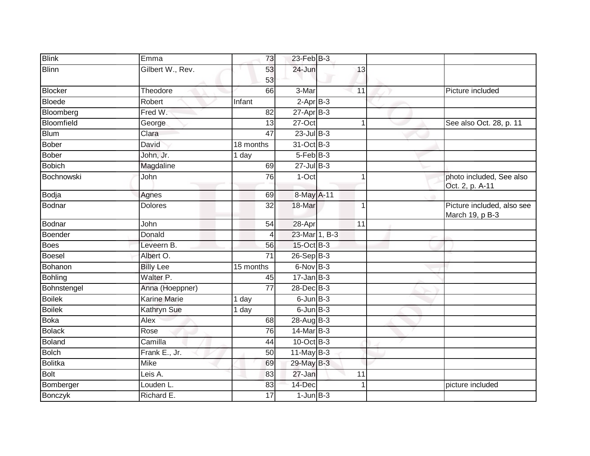| <b>Blink</b>   | Emma                | 73              | $23$ -Feb $B-3$  |                 |                                               |
|----------------|---------------------|-----------------|------------------|-----------------|-----------------------------------------------|
| <b>Blinn</b>   | Gilbert W., Rev.    | 53              | 24-Jun           | 13              |                                               |
|                |                     | 53              |                  |                 |                                               |
| <b>Blocker</b> | Theodore            | 66              | 3-Mar            | 11              | Picture included                              |
| <b>Bloede</b>  | Robert              | Infant          | $2-AprB-3$       |                 |                                               |
| Bloomberg      | Fred W.             | 82              | $27$ -Apr $B-3$  |                 |                                               |
| Bloomfield     | George              | 13              | $27-Oct$         | 1               | See also Oct. 28, p. 11                       |
| <b>Blum</b>    | Clara               | 47              | $23$ -Jul $B-3$  |                 |                                               |
| Bober          | David               | 18 months       | 31-Oct B-3       |                 |                                               |
| Bober          | John, Jr.           | 1 day           | $5-FebB-3$       |                 |                                               |
| <b>Bobich</b>  | Magdaline           | 69              | $27$ -Jul B-3    |                 |                                               |
| Bochnowski     | John                | 76              | 1-Oct            |                 | photo included, See also<br>Oct. 2, p. A-11   |
| Bodja          | Agnes               | 69              | 8-May A-11       |                 |                                               |
| Bodnar         | <b>Dolores</b>      | 32              | 18-Mar           | $\overline{1}$  | Picture included, also see<br>March 19, p B-3 |
| Bodnar         | John                | 54              | 28-Apr           | $\overline{11}$ |                                               |
| Boender        | Donald              |                 | 23-Mar 1, B-3    |                 |                                               |
| Boes           | Leveern B.          | 56              | 15-Oct B-3       |                 |                                               |
| Boesel         | Albert O.           | $\overline{71}$ | 26-Sep B-3       |                 |                                               |
| Bohanon        | <b>Billy Lee</b>    | 15 months       | 6-Nov B-3        |                 |                                               |
| Bohling        | Walter P.           | 45              | $17 - Jan$ $B-3$ |                 |                                               |
| Bohnstengel    | Anna (Hoeppner)     | $\overline{77}$ | 28-Dec B-3       |                 |                                               |
| <b>Boilek</b>  | <b>Karine Marie</b> | 1 day           | $6$ -Jun $B$ -3  |                 |                                               |
| <b>Boilek</b>  | <b>Kathryn Sue</b>  | 1 day           | $6$ -Jun $B$ -3  |                 |                                               |
| Boka           | Alex                | 68              | 28-Aug B-3       |                 |                                               |
| <b>Bolack</b>  | Rose                | 76              | 14-Mar B-3       |                 |                                               |
| <b>Boland</b>  | Camilla             | 44              | $10$ -Oct B-3    |                 |                                               |
| <b>Bolch</b>   | Frank E., Jr.       | $\overline{50}$ | $11$ -May $B-3$  |                 |                                               |
| Bolitka        | <b>Mike</b>         | 69              | 29-May B-3       |                 |                                               |
| Bolt           | Leis A.             | 83              | 27-Jan           | 11              |                                               |
| Bomberger      | Louden L.           | 83              | 14-Dec           |                 | picture included                              |
| Bonczyk        | Richard E.          | 17              | $1$ -Jun $B-3$   |                 |                                               |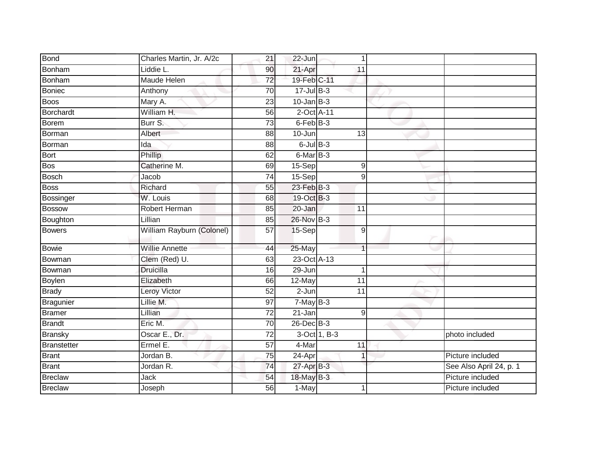| <b>Bond</b>    | Charles Martin, Jr. A/2c  | 21              | 22-Jun          | $\mathbf 1$    |                         |
|----------------|---------------------------|-----------------|-----------------|----------------|-------------------------|
| Bonham         | Liddie L.                 | 90              | 21-Apr          | 11             |                         |
| Bonham         | <b>Maude Helen</b>        | 72              | 19-Feb C-11     |                |                         |
| Boniec         | Anthony                   | 70              | $17 -$ Jul B-3  |                |                         |
| <b>Boos</b>    | Mary A.                   | $\overline{23}$ | $10$ -Jan B-3   |                |                         |
| Borchardt      | William H.                | 56              | 2-Oct A-11      |                |                         |
| Borem          | Burr S.                   | 73              | 6-Feb B-3       |                |                         |
| Borman         | Albert                    | 88              | 10-Jun          | 13             |                         |
| <b>Borman</b>  | Ida                       | 88              | $6$ -Jul $B$ -3 |                |                         |
| Bort           | Phillip                   | 62              | 6-Mar B-3       |                |                         |
| Bos            | Catherine M.              | 69              | 15-Sep          | 9              |                         |
| Bosch          | Jacob                     | 74              | 15-Sep          | 9              |                         |
| <b>Boss</b>    | Richard                   | 55              | $23$ -Feb $B-3$ |                |                         |
| Bossinger      | W. Louis                  | 68              | 19-Oct B-3      |                |                         |
| <b>Bossow</b>  | Robert Herman             | 85              | 20-Jan          | 11             |                         |
| Boughton       | Lillian                   | 85              | 26-Nov B-3      |                |                         |
| Bowers         | William Rayburn (Colonel) | $\overline{57}$ | 15-Sep          | $\overline{9}$ |                         |
| <b>Bowie</b>   | <b>Willie Annette</b>     | 44              | 25-May          | $\overline{1}$ |                         |
| Bowman         | Clem (Red) U.             | 63              | 23-Oct A-13     |                |                         |
| Bowman         | <b>Druicilla</b>          | 16              | 29-Jun          | $\mathbf 1$    |                         |
| <b>Boylen</b>  | Elizabeth                 | 66              | 12-May          | 11             |                         |
| <b>Brady</b>   | Leroy Victor              | 52              | 2-Jun           | 11             |                         |
| Bragunier      | Lillie M.                 | 97              | $7-MayB-3$      |                |                         |
| Bramer         | Lillian                   | 72              | $21 - Jan$      | 9              |                         |
| <b>Brandt</b>  | Eric M.                   | $\overline{70}$ | 26-Dec B-3      |                |                         |
| <b>Bransky</b> | Oscar E., Dr.             | 72              |                 | 3-Oct 1, B-3   | photo included          |
| Branstetter    | Ermel E.                  | $\overline{57}$ | 4-Mar           | 11             |                         |
| Brant          | Jordan B.                 | $\overline{75}$ | 24-Apr          | $\mathbf{1}$   | Picture included        |
| <b>Brant</b>   | Jordan R.                 | 74              | $27$ -Apr $B-3$ |                | See Also April 24, p. 1 |
| Breclaw        | Jack                      | 54              | 18-May B-3      |                | Picture included        |
| <b>Breclaw</b> | Joseph                    | 56              | 1-May           |                | Picture included        |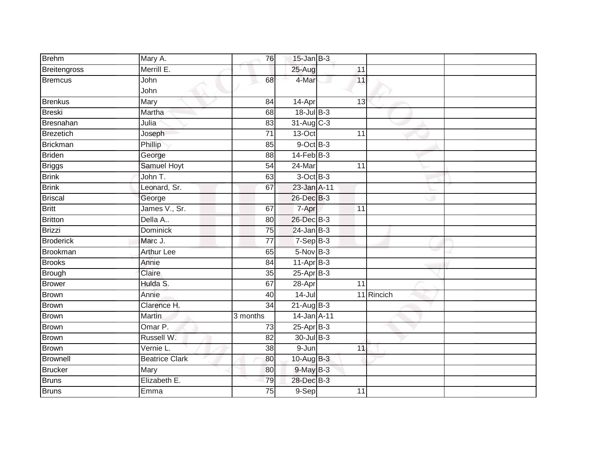| <b>Brehm</b>        | Mary A.               | 76              | $15$ -Jan B-3    |                 |            |  |
|---------------------|-----------------------|-----------------|------------------|-----------------|------------|--|
| <b>Breitengross</b> | Merrill E.            |                 | 25-Aug           | 11              |            |  |
| <b>Bremcus</b>      | John                  | 68              | 4-Mar            | 11              |            |  |
|                     | John                  |                 |                  |                 |            |  |
| <b>Brenkus</b>      | Mary                  | 84              | 14-Apr           | 13              |            |  |
| <b>Breski</b>       | Martha                | 68              | $18$ -Jul $B-3$  |                 |            |  |
| Bresnahan           | Julia                 | 83              | 31-Aug C-3       |                 |            |  |
| <b>Brezetich</b>    | Joseph                | 71              | 13-Oct           | 11              |            |  |
| <b>Brickman</b>     | Phillip               | 85              | $9$ -Oct $B$ -3  |                 |            |  |
| <b>Briden</b>       | George                | $\overline{88}$ | $14$ -Feb $B-3$  |                 |            |  |
| <b>Briggs</b>       | Samuel Hoyt           | 54              | 24-Mar           | 11              |            |  |
| <b>Brink</b>        | John T.               | 63              | $3$ -Oct $B-3$   |                 |            |  |
| <b>Brink</b>        | Leonard, Sr.          | 67              | 23-Jan A-11      |                 |            |  |
| <b>Briscal</b>      | George                |                 | 26-Dec B-3       |                 |            |  |
| <b>Britt</b>        | James V., Sr.         | 67              | 7-Apr            | $\overline{11}$ |            |  |
| <b>Britton</b>      | Della A               | 80              | 26-Dec B-3       |                 |            |  |
| <b>Brizzi</b>       | <b>Dominick</b>       | 75              | $24$ -Jan B-3    |                 |            |  |
| <b>Broderick</b>    | Marc J.               | 77              | $7-SepB-3$       |                 |            |  |
| <b>Brookman</b>     | <b>Arthur Lee</b>     | 65              | 5-Nov B-3        |                 |            |  |
| <b>Brooks</b>       | Annie                 | 84              | $11-Apr$ B-3     |                 |            |  |
| <b>Brough</b>       | Claire                | 35              | $25-Apr$ B-3     |                 |            |  |
| <b>Brower</b>       | Hulda S.              | 67              | $28 -$ Apr       | 11              |            |  |
| <b>Brown</b>        | Annie                 | $\overline{40}$ | $14 -$ Jul       |                 | 11 Rincich |  |
| <b>Brown</b>        | Clarence H.           | 34              | $21 - Aug$ $B-3$ |                 |            |  |
| <b>Brown</b>        | <b>Martin</b>         | 3 months        | 14-Jan A-11      |                 |            |  |
| <b>Brown</b>        | Omar P.               | 73              | $25$ -Apr $B-3$  |                 |            |  |
| <b>Brown</b>        | Russell W.            | 82              | 30-Jul B-3       |                 |            |  |
| <b>Brown</b>        | Vernie L.             | 38              | $9 - Jun$        | 11              |            |  |
| <b>Brownell</b>     | <b>Beatrice Clark</b> | 80              | 10-Aug B-3       |                 |            |  |
| <b>Brucker</b>      | Mary                  | 80              | 9-May B-3        |                 |            |  |
| <b>Bruns</b>        | Elizabeth E.          | 79              | 28-Dec B-3       |                 |            |  |
| <b>Bruns</b>        | Emma                  | $\overline{75}$ | 9-Sep            | 11              |            |  |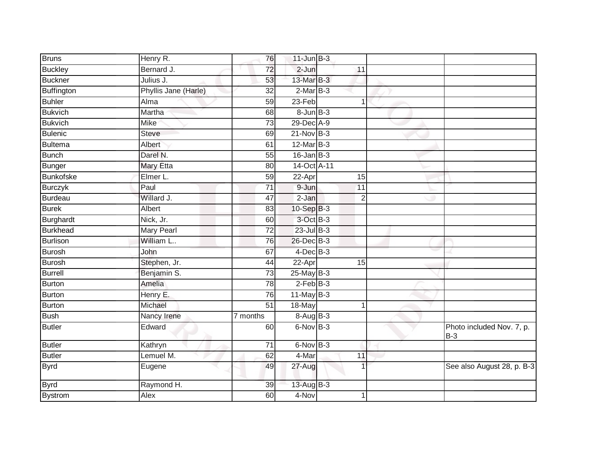| <b>Bruns</b>      | Henry R.             | 76              | $11$ -Jun $B-3$     |                 |                                    |
|-------------------|----------------------|-----------------|---------------------|-----------------|------------------------------------|
| <b>Buckley</b>    | Bernard J.           | 72              | $2 - Jun$           | 11              |                                    |
| <b>Buckner</b>    | Julius J.            | 53              | 13-Mar B-3          |                 |                                    |
| <b>Buffington</b> | Phyllis Jane (Harle) | 32              | $2-MarB-3$          |                 |                                    |
| <b>Buhler</b>     | Alma                 | 59              | $23-Feb$            | 1               |                                    |
| <b>Bukvich</b>    | Martha               | 68              | $8 - Jun$ $B - 3$   |                 |                                    |
| <b>Bukvich</b>    | <b>Mike</b>          | 73              | 29-Dec A-9          |                 |                                    |
| Bulenic           | <b>Steve</b>         | 69              | $21-Nov$ B-3        |                 |                                    |
| <b>Bultema</b>    | Albert               | 61              | 12-Mar B-3          |                 |                                    |
| <b>Bunch</b>      | Darel N.             | 55              | $16$ -Jan B-3       |                 |                                    |
| Bunger            | <b>Mary Etta</b>     | 80              | 14-Oct A-11         |                 |                                    |
| <b>Bunkofske</b>  | Elmer L.             | 59              | 22-Apr              | 15              |                                    |
| <b>Burczyk</b>    | Paul                 | $\overline{71}$ | $9 - Jun$           | 11              |                                    |
| Burdeau           | Willard J.           | 47              | $\overline{2}$ -Jan | $\overline{2}$  |                                    |
| <b>Burek</b>      | Albert               | 83              | $10-Sep$ B-3        |                 |                                    |
| Burghardt         | Nick, Jr.            | 60              | 3-Oct B-3           |                 |                                    |
| <b>Burkhead</b>   | <b>Mary Pearl</b>    | $\overline{72}$ | $23$ -Jul $B-3$     |                 |                                    |
| Burlison          | William L            | 76              | 26-Dec B-3          |                 |                                    |
| Burosh            | John                 | 67              | 4-Dec B-3           |                 |                                    |
| <b>Burosh</b>     | Stephen, Jr.         | 44              | $22-Apr$            | $\overline{15}$ |                                    |
| Burrell           | Benjamin S.          | 73              | $25$ -May B-3       |                 |                                    |
| <b>Burton</b>     | Amelia               | 78              | $2$ -Feb $B-3$      |                 |                                    |
| Burton            | Henry E.             | 76              | $11$ -May B-3       |                 |                                    |
| <b>Burton</b>     | Michael              | 51              | 18-May              | $\mathbf 1$     |                                    |
| <b>Bush</b>       | Nancy Irene          | 7 months        | $8-Aug$ B-3         |                 |                                    |
| Butler            | Edward               | 60              | 6-Nov B-3           |                 | Photo included Nov. 7, p.<br>$B-3$ |
| <b>Butler</b>     | Kathryn              | $\overline{71}$ | $6$ -Nov $B-3$      |                 |                                    |
| <b>Butler</b>     | Lemuel M.            | 62              | 4-Mar               | 11              |                                    |
| <b>Byrd</b>       | Eugene               | 49              | 27-Aug              |                 | See also August 28, p. B-3         |
| <b>Byrd</b>       | Raymond H.           | 39              | 13-Aug B-3          |                 |                                    |
| <b>Bystrom</b>    | Alex                 | 60              | 4-Nov               | 1               |                                    |
|                   |                      |                 |                     |                 |                                    |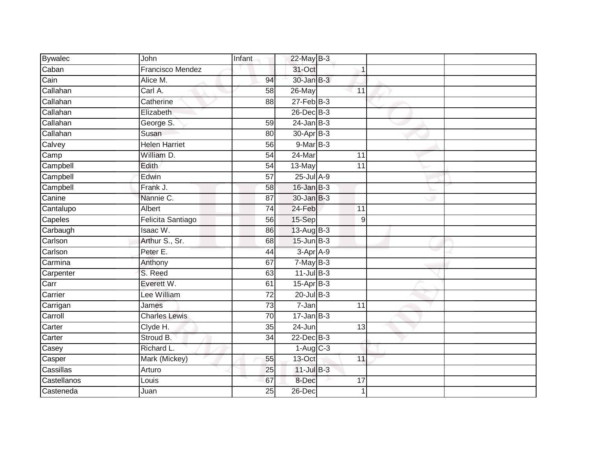| <b>Bywalec</b> | John                 | Infant          | 22-May B-3       |                 |  |
|----------------|----------------------|-----------------|------------------|-----------------|--|
| Caban          | Francisco Mendez     |                 | 31-Oct           |                 |  |
| Cain           | Alice M.             | 94              | 30-Jan B-3       |                 |  |
| Callahan       | Carl A.              | 58              | 26-May           | 11              |  |
| Callahan       | Catherine            | $\overline{88}$ | $27$ -Feb $B-3$  |                 |  |
| Callahan       | Elizabeth            |                 | 26-Dec B-3       |                 |  |
| Callahan       | George S.            | 59              | $24$ -Jan B-3    |                 |  |
| Callahan       | Susan                | 80              | 30-Apr B-3       |                 |  |
| Calvey         | <b>Helen Harriet</b> | 56              | $9-MarB-3$       |                 |  |
| Camp           | William D.           | 54              | 24-Mar           | 11              |  |
| Campbell       | Edith                | 54              | 13-May           | $\overline{11}$ |  |
| Campbell       | Edwin                | 57              | $25$ -Jul $A-9$  |                 |  |
| Campbell       | Frank J.             | 58              | $16$ -Jan B-3    |                 |  |
| Canine         | Nannie C.            | 87              | 30-Jan B-3       |                 |  |
| Cantalupo      | Albert               | 74              | 24-Feb           | 11              |  |
| Capeles        | Felicita Santiago    | 56              | 15-Sep           | $\overline{9}$  |  |
| Carbaugh       | Isaac W.             | 86              | 13-Aug B-3       |                 |  |
| Carlson        | Arthur S., Sr.       | 68              | $15$ -Jun $B-3$  |                 |  |
| Carlson        | Peter E.             | 44              | $3$ -Apr $A$ -9  |                 |  |
| Carmina        | Anthony              | 67              | $7$ -May $B-3$   |                 |  |
| Carpenter      | S. Reed              | 63              | $11$ -Jul $B-3$  |                 |  |
| Carr           | Everett W.           | 61              | $15-Apr$ B-3     |                 |  |
| Carrier        | Lee William          | 72              | $20$ -Jul B-3    |                 |  |
| Carrigan       | James                | 73              | 7-Jan            | 11              |  |
| Carroll        | <b>Charles Lewis</b> | 70              | $17 - Jan$ $B-3$ |                 |  |
| Carter         | Clyde H.             | 35              | 24-Jun           | 13              |  |
| Carter         | Stroud B.            | $\overline{34}$ | 22-Dec B-3       |                 |  |
| Casey          | Richard L.           |                 | $1-Aug$ $C-3$    |                 |  |
| Casper         | Mark (Mickey)        | 55              | 13-Oct           | 11              |  |
| Cassillas      | Arturo               | 25              | $11$ -Jul $B-3$  |                 |  |
| Castellanos    | Louis                | 67              | 8-Dec            | 17              |  |
| Casteneda      | Juan                 | $\overline{25}$ | $26$ -Dec        | $\mathbf 1$     |  |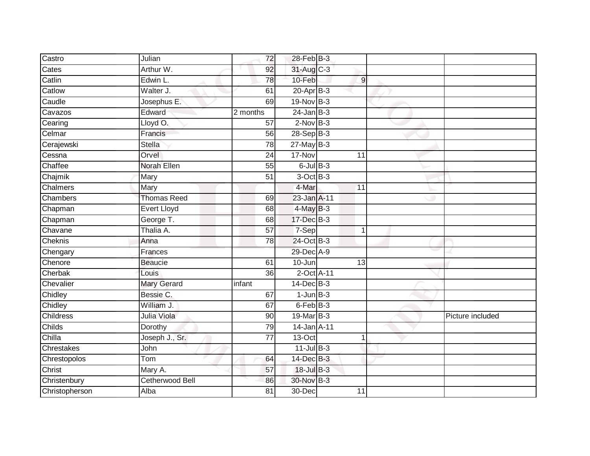| Castro         | Julian                 | 72              | 28-Feb B-3      |                 |                  |
|----------------|------------------------|-----------------|-----------------|-----------------|------------------|
| Cates          | Arthur W.              | 92              | 31-Aug C-3      |                 |                  |
| Catlin         | Edwin L.               | 78              | 10-Feb          | $\overline{9}$  |                  |
| Catlow         | Walter J.              | 61              | $20$ -Apr $B-3$ |                 |                  |
| Caudle         | Josephus E.            | 69              | 19-Nov B-3      |                 |                  |
| Cavazos        | Edward                 | 2 months        | $24$ -Jan B-3   |                 |                  |
| Cearing        | Lloyd O.               | 57              | $2$ -Nov $B-3$  |                 |                  |
| Celmar         | Francis                | 56              | $28-SepB-3$     |                 |                  |
| Cerajewski     | Stella                 | 78              | $27$ -May B-3   |                 |                  |
| Cessna         | Orvel                  | 24              | 17-Nov          | 11              |                  |
| Chaffee        | Norah Ellen            | 55              | $6$ -Jul $B$ -3 |                 |                  |
| Chajmik        | Mary                   | 51              | 3-Oct B-3       |                 |                  |
| Chalmers       | Mary                   |                 | 4-Mar           | 11              |                  |
| Chambers       | <b>Thomas Reed</b>     | 69              | 23-Jan A-11     |                 |                  |
| Chapman        | <b>Evert Lloyd</b>     | 68              | $4$ -May $B-3$  |                 |                  |
| Chapman        | George T.              | 68              | 17-Dec B-3      |                 |                  |
| Chavane        | Thalia A.              | $\overline{57}$ | 7-Sep           | $\mathbf{1}$    |                  |
| Cheknis        | Anna                   | 78              | 24-Oct B-3      |                 |                  |
| Chengary       | Frances                |                 | 29-Dec A-9      |                 |                  |
| Chenore        | <b>Beaucie</b>         | 61              | $10 - Jun$      | $\overline{13}$ |                  |
| Cherbak        | Louis                  | 36              | 2-Oct A-11      |                 |                  |
| Chevalier      | <b>Mary Gerard</b>     | infant          | 14-Dec B-3      |                 |                  |
| Chidley        | Bessie C.              | 67              | $1$ -Jun $B-3$  |                 |                  |
| Chidley        | William J.             | 67              | $6$ -Feb $B$ -3 |                 |                  |
| Childress      | Julia Viola            | 90              | 19-Mar B-3      |                 | Picture included |
| Childs         | Dorothy                | 79              | 14-Jan A-11     |                 |                  |
| Chilla         | Joseph J., Sr.         | $\overline{77}$ | $13-Oct$        | 1               |                  |
| Chrestakes     | John                   |                 | $11$ -Jul B-3   |                 |                  |
| Chrestopolos   | Tom                    | 64              | 14-Dec B-3      |                 |                  |
| Christ         | Mary A.                | 57              | 18-Jul B-3      |                 |                  |
| Christenbury   | <b>Cetherwood Bell</b> | 86              | 30-Nov B-3      |                 |                  |
| Christopherson | Alba                   | $\overline{81}$ | 30-Dec          | 11              |                  |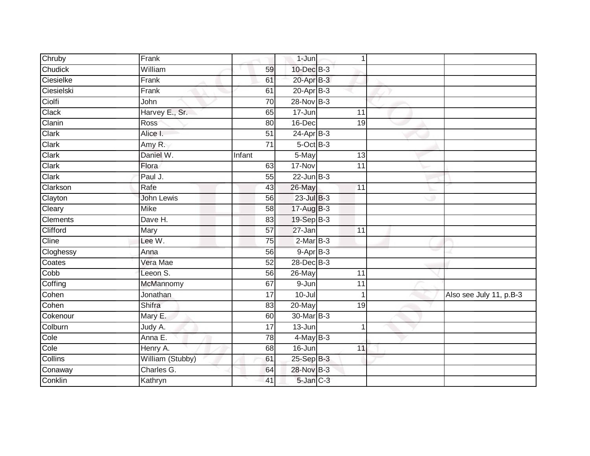| Chruby          | Frank             |                 | 1-Jun           | 1               |                         |
|-----------------|-------------------|-----------------|-----------------|-----------------|-------------------------|
| Chudick         | William           | 59              | 10-Dec B-3      |                 |                         |
| Ciesielke       | Frank             | 61              | 20-Apr B-3      |                 |                         |
| Ciesielski      | Frank             | 61              | $20 - Apr$ B-3  |                 |                         |
| Ciolfi          | John              | $\overline{70}$ | $28-Nov$ B-3    |                 |                         |
| Clack           | Harvey E., Sr.    | 65              | 17-Jun          | 11              |                         |
| Clanin          | Ross              | 80              | 16-Dec          | 19              |                         |
| Clark           | Alice I.          | $\overline{51}$ | $24-Apr$ B-3    |                 |                         |
| Clark           | Amy R.            | $\overline{71}$ | $5$ -Oct $B$ -3 |                 |                         |
| Clark           | Daniel W.         | Infant          | 5-May           | 13              |                         |
| Clark           | Flora             | 63              | 17-Nov          | 11              |                         |
| Clark           | Paul J.           | 55              | $22$ -Jun $B-3$ |                 |                         |
| Clarkson        | Rafe              | 43              | 26-May          | 11              |                         |
| Clayton         | <b>John Lewis</b> | 56              | $23$ -Jul $B-3$ |                 |                         |
| Cleary          | <b>Mike</b>       | $\overline{58}$ | 17-Aug B-3      |                 |                         |
| <b>Clements</b> | Dave H.           | 83              | 19-Sep B-3      |                 |                         |
| Clifford        | Mary              | $\overline{57}$ | 27-Jan          | $\overline{11}$ |                         |
| Cline           | Lee W.            | 75              | $2-MarB-3$      |                 |                         |
| Cloghessy       | Anna              | 56              | $9-AprB-3$      |                 |                         |
| Coates          | Vera Mae          | $\overline{52}$ | 28-Dec B-3      |                 |                         |
| Cobb            | Leeon S.          | 56              | 26-May          | 11              |                         |
| Coffing         | McMannomy         | 67              | $9 - Jun$       | 11              |                         |
| Cohen           | Jonathan          | 17              | $10 -$ Jul      | $\mathbf 1$     | Also see July 11, p.B-3 |
| Cohen           | Shifra            | 83              | 20-May          | 19              |                         |
| Cokenour        | Mary E.           | 60              | 30-Mar B-3      |                 |                         |
| Colburn         | Judy A.           | $\overline{17}$ | $13 - Jun$      | 1               |                         |
| Cole            | Anna E.           | 78              | $4$ -May B-3    |                 |                         |
| Cole            | Henry A.          | 68              | 16-Jun          | 11              |                         |
| Collins         | William (Stubby)  | 61              | 25-Sep B-3      |                 |                         |
| Conaway         | Charles G.        | 64              | 28-Nov B-3      |                 |                         |
| Conklin         | Kathryn           | 41              | $5$ -Jan $C-3$  |                 |                         |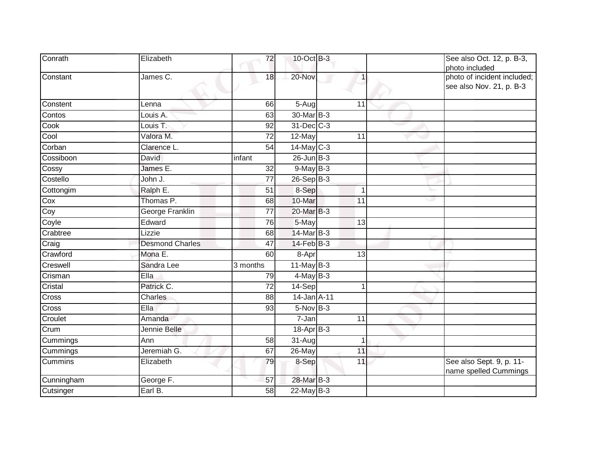| Conrath    | Elizabeth              | 72              | 10-Oct B-3       |                 | See also Oct. 12, p. B-3,<br>photo included             |
|------------|------------------------|-----------------|------------------|-----------------|---------------------------------------------------------|
| Constant   | James C.               | 18              | 20-Nov           |                 | photo of incident included;<br>see also Nov. 21, p. B-3 |
| Constent   | Lenna                  | 66              | 5-Aug            | 11              |                                                         |
| Contos     | Louis A.               | 63              | 30-Mar B-3       |                 |                                                         |
| Cook       | Louis T.               | 92              | 31-Dec C-3       |                 |                                                         |
| Cool       | Valora M.              | 72              | 12-May           | 11              |                                                         |
| Corban     | Clarence L.            | 54              | $14$ -May C-3    |                 |                                                         |
| Cossiboon  | David                  | infant          | $26$ -Jun $B-3$  |                 |                                                         |
| Cossy      | James E.               | $\overline{32}$ | $9$ -May $B-3$   |                 |                                                         |
| Costello   | John J.                | 77              | 26-Sep B-3       |                 |                                                         |
| Cottongim  | Ralph E.               | $\overline{51}$ | 8-Sep            | 1               |                                                         |
| Cox        | Thomas P.              | 68              | 10-Mar           | 11              |                                                         |
| Coy        | George Franklin        | 77              | 20-Mar B-3       |                 |                                                         |
| Coyle      | Edward                 | 76              | 5-May            | $\overline{13}$ |                                                         |
| Crabtree   | Lizzie                 | 68              | 14-Mar B-3       |                 |                                                         |
| Craig      | <b>Desmond Charles</b> | 47              | $14$ -Feb $B-3$  |                 |                                                         |
| Crawford   | Mona E.                | 60              | 8-Apr            | 13              |                                                         |
| Creswell   | Sandra Lee             | 3 months        | $11$ -May B-3    |                 |                                                         |
| Crisman    | Ella                   | 79              | $4$ -May B-3     |                 |                                                         |
| Cristal    | Patrick C.             | $\overline{72}$ | 14-Sep           |                 |                                                         |
| Cross      | Charles                | 88              | 14-Jan A-11      |                 |                                                         |
| Cross      | Ella                   | 93              | 5-Nov B-3        |                 |                                                         |
| Croulet    | Amanda                 |                 | 7-Jan            | 11              |                                                         |
| Crum       | Jennie Belle           |                 | $18$ -Apr $B$ -3 |                 |                                                         |
| Cummings   | Ann                    | 58              | 31-Aug           | 1               |                                                         |
| Cummings   | Jeremiah G.            | 67              | $26$ -May        | 11              |                                                         |
| Cummins    | Elizabeth              | 79              | 8-Sep            | 11              | See also Sept. 9, p. 11-<br>name spelled Cummings       |
| Cunningham | George F.              | 57              | 28-Mar B-3       |                 |                                                         |
| Cutsinger  | Earl B.                | 58              | 22-May B-3       |                 |                                                         |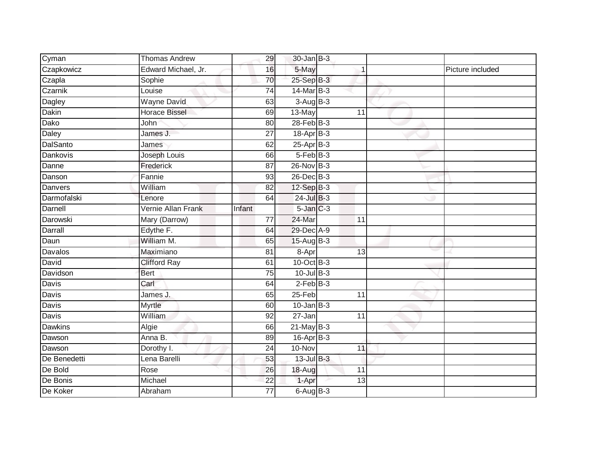| Cyman           | <b>Thomas Andrew</b> | 29              | $30$ -Jan B-3   |    |                  |
|-----------------|----------------------|-----------------|-----------------|----|------------------|
| Czapkowicz      | Edward Michael, Jr.  | 16              | 5-May           |    | Picture included |
| Czapla          | Sophie               | 70              | $25-Sep$ B-3    |    |                  |
| Czarnik         | Louise               | $\overline{74}$ | 14-Mar B-3      |    |                  |
| Dagley          | <b>Wayne David</b>   | 63              | $3-AugB-3$      |    |                  |
| Dakin           | <b>Horace Bissel</b> | 69              | 13-May          | 11 |                  |
| Dako            | John                 | 80              | $28$ -Feb $B-3$ |    |                  |
| Daley           | James J.             | 27              | 18-Apr B-3      |    |                  |
| <b>DalSanto</b> | James                | 62              | 25-Apr B-3      |    |                  |
| <b>Dankovis</b> | Joseph Louis         | 66              | $5-FebB-3$      |    |                  |
| Danne           | Frederick            | 87              | 26-Nov B-3      |    |                  |
| Danson          | Fannie               | 93              | 26-Dec B-3      |    |                  |
| Danvers         | William              | 82              | 12-Sep B-3      |    |                  |
| Darmofalski     | Lenore               | 64              | $24$ -Jul $B-3$ |    |                  |
| Darnell         | Vernie Allan Frank   | Infant          | $5$ -Jan $C-3$  |    |                  |
| Darowski        | Mary (Darrow)        | 77              | 24-Mar          | 11 |                  |
| Darrall         | Edythe F.            | 64              | 29-Dec A-9      |    |                  |
| Daun            | William M.           | 65              | $15$ -AugB-3    |    |                  |
| Davalos         | Maximiano            | 81              | 8-Apr           | 13 |                  |
| David           | <b>Clifford Ray</b>  | 61              | 10-Oct B-3      |    |                  |
| Davidson        | Bert                 | 75              | $10$ -Jul B-3   |    |                  |
| Davis           | Carl                 | 64              | $2$ -Feb $B-3$  |    |                  |
| Davis           | James J.             | 65              | 25-Feb          | 11 |                  |
| Davis           | Myrtle               | 60              | $10$ -Jan $B-3$ |    |                  |
| Davis           | William              | 92              | 27-Jan          | 11 |                  |
| <b>Dawkins</b>  | Algie                | 66              | 21-May B-3      |    |                  |
| Dawson          | Anna B.              | 89              | $16$ -Apr $B-3$ |    |                  |
| Dawson          | Dorothy I.           | 24              | 10-Nov          | 11 |                  |
| De Benedetti    | Lena Barelli         | 53              | 13-Jul B-3      |    |                  |
| De Bold         | Rose                 | 26              | 18-Aug          | 11 |                  |
| De Bonis        | Michael              | 22              | 1-Apr           | 13 |                  |
| De Koker        | Abraham              | $\overline{77}$ | $6-AugB-3$      |    |                  |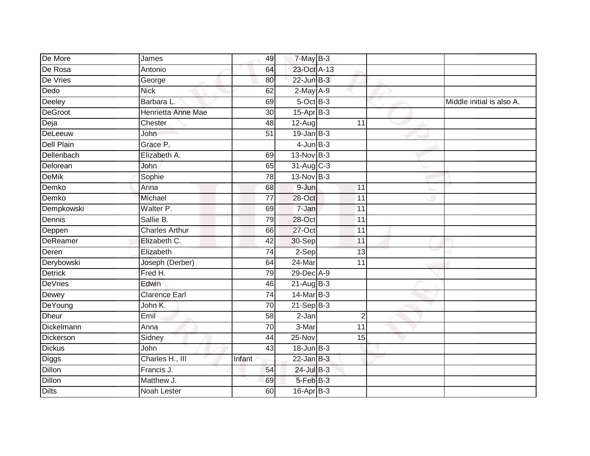| De More           | James                 | 49              | $7$ -May $B-3$       |                 |                           |
|-------------------|-----------------------|-----------------|----------------------|-----------------|---------------------------|
| De Rosa           | Antonio               | 64              | 23-Oct A-13          |                 |                           |
| De Vries          | George                | 80              | $22$ -Jun $B-3$      |                 |                           |
| Dedo              | <b>Nick</b>           | 62              | $2-May$ A-9          |                 |                           |
| Deeley            | Barbara L.            | 69              | $5$ -Oct $B$ -3      |                 | Middle initial is also A. |
| <b>DeGroot</b>    | Henrietta Anne Mae    | 30              | 15-Apr B-3           |                 |                           |
| Deja              | Chester               | 48              | $\overline{1}$ 2-Aug | 11              |                           |
| DeLeeuw           | John                  | 51              | $19$ -Jan B-3        |                 |                           |
| <b>Dell Plain</b> | Grace P.              |                 | $4$ -Jun $B-3$       |                 |                           |
| Dellenbach        | Elizabeth A.          | 69              | $13-Nov$ B-3         |                 |                           |
| Delorean          | John                  | 65              | 31-Aug C-3           |                 |                           |
| <b>DeMik</b>      | Sophie                | $\overline{78}$ | $13-Nov$ B-3         |                 |                           |
| Demko             | Anna                  | 68              | 9-Jun                | 11              |                           |
| Demko             | Michael               | 77              | $28 - Oct$           | 11              |                           |
| Dempkowski        | Walter P.             | 69              | 7-Jan                | 11              |                           |
| Dennis            | Sallie B.             | 79              | 28-Oct               | 11              |                           |
| Deppen            | <b>Charles Arthur</b> | 66              | $27$ -Oct            | $\overline{11}$ |                           |
| DeReamer          | Elizabeth C.          | 42              | 30-Sep               | 11              |                           |
| Deren             | Elizabeth             | 74              | $2-Sep$              | 13              |                           |
| Derybowski        | Joseph (Derber)       | 64              | $24$ -Mar            | $\overline{11}$ |                           |
| <b>Detrick</b>    | Fred H.               | 79              | 29-Dec A-9           |                 |                           |
| <b>DeVries</b>    | Edwin                 | 46              | $21-Aug$ B-3         |                 |                           |
| Dewey             | <b>Clarence Earl</b>  | 74              | 14-Mar B-3           |                 |                           |
| DeYoung           | John K.               | 70              | $21-Sep$ B-3         |                 |                           |
| <b>Dheur</b>      | Emil                  | 58              | $2-Jan$              | $\overline{2}$  |                           |
| Dickelmann        | Anna                  | 70              | 3-Mar                | 11              |                           |
| Dickerson         | Sidney                | 44              | $25-Nov$             | 15              |                           |
| <b>Dickus</b>     | John                  | 43              | $18$ -Jun $B-3$      |                 |                           |
| Diggs             | Charles H., III       | Infant          | $22$ -Jan B-3        |                 |                           |
| Dillon            | Francis J.            | 54              | $24$ -Jul $B-3$      |                 |                           |
| Dillon            | Matthew J.            | 69              | 5-Feb B-3            |                 |                           |
| <b>Dilts</b>      | <b>Noah Lester</b>    | 60              | $16$ -Apr $B-3$      |                 |                           |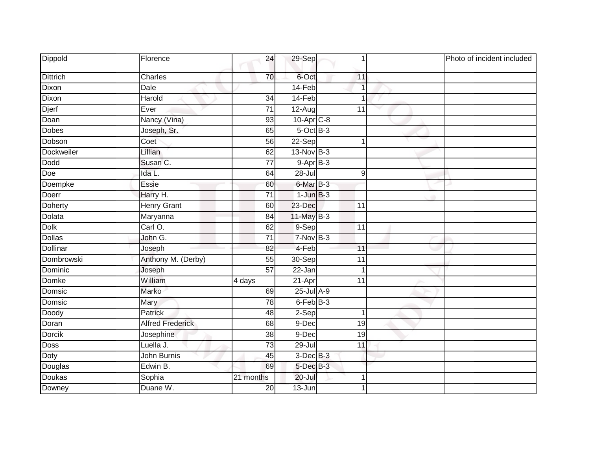| Dippold         | Florence                | 24              | $29-Sep$        |                 | Photo of incident included |
|-----------------|-------------------------|-----------------|-----------------|-----------------|----------------------------|
| <b>Dittrich</b> | Charles                 | 70              | 6-Oct           | 11              |                            |
| Dixon           | <b>Dale</b>             |                 | 14-Feb          | $\overline{1}$  |                            |
| Dixon           | Harold                  | $\overline{34}$ | 14-Feb          | 1               |                            |
| Djerf           | Ever                    | $\overline{71}$ | $12-Aug$        | 11              |                            |
| Doan            | Nancy (Vina)            | 93              | 10-Apr C-8      |                 |                            |
| <b>Dobes</b>    | Joseph, Sr.             | 65              | $5$ -Oct $B$ -3 |                 |                            |
| Dobson          | Coet                    | $\overline{56}$ | 22-Sep          | 1               |                            |
| Dockweiler      | Lillian                 | 62              | 13-Nov B-3      |                 |                            |
| <b>Dodd</b>     | Susan C.                | 77              | $9-AprB-3$      |                 |                            |
| Doe             | Ida L.                  | 64              | 28-Jul          | 9               |                            |
| Doempke         | Essie                   | 60              | 6-Mar B-3       |                 |                            |
| Doerr           | Harry H.                | $\overline{71}$ | $1$ -Jun $B-3$  |                 |                            |
| <b>Doherty</b>  | <b>Henry Grant</b>      | 60              | 23-Dec          | 11              |                            |
| Dolata          | Maryanna                | 84              | 11-May B-3      |                 |                            |
| <b>Dolk</b>     | Carl O.                 | 62              | 9-Sep           | 11              |                            |
| <b>Dollas</b>   | John G.                 | 71              | $7-Nov$ B-3     |                 |                            |
| <b>Dollinar</b> | Joseph                  | 82              | 4-Feb           | 11              |                            |
| Dombrowski      | Anthony M. (Derby)      | 55              | 30-Sep          | 11              |                            |
| Dominic         | Joseph                  | $\overline{57}$ | $22 - Jan$      | $\mathbf 1$     |                            |
| Domke           | William                 | 4 days          | 21-Apr          | 11              |                            |
| Domsic          | Marko                   | 69              | 25-Jul A-9      |                 |                            |
| Domsic          | Mary                    | 78              | 6-Feb B-3       |                 |                            |
| Doody           | Patrick                 | 48              | 2-Sep           | $\mathbf 1$     |                            |
| Doran           | <b>Alfred Frederick</b> | 68              | $9-Dec$         | $\overline{19}$ |                            |
| Dorcik          | Josephine               | 38              | 9-Dec           | 19              |                            |
| <b>Doss</b>     | Luella J.               | $\overline{73}$ | $29 -$ Jul      | 11              |                            |
| Doty            | John Burnis             | 45              | $3$ -Dec $B-3$  |                 |                            |
| Douglas         | Edwin B.                | 69              | 5-Dec B-3       |                 |                            |
| Doukas          | Sophia                  | 21 months       | 20-Jul          | 1               |                            |
| Downey          | Duane W.                | 20              | 13-Jun          |                 |                            |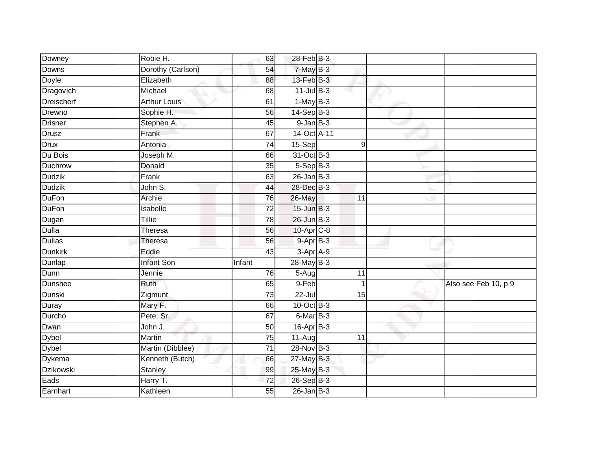| Downey            | Robie H.            | 63              | 28-Feb B-3      |                 |                      |
|-------------------|---------------------|-----------------|-----------------|-----------------|----------------------|
| Downs             | Dorothy (Carlson)   | 54              | $7$ -May $B-3$  |                 |                      |
| Doyle             | Elizabeth           | 88              | 13-Feb B-3      |                 |                      |
| Dragovich         | Michael             | 68              | $11$ -Jul $B-3$ |                 |                      |
| <b>Dreischerf</b> | <b>Arthur Louis</b> | 61              | $1-May$ B-3     |                 |                      |
| Drewno            | Sophie H.           | 56              | $14-Sep$ B-3    |                 |                      |
| <b>Drisner</b>    | Stephen A.          | 45              | $9$ -Jan $B$ -3 |                 |                      |
| <b>Drusz</b>      | Frank               | 67              | 14-Oct A-11     |                 |                      |
| <b>Drux</b>       | Antonia             | 74              | $15-Sep$        | 9               |                      |
| Du Bois           | Joseph M.           | 66              | 31-Oct B-3      |                 |                      |
| Duchrow           | Donald              | 35              | $5-Sep$ B-3     |                 |                      |
| <b>Dudzik</b>     | Frank               | 63              | $26$ -Jan B-3   |                 |                      |
| <b>Dudzik</b>     | John S.             | 44              | 28-Dec B-3      |                 |                      |
| <b>DuFon</b>      | Archie              | 76              | 26-May          | 11              |                      |
| <b>DuFon</b>      | Isabelle            | $\overline{72}$ | $15$ -Jun $B-3$ |                 |                      |
| Dugan             | Tillie              | 78              | 26-Jun B-3      |                 |                      |
| <b>Dulla</b>      | Theresa             | 56              | 10-Apr C-8      |                 |                      |
| <b>Dullas</b>     | <b>Theresa</b>      | 56              | $9-AprB-3$      |                 |                      |
| <b>Dunkirk</b>    | Eddie               | 43              | 3-Apr A-9       |                 |                      |
| Dunlap            | <b>Infant Son</b>   | Infant          | 28-May B-3      |                 |                      |
| Dunn              | Jennie              | 76              | 5-Aug           | 11              |                      |
| Dunshee           | Ruth                | 65              | 9-Feb           | -1              | Also see Feb 10, p 9 |
| Dunski            | Zigmunt             | 73              | $22 -$ Jul      | 15              |                      |
| Duray             | Mary F.             | 66              | 10-Oct B-3      |                 |                      |
| Durcho            | Pete, Sr.           | 67              | 6-Mar B-3       |                 |                      |
| Dwan              | John J.             | 50              | 16-Apr B-3      |                 |                      |
| <b>Dybel</b>      | <b>Martin</b>       | 75              | $11-Aug$        | $\overline{11}$ |                      |
| <b>Dybel</b>      | Martin (Dibblee)    | $\overline{71}$ | 28-Nov B-3      |                 |                      |
| Dykema            | Kenneth (Butch)     | 66              | $27$ -May B-3   |                 |                      |
| <b>Dzikowski</b>  | <b>Stanley</b>      | 99              | 25-May B-3      |                 |                      |
| Eads              | Harry T.            | $\overline{72}$ | 26-Sep B-3      |                 |                      |
| Earnhart          | Kathleen            | $\overline{55}$ | $26$ -Jan $B-3$ |                 |                      |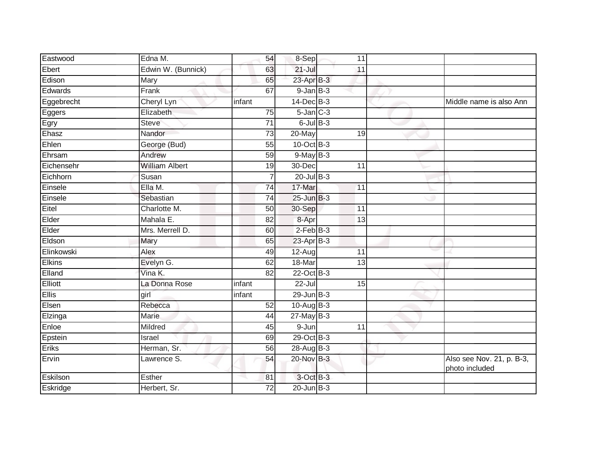| Eastwood      | Edna M.               | 54              | 8-Sep           | 11              |                                             |
|---------------|-----------------------|-----------------|-----------------|-----------------|---------------------------------------------|
| Ebert         | Edwin W. (Bunnick)    | 63              | $21 -$ Jul      | 11              |                                             |
| Edison        | Mary                  | 65              | 23-Apr B-3      |                 |                                             |
| Edwards       | Frank                 | 67              | $9$ -Jan $B$ -3 |                 |                                             |
| Eggebrecht    | Cheryl Lyn            | infant          | $14$ -Dec $B-3$ |                 | Middle name is also Ann                     |
| Eggers        | Elizabeth             | 75              | $5$ -Jan $C-3$  |                 |                                             |
| Egry          | <b>Steve</b>          | 71              | $6$ -Jul $B$ -3 |                 |                                             |
| Ehasz         | Nandor                | 73              | 20-May          | 19              |                                             |
| Ehlen         | George (Bud)          | 55              | 10-Oct B-3      |                 |                                             |
| Ehrsam        | Andrew                | 59              | $9$ -May $B-3$  |                 |                                             |
| Eichensehr    | <b>William Albert</b> | 19              | 30-Dec          | 11              |                                             |
| Eichhorn      | Susan                 |                 | $20$ -Jul $B-3$ |                 |                                             |
| Einsele       | Ella M.               | 74              | 17-Mar          | 11              |                                             |
| Einsele       | Sebastian             | 74              | $25$ -Jun $B-3$ |                 |                                             |
| Eitel         | Charlotte M.          | 50              | 30-Sep          | 11              |                                             |
| Elder         | Mahala E.             | $\overline{82}$ | 8-Apr           | $\overline{13}$ |                                             |
| Elder         | Mrs. Merrell D.       | 60              | $2$ -Feb $B-3$  |                 |                                             |
| Eldson        | Mary                  | 65              | $23$ -Apr $B-3$ |                 |                                             |
| Elinkowski    | Alex                  | 49              | $12-Aug$        | 11              |                                             |
| <b>Elkins</b> | Evelyn G.             | 62              | 18-Mar          | 13              |                                             |
| Elland        | Vina K.               | 82              | 22-Oct B-3      |                 |                                             |
| Elliott       | La Donna Rose         | infant          | $22 -$ Jul      | $\overline{15}$ |                                             |
| Ellis         | girl                  | infant          | $29$ -Jun $B-3$ |                 |                                             |
| Elsen         | Rebecca               | 52              | 10-Aug B-3      |                 |                                             |
| Elzinga       | Marie                 | 44              | $27$ -May B-3   |                 |                                             |
| Enloe         | Mildred               | 45              | $9 - Jun$       | 11              |                                             |
| Epstein       | Israel                | 69              | 29-Oct B-3      |                 |                                             |
| Eriks         | Herman, Sr.           | 56              | 28-Aug B-3      |                 |                                             |
| Ervin         | Lawrence S.           | 54              | 20-Nov B-3      |                 | Also see Nov. 21, p. B-3,<br>photo included |
| Eskilson      | Esther                | 81              | 3-Oct B-3       |                 |                                             |
| Eskridge      | Herbert, Sr.          | 72              | $20$ -Jun $B-3$ |                 |                                             |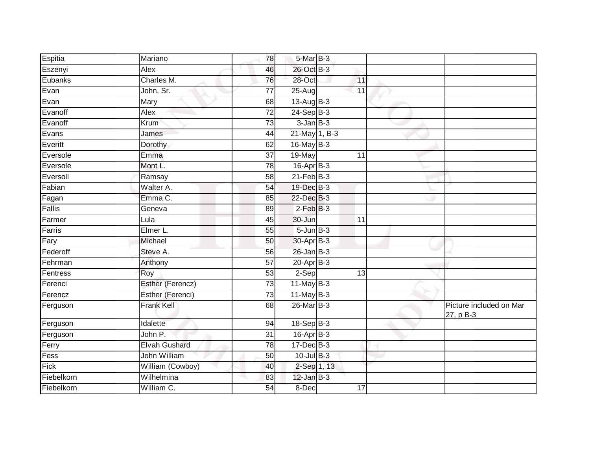| Espitia            | Mariano              | 78              | 5-Mar B-3        |                 |                                      |
|--------------------|----------------------|-----------------|------------------|-----------------|--------------------------------------|
|                    | Alex                 | 46              | 26-Oct B-3       |                 |                                      |
| Eszenyi<br>Eubanks | Charles M.           |                 | 28-Oct           |                 |                                      |
|                    |                      | 76              |                  | 11              |                                      |
| Evan               | John, Sr.            | $\overline{77}$ | $25 - Aug$       | $\overline{11}$ |                                      |
| Evan               | Mary                 | 68              | 13-Aug B-3       |                 |                                      |
| Evanoff            | Alex                 | 72              | $24-Sep$ B-3     |                 |                                      |
| Evanoff            | Krum                 | 73              | $3$ -Jan $B - 3$ |                 |                                      |
| Evans              | James                | 44              | 21-May 1, B-3    |                 |                                      |
| Everitt            | Dorothy              | 62              | 16-May B-3       |                 |                                      |
| Eversole           | Emma                 | $\overline{37}$ | 19-May           | 11              |                                      |
| Eversole           | Mont L.              | 78              | $16$ -Apr $B$ -3 |                 |                                      |
| Eversoll           | Ramsay               | 58              | $21$ -Feb $B-3$  |                 |                                      |
| Fabian             | Walter A.            | 54              | 19-Dec B-3       |                 |                                      |
| Fagan              | Emma C.              | 85              | 22-Dec B-3       |                 |                                      |
| Fallis             | Geneva               | 89              | $2-FebB-3$       |                 |                                      |
| Farmer             | Lula                 | 45              | 30-Jun           | 11              |                                      |
| Farris             | Elmer L.             | 55              | $5 - Jun$ $B-3$  |                 |                                      |
| Fary               | Michael              | 50              | 30-Apr B-3       |                 |                                      |
| Federoff           | Steve A.             | 56              | $26$ -Jan $B-3$  |                 |                                      |
| Fehrman            | Anthony              | $\overline{57}$ | $20 - Apr$ B-3   |                 |                                      |
| Fentress           | Roy                  | 53              | $2-Sep$          | 13              |                                      |
| Ferenci            | Esther (Ferencz)     | $\overline{73}$ | $11$ -May B-3    |                 |                                      |
| Ferencz            | Esther (Ferenci)     | 73              | $11$ -May B-3    |                 |                                      |
| Ferguson           | <b>Frank Kell</b>    | 68              | 26-Mar B-3       |                 | Picture included on Mar<br>27, p B-3 |
| Ferguson           | Idalette             | 94              | 18-Sep B-3       |                 |                                      |
| Ferguson           | John P.              | 31              | $16$ -Apr $B$ -3 |                 |                                      |
| Ferry              | <b>Elvah Gushard</b> | 78              | 17-Dec B-3       |                 |                                      |
| Fess               | <b>John William</b>  | $\overline{50}$ | 10-Jul B-3       |                 |                                      |
| Fick               | William (Cowboy)     | 40              | 2-Sep 1, 13      |                 |                                      |
| Fiebelkorn         | Wilhelmina           | 83              | $12$ -Jan $B-3$  |                 |                                      |
| Fiebelkorn         | William C.           | 54              | 8-Dec            | 17              |                                      |
|                    |                      |                 |                  |                 |                                      |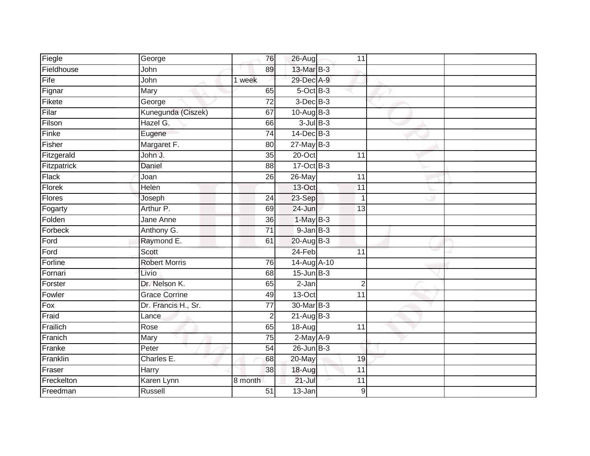| Fiegle      | George               | 76              | 26-Aug          | 11               |  |
|-------------|----------------------|-----------------|-----------------|------------------|--|
| Fieldhouse  | John                 | 89              | 13-Mar B-3      |                  |  |
| Fife        | John                 | 1 week          | 29-Dec A-9      |                  |  |
| Fignar      | Mary                 | 65              | 5-Oct B-3       |                  |  |
| Fikete      | George               | $\overline{72}$ | $3$ -Dec $B-3$  |                  |  |
| Filar       | Kunegunda (Ciszek)   | 67              | 10-Aug B-3      |                  |  |
| Filson      | Hazel G.             | 66              | $3$ -Jul $B-3$  |                  |  |
| Finke       | Eugene               | 74              | $14$ -Dec $B-3$ |                  |  |
| Fisher      | Margaret F.          | 80              | $27$ -May B-3   |                  |  |
| Fitzgerald  | John J.              | $\overline{35}$ | 20-Oct          | 11               |  |
| Fitzpatrick | Daniel               | 88              | 17-Oct B-3      |                  |  |
| Flack       | Joan                 | 26              | 26-May          | 11               |  |
| Florek      | Helen                |                 | 13-Oct          | 11               |  |
| Flores      | Joseph               | 24              | 23-Sep          | $\overline{1}$   |  |
| Fogarty     | Arthur P.            | 69              | 24-Jun          | $\overline{13}$  |  |
| Folden      | Jane Anne            | 36              | $1-May$ B-3     |                  |  |
| Forbeck     | Anthony G.           | $\overline{71}$ | $9$ -Jan $B$ -3 |                  |  |
| Ford        | Raymond E.           | 61              | 20-Aug B-3      |                  |  |
| Ford        | <b>Scott</b>         |                 | 24-Feb          | 11               |  |
| Forline     | <b>Robert Morris</b> | $\overline{76}$ | 14-Aug A-10     |                  |  |
| Fornari     | Livio                | 68              | $15$ -Jun $B-3$ |                  |  |
| Forster     | Dr. Nelson K.        | 65              | $2-Jan$         | $\overline{2}$   |  |
| Fowler      | <b>Grace Corrine</b> | 49              | 13-Oct          | 11               |  |
| Fox         | Dr. Francis H., Sr.  | $\overline{77}$ | 30-Mar B-3      |                  |  |
| Fraid       | Lance                | 2               | $21-AugB-3$     |                  |  |
| Frailich    | Rose                 | 65              | 18-Aug          | 11               |  |
| Franich     | <b>Mary</b>          | $\overline{75}$ | $2$ -May $A-9$  |                  |  |
| Franke      | Peter                | 54              | $26$ -Jun $B-3$ |                  |  |
| Franklin    | Charles E.           | 68              | 20-May          | 19               |  |
| Fraser      | Harry                | 38              | 18-Aug          | 11               |  |
| Freckelton  | Karen Lynn           | 8 month         | $21 -$ Jul      | 11               |  |
| Freedman    | Russell              | $\overline{51}$ | $13 - Jan$      | $\boldsymbol{9}$ |  |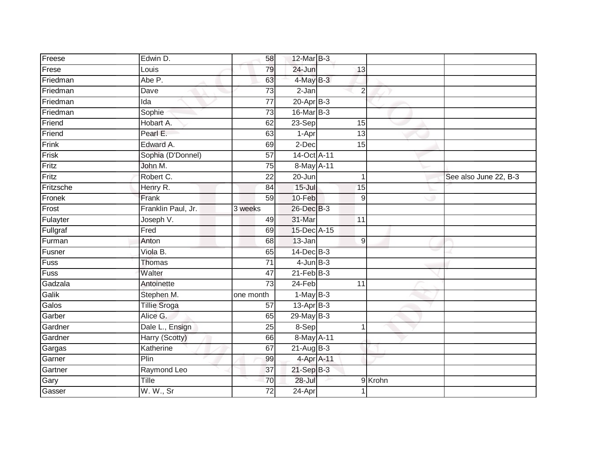| Freese    | Edwin D.            | 58              | 12-Mar B-3      |                  |        |                       |
|-----------|---------------------|-----------------|-----------------|------------------|--------|-----------------------|
| Frese     | Louis               | 79              | 24-Jun          | 13               |        |                       |
| Friedman  | Abe P.              | 63              | 4-May B-3       |                  |        |                       |
| Friedman  | Dave                | 73              | 2-Jan           | $\overline{2}$   |        |                       |
| Friedman  | Ida                 | $\overline{77}$ | $20 - Apr$ B-3  |                  |        |                       |
| Friedman  | Sophie              | $\overline{73}$ | 16-Mar B-3      |                  |        |                       |
| Friend    | Hobart A.           | 62              | $23-Sep$        | 15               |        |                       |
| Friend    | Pearl E.            | 63              | 1-Apr           | 13               |        |                       |
| Frink     | Edward A.           | 69              | 2-Dec           | 15               |        |                       |
| Frisk     | Sophia (D'Donnel)   | 57              | 14-Oct A-11     |                  |        |                       |
| Fritz     | John M.             | 75              | 8-May A-11      |                  |        |                       |
| Fritz     | Robert C.           | 22              | $20 - Jun$      | $\mathbf 1$      |        | See also June 22, B-3 |
| Fritzsche | Henry R.            | 84              | $15$ -Jul       | 15               |        |                       |
| Fronek    | Frank               | 59              | 10-Feb          | $\boldsymbol{9}$ |        |                       |
| Frost     | Franklin Paul, Jr.  | 3 weeks         | 26-Dec B-3      |                  |        |                       |
| Fulayter  | Joseph V.           | 49              | 31-Mar          | 11               |        |                       |
| Fullgraf  | Fred                | 69              | 15-Dec A-15     |                  |        |                       |
| Furman    | Anton               | 68              | 13-Jan          | 9                |        |                       |
| Fusner    | Viola B.            | 65              | $14$ -Dec $B-3$ |                  |        |                       |
| Fuss      | <b>Thomas</b>       | 71              | $4$ -Jun $B-3$  |                  |        |                       |
| Fuss      | Walter              | 47              | $21$ -Feb $B-3$ |                  |        |                       |
| Gadzala   | Antoinette          | $\overline{73}$ | $24-Feb$        | $\overline{11}$  |        |                       |
| Galik     | Stephen M.          | one month       | $1-MayB-3$      |                  |        |                       |
| Galos     | <b>Tillie Sroga</b> | 57              | $13-Apr$ B-3    |                  |        |                       |
| Garber    | Alice G.            | 65              | $29$ -May B-3   |                  |        |                       |
| Gardner   | Dale L., Ensign     | 25              | 8-Sep           | 1                |        |                       |
| Gardner   | Harry (Scotty)      | 66              | 8-May A-11      |                  |        |                       |
| Gargas    | Katherine           | 67              | $21$ -Aug $B-3$ |                  |        |                       |
| Garner    | Plin                | 99              | 4-Apr A-11      |                  |        |                       |
| Gartner   | Raymond Leo         | 37              | 21-Sep B-3      |                  |        |                       |
| Gary      | Tille               | 70              | 28-Jul          |                  | 9Krohn |                       |
| Gasser    | W. W., Sr           | $\overline{72}$ | 24-Apr          |                  |        |                       |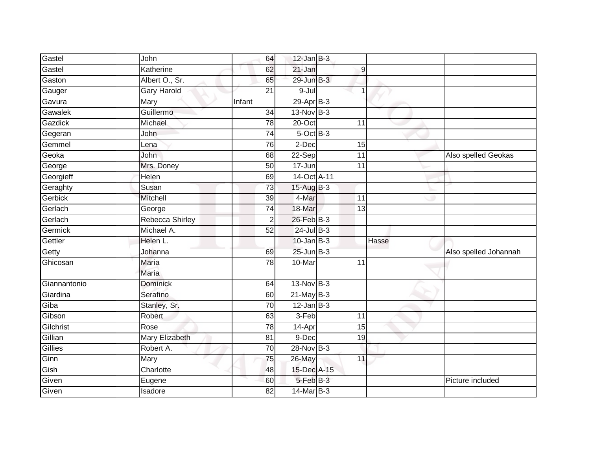| Gastel       | John                  | 64              | $12$ -Jan B-3         |                 |       |                       |
|--------------|-----------------------|-----------------|-----------------------|-----------------|-------|-----------------------|
| Gastel       | Katherine             | 62              | 21-Jan                | 9               |       |                       |
| Gaston       | Albert O., Sr.        | 65              | 29-Jun B-3            |                 |       |                       |
| Gauger       | <b>Gary Harold</b>    | 21              | 9-Jul                 | 1               |       |                       |
| Gavura       | <b>Mary</b>           | Infant          | 29-Apr <sub>B-3</sub> |                 |       |                       |
| Gawalek      | Guillermo             | 34              | $13-Nov$ B-3          |                 |       |                       |
| Gazdick      | Michael               | 78              | 20-Oct                | 11              |       |                       |
| Gegeran      | John                  | 74              | $5$ -Oct $B$ -3       |                 |       |                       |
| Gemmel       | Lena                  | 76              | 2-Dec                 | 15              |       |                       |
| Geoka        | John                  | 68              | $22-Sep$              | 11              |       | Also spelled Geokas   |
| George       | Mrs. Doney            | 50              | 17-Jun                | 11              |       |                       |
| Georgieff    | Helen                 | 69              | 14-Oct A-11           |                 |       |                       |
| Geraghty     | Susan                 | 73              | $15-AugB-3$           |                 |       |                       |
| Gerbick      | Mitchell              | 39              | 4-Mar                 | 11              |       |                       |
| Gerlach      | George                | 74              | 18-Mar                | 13              |       |                       |
| Gerlach      | Rebecca Shirley       | $\overline{2}$  | 26-Feb B-3            |                 |       |                       |
| Germick      | Michael A.            | $\overline{52}$ | $24$ -Jul $B-3$       |                 |       |                       |
| Gettler      | Helen L.              |                 | $10$ -Jan $B-3$       |                 | Hasse |                       |
| Getty        | Johanna               | 69              | $25$ -Jun $B-3$       |                 |       | Also spelled Johannah |
| Ghicosan     | <b>Maria</b>          | 78              | 10-Mar                | $\overline{11}$ |       |                       |
|              | Maria                 |                 |                       |                 |       |                       |
| Giannantonio | Dominick              | 64              | 13-Nov B-3            |                 |       |                       |
| Giardina     | Serafino              | 60              | $21$ -May B-3         |                 |       |                       |
| Giba         | Stanley, Sr.          | 70              | $12$ -Jan B-3         |                 |       |                       |
| Gibson       | Robert                | 63              | 3-Feb                 | 11              |       |                       |
| Gilchrist    | Rose                  | 78              | 14-Apr                | 15              |       |                       |
| Gillian      | <b>Mary Elizabeth</b> | 81              | $9-Dec$               | 19              |       |                       |
| Gillies      | Robert A.             | 70              | 28-Nov B-3            |                 |       |                       |
| Ginn         | Mary                  | 75              | 26-May                | 11              |       |                       |
| Gish         | Charlotte             | 48              | 15-Dec A-15           |                 |       |                       |
| Given        | Eugene                | 60              | 5-Feb B-3             |                 |       | Picture included      |
| Given        | Isadore               | $\overline{82}$ | 14-Mar B-3            |                 |       |                       |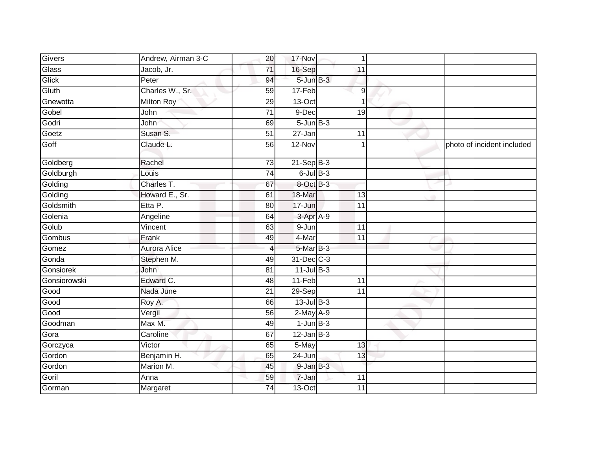| Givers       | Andrew, Airman 3-C  | 20              | 17-Nov          | 1                |                            |
|--------------|---------------------|-----------------|-----------------|------------------|----------------------------|
| Glass        | Jacob, Jr.          | $\overline{71}$ | 16-Sep          | 11               |                            |
| Glick        | Peter               | 94              | $5 - Jun$ $B-3$ |                  |                            |
| Gluth        | Charles W., Sr.     | 59              | 17-Feb          | $\boldsymbol{9}$ |                            |
| Gnewotta     | <b>Milton Roy</b>   | 29              | $13-Oct$        | 1                |                            |
| Gobel        | John                | 71              | 9-Dec           | 19               |                            |
| Godri        | John                | 69              | $5 - Jun$ $B-3$ |                  |                            |
| Goetz        | Susan S.            | 51              | 27-Jan          | 11               |                            |
| Goff         | Claude L.           | 56              | 12-Nov          |                  | photo of incident included |
| Goldberg     | Rachel              | 73              | $21-Sep$ B-3    |                  |                            |
| Goldburgh    | Louis               | 74              | $6$ -Jul $B$ -3 |                  |                            |
| Golding      | Charles T.          | 67              | 8-Oct B-3       |                  |                            |
| Golding      | Howard E., Sr.      | 61              | 18-Mar          | 13               |                            |
| Goldsmith    | Etta P.             | 80              | 17-Jun          | 11               |                            |
| Golenia      | Angeline            | 64              | $3$ -Apr $A-9$  |                  |                            |
| Golub        | Vincent             | 63              | 9-Jun           | 11               |                            |
| Gombus       | Frank               | 49              | 4-Mar           | 11               |                            |
| Gomez        | <b>Aurora Alice</b> | 4               | 5-Mar B-3       |                  |                            |
| Gonda        | Stephen M.          | 49              | 31-Dec C-3      |                  |                            |
| Gonsiorek    | John                | $\overline{81}$ | $11$ -Jul $B-3$ |                  |                            |
| Gonsiorowski | Edward C.           | 48              | 11-Feb          | 11               |                            |
| Good         | Nada June           | 21              | 29-Sep          | 11               |                            |
| Good         | Roy A.              | 66              | $13$ -Jul $B-3$ |                  |                            |
| Good         | Vergil              | 56              | $2-May$ A-9     |                  |                            |
| Goodman      | Max M.              | 49              | $1$ -Jun $B-3$  |                  |                            |
| Gora         | Caroline            | 67              | $12$ -Jan B-3   |                  |                            |
| Gorczyca     | Victor              | 65              | 5-May           | 13               |                            |
| Gordon       | Benjamin H.         | 65              | 24-Jun          | 13               |                            |
| Gordon       | Marion M.           | 45              | $9$ -Jan $B$ -3 |                  |                            |
| Goril        | Anna                | 59              | $7 - Jan$       | 11               |                            |
| Gorman       | Margaret            | 74              | 13-Oct          | 11               |                            |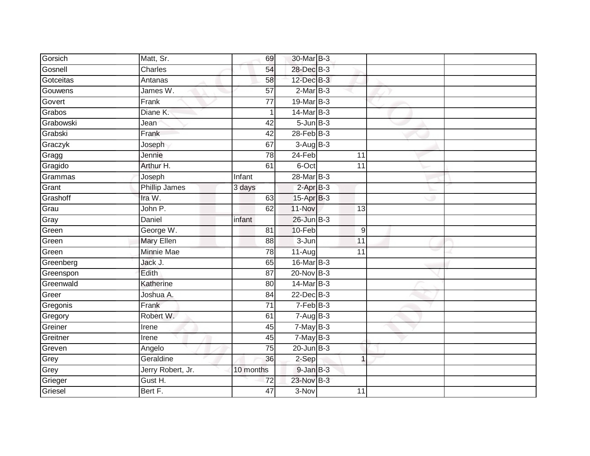| Gorsich   | Matt, Sr.         | 69              | 30-Mar B-3               |                  |  |
|-----------|-------------------|-----------------|--------------------------|------------------|--|
| Gosnell   | Charles           | 54              | 28-Dec B-3               |                  |  |
| Gotceitas | Antanas           | 58              | 12-Dec B-3               |                  |  |
| Gouwens   | James W.          | 57              | $2-MarB-3$               |                  |  |
| Govert    | Frank             | $\overline{77}$ | 19-Mar B-3               |                  |  |
| Grabos    | Diane K.          |                 | 14-Mar B-3               |                  |  |
| Grabowski | Jean              | 42              | $5 - Jun$ $B-3$          |                  |  |
| Grabski   | Frank             | 42              | $28$ -Feb $B-3$          |                  |  |
| Graczyk   | Joseph            | 67              | $3-AugB-3$               |                  |  |
| Gragg     | Jennie            | 78              | 24-Feb                   | 11               |  |
| Gragido   | Arthur H.         | 61              | 6-Oct                    | $\overline{11}$  |  |
| Grammas   | Joseph            | Infant          | 28-Mar B-3               |                  |  |
| Grant     | Phillip James     | 3 days          | $2-AprB-3$               |                  |  |
| Grashoff  | Ira W.            | 63              | 15-Apr B-3               |                  |  |
| Grau      | John P.           | 62              | 11-Nov                   | $\overline{13}$  |  |
| Gray      | Daniel            | infant          | 26-Jun B-3               |                  |  |
| Green     | George W.         | $\overline{81}$ | 10-Feb                   | $\boldsymbol{9}$ |  |
| Green     | <b>Mary Ellen</b> | 88              | 3-Jun                    | 11               |  |
| Green     | <b>Minnie Mae</b> | 78              | $11-Aug$                 | 11               |  |
| Greenberg | Jack J.           | 65              | 16-Mar B-3               |                  |  |
| Greenspon | Edith             | 87              | 20-Nov B-3               |                  |  |
| Greenwald | Katherine         | 80              | 14-Mar B-3               |                  |  |
| Greer     | Joshua A.         | 84              | 22-Dec B-3               |                  |  |
| Gregonis  | Frank             | 71              | $7-FebB-3$               |                  |  |
| Gregory   | Robert W.         | 61              | $7 - \overline{Aug}$ B-3 |                  |  |
| Greiner   | Irene             | 45              | $7$ -May $B-3$           |                  |  |
| Greitner  | Irene             | 45              | $7$ -May $B-3$           |                  |  |
| Greven    | Angelo            | 75              | $20$ -Jun $B-3$          |                  |  |
| Grey      | Geraldine         | 36              | 2-Sep                    | $\mathbf{1}$     |  |
| Grey      | Jerry Robert, Jr. | 10 months       | 9-Jan B-3                |                  |  |
| Grieger   | Gust H.           | 72              | 23-Nov B-3               |                  |  |
| Griesel   | Bert F.           | 47              | $3-Nov$                  | 11               |  |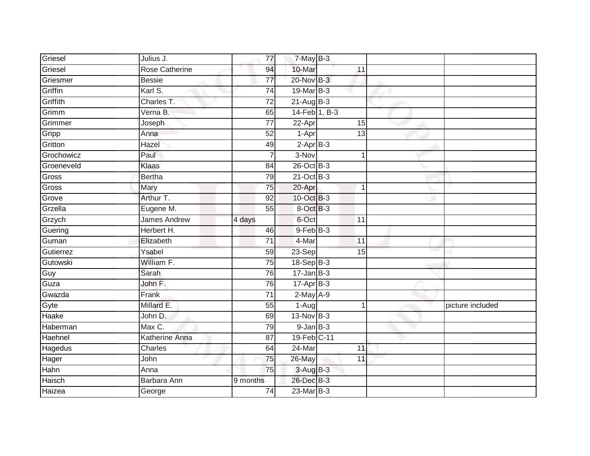| Griesel    | Julius J.             | 77              | $7$ -May $B-3$   |                 |                |                  |
|------------|-----------------------|-----------------|------------------|-----------------|----------------|------------------|
| Griesel    | Rose Catherine        | 94              | 10-Mar           | 11              |                |                  |
| Griesmer   | <b>Bessie</b>         | $\overline{77}$ | 20-Nov B-3       |                 |                |                  |
| Griffin    | Karl S.               | $\overline{74}$ | 19-Mar B-3       |                 |                |                  |
| Griffith   | Charles T.            | $\overline{72}$ | $21-Aug$ B-3     |                 |                |                  |
| Grimm      | Verna B.              | 65              | 14-Feb 1, B-3    |                 |                |                  |
| Grimmer    | Joseph                | 77              | 22-Apr           | 15              |                |                  |
| Gripp      | Anna                  | 52              | 1-Apr            | 13              |                |                  |
| Gritton    | Hazel                 | 49              | $2-AprB-3$       |                 |                |                  |
| Grochowicz | Paul                  |                 | 3-Nov            |                 | 1              |                  |
| Groeneveld | Klaas                 | 84              | 26-Oct B-3       |                 |                |                  |
| Gross      | <b>Bertha</b>         | 79              | $21$ -Oct B-3    |                 |                |                  |
| Gross      | Mary                  | 75              | 20-Apr           |                 | -1             |                  |
| Grove      | Arthur T.             | 92              | 10-Oct B-3       |                 |                |                  |
| Grzella    | Eugene M.             | 55              | 8-Oct B-3        |                 |                |                  |
| Grzych     | <b>James Andrew</b>   | 4 days          | 6-Oct            | 11              |                |                  |
| Guering    | Herbert H.            | 46              | $9$ -Feb $B$ -3  |                 |                |                  |
| Guman      | Elizabeth             | $\overline{71}$ | $4-Mar$          | $\overline{11}$ |                |                  |
| Gutierrez  | Ysabel                | 59              | $23-Sep$         | 15              |                |                  |
| Gutowski   | William F.            | 75              | 18-Sep B-3       |                 |                |                  |
| Guy        | Sarah                 | 76              | $17 - Jan$ $B-3$ |                 |                |                  |
| Guza       | John F.               | 76              | $17-Apr$ B-3     |                 |                |                  |
| Gwazda     | Frank                 | 71              | $2-May$ A-9      |                 |                |                  |
| Gyte       | Millard E.            | 55              | 1-Aug            |                 | $\overline{1}$ | picture included |
| Haake      | John D.               | 69              | $13-Nov$ B-3     |                 |                |                  |
| Haberman   | Max C.                | 79              | $9$ -Jan $B$ -3  |                 |                |                  |
| Haehnel    | <b>Katherine Anna</b> | 87              | 19-Feb C-11      |                 |                |                  |
| Hagedus    | Charles               | 64              | 24-Mar           | 11              |                |                  |
| Hager      | John                  | 75              | 26-May           | 11              |                |                  |
| Hahn       | Anna                  | 75              | $3-AugB-3$       |                 |                |                  |
| Haisch     | Barbara Ann           | 9 months        | 26-Dec B-3       |                 |                |                  |
| Haizea     | George                | 74              | 23-Mar B-3       |                 |                |                  |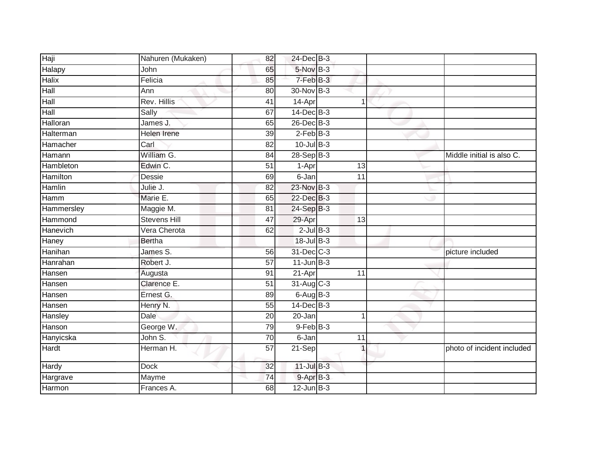| Haji         | Nahuren (Mukaken)   | 82              | 24-Dec B-3      |             |                            |
|--------------|---------------------|-----------------|-----------------|-------------|----------------------------|
| Halapy       | John                | 65              | 5-Nov B-3       |             |                            |
| <b>Halix</b> | Felicia             | 85              | 7-Feb B-3       |             |                            |
| Hall         | Ann                 | 80              | 30-Nov B-3      |             |                            |
| Hall         | Rev. Hillis         | $\overline{41}$ | 14-Apr          | -1          |                            |
| Hall         | Sally               | 67              | $14$ -Dec $B-3$ |             |                            |
| Halloran     | James J.            | 65              | 26-Dec B-3      |             |                            |
| Halterman    | <b>Helen Irene</b>  | 39              | $2$ -Feb $B-3$  |             |                            |
| Hamacher     | Carl                | 82              | $10$ -Jul $B-3$ |             |                            |
| Hamann       | William G.          | 84              | $28-Sep$ B-3    |             | Middle initial is also C.  |
| Hambleton    | Edwin C.            | 51              | 1-Apr           | 13          |                            |
| Hamilton     | Dessie              | 69              | 6-Jan           | 11          |                            |
| Hamlin       | Julie J.            | 82              | 23-Nov B-3      |             |                            |
| Hamm         | Marie E.            | 65              | 22-Dec B-3      |             |                            |
| Hammersley   | Maggie M.           | 81              | 24-Sep B-3      |             |                            |
| Hammond      | <b>Stevens Hill</b> | 47              | 29-Apr          | 13          |                            |
| Hanevich     | Vera Cherota        | 62              | $2$ -Jul $B-3$  |             |                            |
| Haney        | <b>Bertha</b>       |                 | $18 -$ Jul B-3  |             |                            |
| Hanihan      | James S.            | 56              | 31-Dec C-3      |             | picture included           |
| Hanrahan     | Robert J.           | $\overline{57}$ | $11$ -Jun $B-3$ |             |                            |
| Hansen       | Augusta             | 91              | 21-Apr          | 11          |                            |
| Hansen       | Clarence E.         | $\overline{51}$ | 31-Aug C-3      |             |                            |
| Hansen       | Ernest G.           | 89              | $6-AugB-3$      |             |                            |
| Hansen       | Henry N.            | 55              | $14$ -Dec $B-3$ |             |                            |
| Hansley      | Dale                | 20              | 20-Jan          | $\mathbf 1$ |                            |
| Hanson       | George W.           | 79              | $9$ -Feb $B$ -3 |             |                            |
| Hanyicska    | John S.             | $\overline{70}$ | 6-Jan           | 11          |                            |
| Hardt        | Herman H.           | 57              | $21-Sep$        |             | photo of incident included |
| <b>Hardy</b> | <b>Dock</b>         | 32              | $11$ -Jul $B-3$ |             |                            |
| Hargrave     | Mayme               | 74              | 9-Apr B-3       |             |                            |
| Harmon       | Frances A.          | 68              | $12$ -Jun $B-3$ |             |                            |
|              |                     |                 |                 |             |                            |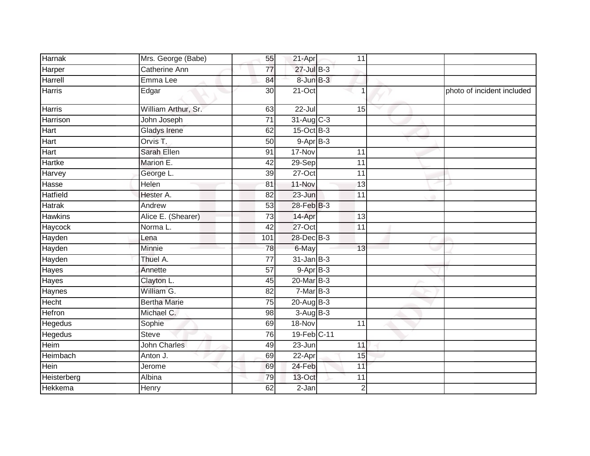| Mrs. George (Babe)   | 55              |            | 11                                                                                                                                                                                                                                              |                            |
|----------------------|-----------------|------------|-------------------------------------------------------------------------------------------------------------------------------------------------------------------------------------------------------------------------------------------------|----------------------------|
| <b>Catherine Ann</b> | $\overline{77}$ |            |                                                                                                                                                                                                                                                 |                            |
| Emma Lee             | 84              |            |                                                                                                                                                                                                                                                 |                            |
| Edgar                | 30              | $21-Oct$   |                                                                                                                                                                                                                                                 | photo of incident included |
| William Arthur, Sr.  | 63              | 22-Jul     | 15                                                                                                                                                                                                                                              |                            |
| John Joseph          | $\overline{71}$ |            |                                                                                                                                                                                                                                                 |                            |
| <b>Gladys Irene</b>  | 62              |            |                                                                                                                                                                                                                                                 |                            |
| Orvis <sub>T.</sub>  | $\overline{50}$ |            |                                                                                                                                                                                                                                                 |                            |
| Sarah Ellen          | 91              | 17-Nov     | 11                                                                                                                                                                                                                                              |                            |
| Marion E.            | 42              |            | 11                                                                                                                                                                                                                                              |                            |
| George L.            | 39              | $27-Oct$   | 11                                                                                                                                                                                                                                              |                            |
| Helen                | 81              | 11-Nov     | 13                                                                                                                                                                                                                                              |                            |
| Hester A.            | $\overline{82}$ | 23-Jun     | $\overline{11}$                                                                                                                                                                                                                                 |                            |
| Andrew               | 53              |            |                                                                                                                                                                                                                                                 |                            |
| Alice E. (Shearer)   | $\overline{73}$ | 14-Apr     | $\overline{13}$                                                                                                                                                                                                                                 |                            |
| Norma L.             | 42              |            | 11                                                                                                                                                                                                                                              |                            |
| Lena                 | 101             |            |                                                                                                                                                                                                                                                 |                            |
| Minnie               | 78              | 6-May      | 13                                                                                                                                                                                                                                              |                            |
| Thuel A.             | $\overline{77}$ |            |                                                                                                                                                                                                                                                 |                            |
| Annette              | 57              |            |                                                                                                                                                                                                                                                 |                            |
| Clayton L.           | 45              |            |                                                                                                                                                                                                                                                 |                            |
| William G.           | 82              |            |                                                                                                                                                                                                                                                 |                            |
| <b>Bertha Marie</b>  | 75              |            |                                                                                                                                                                                                                                                 |                            |
| Michael C.           | 98              |            |                                                                                                                                                                                                                                                 |                            |
| Sophie               | 69              | 18-Nov     | 11                                                                                                                                                                                                                                              |                            |
| <b>Steve</b>         | 76              |            |                                                                                                                                                                                                                                                 |                            |
| <b>John Charles</b>  | 49              | $23 - Jun$ | 11                                                                                                                                                                                                                                              |                            |
| Anton J.             | 69              | 22-Apr     | 15                                                                                                                                                                                                                                              |                            |
| Jerome               | 69              |            | 11                                                                                                                                                                                                                                              |                            |
| Albina               | 79              | 13-Oct     | 11                                                                                                                                                                                                                                              |                            |
| Henry                | 62              | 2-Jan      | $\overline{2}$                                                                                                                                                                                                                                  |                            |
|                      |                 |            | 21-Apr<br>27-Jul B-3<br>8-Jun B-3<br>31-Aug C-3<br>$15$ -Oct B-3<br>$9-AprB-3$<br>29-Sep<br>28-Feb B-3<br>27-Oct<br>28-Dec B-3<br>$31$ -Jan $B-3$<br>$9-AprB-3$<br>20-Mar B-3<br>7-Mar B-3<br>20-Aug B-3<br>$3-AugB-3$<br>19-Feb C-11<br>24-Feb |                            |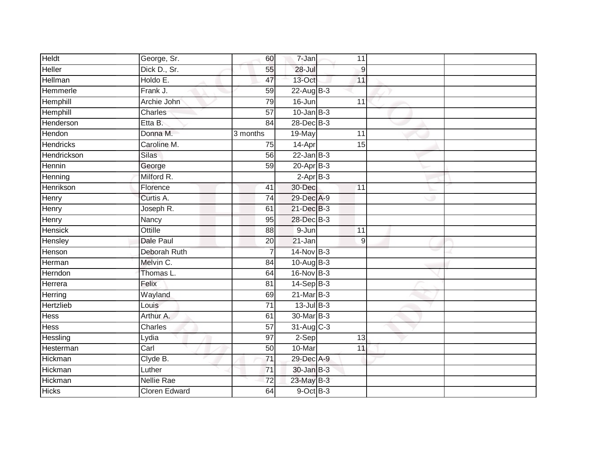| Heldt          | George, Sr.          | 60              | 7-Jan           | 11               |  |
|----------------|----------------------|-----------------|-----------------|------------------|--|
| Heller         | Dick D., Sr.         | 55              | $28 -$ Jul      | $\boldsymbol{9}$ |  |
| Hellman        | Holdo E.             | 47              | 13-Oct          | 11               |  |
| Hemmerle       | Frank J.             | 59              | $22$ -Aug $B-3$ |                  |  |
| Hemphill       | Archie John          | 79              | $16 - Jun$      | $\overline{11}$  |  |
| Hemphill       | Charles              | $\overline{57}$ | $10$ -Jan B-3   |                  |  |
| Henderson      | Etta B.              | 84              | 28-Dec B-3      |                  |  |
| Hendon         | Donna M.             | 3 months        | 19-May          | 11               |  |
| Hendricks      | Caroline M.          | 75              | 14-Apr          | 15               |  |
| Hendrickson    | <b>Silas</b>         | 56              | $22$ -Jan B-3   |                  |  |
| Hennin         | George               | 59              | $20 - Apr$ B-3  |                  |  |
| Henning        | Milford R.           |                 | $2-AprB-3$      |                  |  |
| Henrikson      | Florence             | 41              | 30-Dec          | 11               |  |
| Henry          | Curtis A.            | 74              | 29-Dec A-9      |                  |  |
| Henry          | Joseph R.            | 61              | 21-Dec B-3      |                  |  |
| Henry          | Nancy                | 95              | 28-Dec B-3      |                  |  |
| <b>Hensick</b> | Ottille              | 88              | $9 - Jun$       | 11               |  |
| Hensley        | <b>Dale Paul</b>     | 20              | 21-Jan          | 9                |  |
| Henson         | Deborah Ruth         |                 | 14-Nov B-3      |                  |  |
| Herman         | Melvin C.            | 84              | 10-Aug B-3      |                  |  |
| Herndon        | Thomas L.            | 64              | 16-Nov B-3      |                  |  |
| Herrera        | Felix                | 81              | $14-Sep$ B-3    |                  |  |
| Herring        | Wayland              | 69              | $21$ -Mar $B-3$ |                  |  |
| Hertzlieb      | Louis                | $\overline{71}$ | $13$ -Jul $B-3$ |                  |  |
| Hess           | Arthur A.            | 61              | 30-Mar B-3      |                  |  |
| <b>Hess</b>    | Charles              | 57              | 31-Aug C-3      |                  |  |
| Hessling       | Lydia                | 97              | $2-Sep$         | 13               |  |
| Hesterman      | Carl                 | 50              | 10-Mar          | 11               |  |
| Hickman        | Clyde B.             | 71              | 29-Dec A-9      |                  |  |
| Hickman        | Luther               | $\overline{71}$ | 30-Jan B-3      |                  |  |
| Hickman        | <b>Nellie Rae</b>    | 72              | 23-May B-3      |                  |  |
| <b>Hicks</b>   | <b>Cloren Edward</b> | 64              | $9$ -Oct $B$ -3 |                  |  |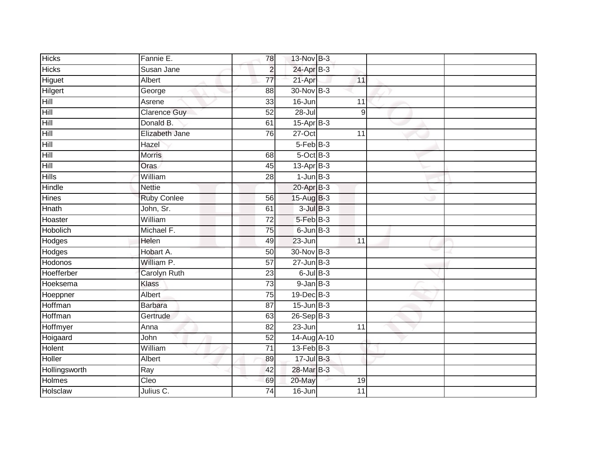| <b>Hicks</b>   | Fannie E.                | 78              | 13-Nov B-3       |                 |  |
|----------------|--------------------------|-----------------|------------------|-----------------|--|
| <b>Hicks</b>   | Susan Jane               | $\overline{2}$  | 24-Apr B-3       |                 |  |
| Higuet         | Albert                   | $\overline{77}$ | 21-Apr           | 11              |  |
| Hilgert        | George                   | 88              | 30-Nov B-3       |                 |  |
| Hill           | Asrene                   | $\overline{33}$ | $16 - Jun$       | 11              |  |
| Hill           | <b>Clarence Guy</b>      | 52              | $28 -$ Jul       | 9               |  |
| Hill           | Donald B.                | 61              | $15$ -Apr $B-3$  |                 |  |
| Hill           | Elizabeth Jane           | 76              | 27-Oct           | 11              |  |
| Hill           | Hazel                    |                 | $5-FebB-3$       |                 |  |
| Hill           | <b>Morris</b>            | 68              | $5$ -Oct $B-3$   |                 |  |
| Hill           | Oras                     | 45              | $13-Apr$ B-3     |                 |  |
| <b>Hills</b>   | William                  | 28              | $1$ -Jun $B-3$   |                 |  |
| Hindle         | <b>Nettie</b>            |                 | $20$ -Apr $B-3$  |                 |  |
| <b>Hines</b>   | <b>Ruby Conlee</b>       | 56              | 15-Aug B-3       |                 |  |
| <b>Hnath</b>   | John, Sr.                | 61              | $3$ -Jul $B-3$   |                 |  |
| Hoaster        | William                  | $\overline{72}$ | 5-Feb B-3        |                 |  |
| Hobolich       | Michael F.               | $\overline{75}$ | $6$ -Jun $B-3$   |                 |  |
| Hodges         | Helen                    | 49              | 23-Jun           | $\overline{11}$ |  |
| <b>Hodges</b>  | Hobart A.                | 50              | 30-Nov B-3       |                 |  |
| <b>Hodonos</b> | William P.               | 57              | $27 - Jun$ $B-3$ |                 |  |
| Hoefferber     | <b>Carolyn Ruth</b>      | 23              | $6$ -Jul $B$ -3  |                 |  |
| Hoeksema       | Klass                    | 73              | $9$ -Jan $B$ -3  |                 |  |
| Hoeppner       | Albert                   | 75              | 19-Dec B-3       |                 |  |
| Hoffman        | <b>Barbara</b>           | 87              | $15$ -Jun $B-3$  |                 |  |
| Hoffman        | Gertrude                 | 63              | 26-Sep B-3       |                 |  |
| Hoffmyer       | Anna                     | 82              | $23 - Jun$       | 11              |  |
| Hoigaard       | John                     | 52              | 14-Aug A-10      |                 |  |
| Holent         | William                  | 71              | $13$ -Feb $B-3$  |                 |  |
| Holler         | Albert                   | 89              | 17-Jul B-3       |                 |  |
| Hollingsworth  | Ray                      | 42              | 28-Mar B-3       |                 |  |
| Holmes         | $\overline{\text{Cleo}}$ | 69              | 20-May           | 19              |  |
| Holsclaw       | Julius C.                | $\overline{74}$ | $16 - Jun$       | 11              |  |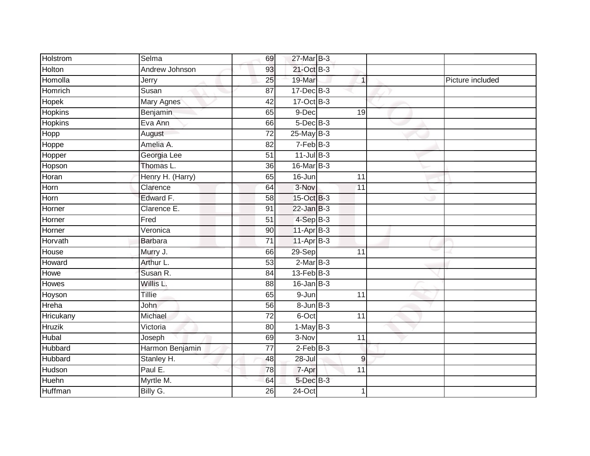| Holstrom       | Selma             | 69              | 27-Mar B-3      |                 |                  |
|----------------|-------------------|-----------------|-----------------|-----------------|------------------|
| Holton         | Andrew Johnson    | 93              | 21-Oct B-3      |                 |                  |
| Homolla        | Jerry             | 25              | 19-Mar          | $\overline{1}$  | Picture included |
| Homrich        | Susan             | 87              | 17-Dec B-3      |                 |                  |
| <b>Hopek</b>   | <b>Mary Agnes</b> | 42              | 17-Oct B-3      |                 |                  |
| Hopkins        | Benjamin          | 65              | 9-Dec           | 19              |                  |
| <b>Hopkins</b> | Eva Ann           | 66              | $5$ -Dec $B$ -3 |                 |                  |
| Hopp           | August            | $\overline{72}$ | $25$ -May $B-3$ |                 |                  |
| Hoppe          | Amelia A.         | 82              | $7-FebB-3$      |                 |                  |
| Hopper         | Georgia Lee       | $\overline{51}$ | $11$ -Jul $B-3$ |                 |                  |
| Hopson         | Thomas L.         | 36              | 16-Mar B-3      |                 |                  |
| Horan          | Henry H. (Harry)  | 65              | 16-Jun          | $\overline{11}$ |                  |
| Horn           | Clarence          | 64              | 3-Nov           | 11              |                  |
| Horn           | Edward F.         | $\overline{58}$ | 15-Oct B-3      |                 |                  |
| Horner         | Clarence E.       | 91              | $22$ -Jan B-3   |                 |                  |
| Horner         | Fred              | $\overline{51}$ | $4-Sep$ B-3     |                 |                  |
| Horner         | Veronica          | 90              | 11-Apr B-3      |                 |                  |
| Horvath        | Barbara           | $\overline{71}$ | $11-Apr$ B-3    |                 |                  |
| House          | Murry J.          | 66              | 29-Sep          | $\overline{11}$ |                  |
| Howard         | Arthur L.         | 53              | $2-MarB-3$      |                 |                  |
| Howe           | Susan R.          | 84              | $13$ -Feb $B-3$ |                 |                  |
| Howes          | Willis L.         | 88              | $16$ -Jan $B-3$ |                 |                  |
| Hoyson         | Tillie            | 65              | 9-Jun           | 11              |                  |
| Hreha          | <b>John</b>       | 56              | $8 - Jun$ $B-3$ |                 |                  |
| Hricukany      | Michael           | $\overline{72}$ | 6-Oct           | 11              |                  |
| <b>Hruzik</b>  | Victoria          | 80              | $1-MayB-3$      |                 |                  |
| Hubal          | Joseph            | 69              | 3-Nov           | $\overline{11}$ |                  |
| Hubbard        | Harmon Benjamin   | 77              | $2$ -Feb $B-3$  |                 |                  |
| Hubbard        | Stanley H.        | 48              | $28 -$ Jul      | 9               |                  |
| Hudson         | Paul E.           | 78              | 7-Apr           | 11              |                  |
| Huehn          | Myrtle M.         | 64              | 5-Dec B-3       |                 |                  |
| <b>Huffman</b> | Billy G.          | 26              | $24$ -Oct       | 1               |                  |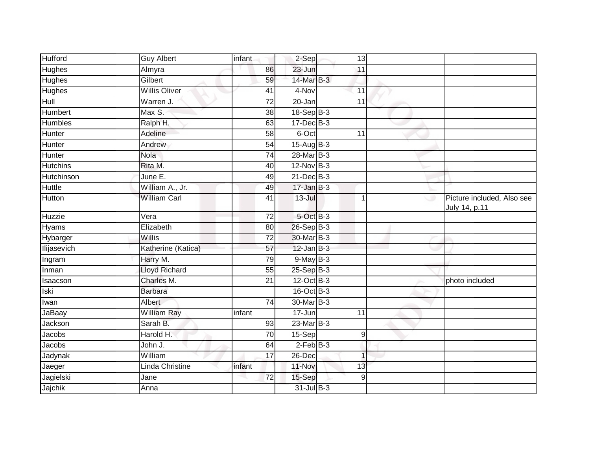| <b>Hufford</b>     | <b>Guy Albert</b>    | infant          | 2-Sep            | 13         |   |                                             |
|--------------------|----------------------|-----------------|------------------|------------|---|---------------------------------------------|
| <b>Hughes</b>      | Almyra               | 86              | 23-Jun           | 11         |   |                                             |
| <b>Hughes</b>      | Gilbert              | 59              | 14-Mar B-3       |            |   |                                             |
| <b>Hughes</b>      | <b>Willis Oliver</b> | 41              | $4-Nov$          | 11         |   |                                             |
| Hull               | Warren J.            | $\overline{72}$ | 20-Jan           | 11         |   |                                             |
| Humbert            | Max S.               | $\overline{38}$ | 18-Sep B-3       |            |   |                                             |
| <b>Humbles</b>     | Ralph H.             | 63              | 17-Dec B-3       |            |   |                                             |
| Hunter             | Adeline              | 58              | 6-Oct            | 11         |   |                                             |
| Hunter             | Andrew               | 54              | $15$ -Aug $B$ -3 |            |   |                                             |
| Hunter             | <b>Nola</b>          | $\overline{74}$ | 28-Mar B-3       |            |   |                                             |
| <b>Hutchins</b>    | Rita M.              | 40              | $12$ -Nov $B-3$  |            |   |                                             |
| Hutchinson         | June E.              | 49              | $21$ -Dec $B-3$  |            |   |                                             |
| Huttle             | William A., Jr.      | 49              | $17 - Jan$ $B-3$ |            |   |                                             |
| Hutton             | <b>William Carl</b>  | 41              | 13-Jul           | 1          | ت | Picture included, Also see<br>July 14, p.11 |
| Huzzie             | Vera                 | $\overline{72}$ | 5-Oct B-3        |            |   |                                             |
| Hyams              | Elizabeth            | 80              | $26-Sep$ B-3     |            |   |                                             |
| Hybarger           | Willis               | 72              | 30-Mar B-3       |            |   |                                             |
| <b>Ilijasevich</b> | Katherine (Katica)   | 57              | $12$ -Jan B-3    |            |   |                                             |
| Ingram             | Harry M.             | 79              | $9$ -May B-3     |            |   |                                             |
| Inman              | <b>Lloyd Richard</b> | 55              | $25-Sep$ $B-3$   |            |   |                                             |
| Isaacson           | Charles M.           | 21              | 12-Oct B-3       |            |   | photo included                              |
| Iski               | <b>Barbara</b>       |                 | 16-Oct B-3       |            |   |                                             |
| Iwan               | Albert               | 74              | 30-Mar B-3       |            |   |                                             |
| JaBaay             | <b>William Ray</b>   | infant          | 17-Jun           | 11         |   |                                             |
| Jackson            | Sarah B.             | 93              | $23$ -Mar $B-3$  |            |   |                                             |
| Jacobs             | Harold H.            | 70              | 15-Sep           | $\hbox{9}$ |   |                                             |
| Jacobs             | John J.              | 64              | $2$ -Feb $B-3$   |            |   |                                             |
| Jadynak            | William              | 17              | 26-Dec           | 1          |   |                                             |
| Jaeger             | Linda Christine      | infant          | 11-Nov           | 13         |   |                                             |
| Jagielski          | Jane                 | 72              | 15-Sep           | 9          |   |                                             |
| Jajchik            | Anna                 |                 | 31-Jul B-3       |            |   |                                             |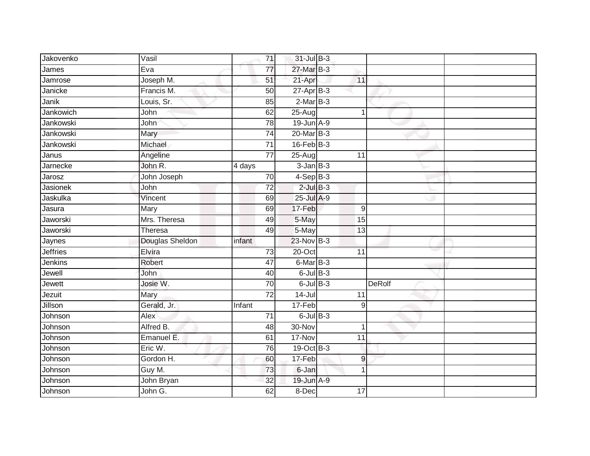| Jakovenko       | Vasil           | 71              | 31-Jul B-3      |                  |  |
|-----------------|-----------------|-----------------|-----------------|------------------|--|
| James           | Eva             | 77              | 27-Mar B-3      |                  |  |
| Jamrose         | Joseph M.       | 51              | 21-Apr          | 11               |  |
| Janicke         | Francis M.      | 50              | $27$ -Apr $B-3$ |                  |  |
| Janik           | Louis, Sr.      | 85              | $2-MarB-3$      |                  |  |
| Jankowich       | John            | 62              | 25-Aug          | $\mathbf 1$      |  |
| Jankowski       | John            | $\overline{78}$ | $19$ -Jun $A-9$ |                  |  |
| Jankowski       | Mary            | 74              | 20-Mar B-3      |                  |  |
| Jankowski       | Michael         | $\overline{71}$ | $16$ -Feb $B-3$ |                  |  |
| Janus           | Angeline        | $\overline{77}$ | $25 - Aug$      | 11               |  |
| Jarnecke        | John R.         | 4 days          | $3$ -Jan $B-3$  |                  |  |
| Jarosz          | John Joseph     | 70              | $4-SepB-3$      |                  |  |
| <b>Jasionek</b> | John            | 72              | $2$ -Jul $B-3$  |                  |  |
| Jaskulka        | Vincent         | 69              | 25-Jul A-9      |                  |  |
| Jasura          | Mary            | 69              | 17-Feb          | $\boldsymbol{9}$ |  |
| Jaworski        | Mrs. Theresa    | 49              | 5-May           | 15               |  |
| Jaworski        | Theresa         | 49              | 5-May           | $\overline{13}$  |  |
| Jaynes          | Douglas Sheldon | infant          | 23-Nov B-3      |                  |  |
| <b>Jeffries</b> | Elvira          | 73              | 20-Oct          | 11               |  |
| Jenkins         | Robert          | 47              | $6$ -Mar $B-3$  |                  |  |
| Jewell          | John            | 40              | $6$ -Jul $B$ -3 |                  |  |
| Jewett          | Josie W.        | $\overline{70}$ | $6$ -Jul $B-3$  | <b>DeRolf</b>    |  |
| Jezuit          | Mary            | $\overline{72}$ | $14 -$ Jul      | 11               |  |
| Jillson         | Gerald, Jr.     | Infant          | 17-Feb          | 9                |  |
| Johnson         | Alex            | 71              | $6$ -Jul $B$ -3 |                  |  |
| Johnson         | Alfred B.       | 48              | 30-Nov          | 1                |  |
| Johnson         | Emanuel E.      | 61              | 17-Nov          | $\overline{11}$  |  |
| Johnson         | Eric W.         | 76              | 19-Oct B-3      |                  |  |
| Johnson         | Gordon H.       | 60              | 17-Feb          | 9                |  |
| Johnson         | Guy M.          | 73              | 6-Jan           | 1                |  |
| Johnson         | John Bryan      | 32              | 19-Jun A-9      |                  |  |
| Johnson         | John G.         | 62              | 8-Dec           | 17               |  |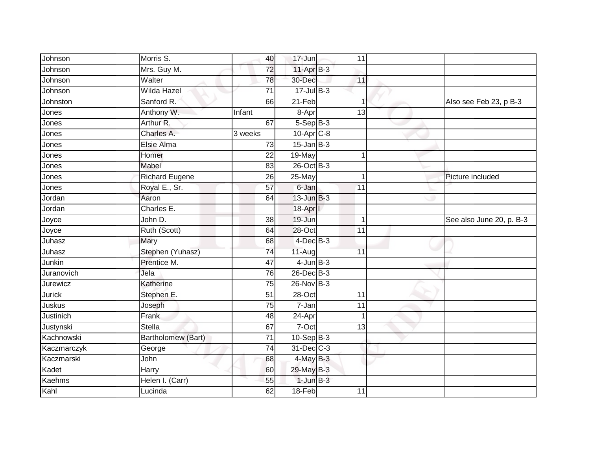| Johnson       | Morris S.             | 40              | 17-Jun          | 11              |                          |
|---------------|-----------------------|-----------------|-----------------|-----------------|--------------------------|
| Johnson       | Mrs. Guy M.           | 72              | $11-AprB-3$     |                 |                          |
| Johnson       | Walter                | 78              | 30-Dec          | 11              |                          |
| Johnson       | Wilda Hazel           | 71              | $17 -$ Jul B-3  |                 |                          |
| Johnston      | Sanford R.            | 66              | $21-Feb$        | 1               | Also see Feb 23, p B-3   |
| Jones         | Anthony W.            | Infant          | 8-Apr           | $\overline{13}$ |                          |
| Jones         | Arthur R.             | 67              | $5-Sep$ $B-3$   |                 |                          |
| Jones         | Charles A.            | 3 weeks         | $10$ -Apr $C-8$ |                 |                          |
| Jones         | Elsie Alma            | 73              | $15$ -Jan B-3   |                 |                          |
| Jones         | Homer                 | $\overline{22}$ | 19-May          |                 |                          |
| Jones         | Mabel                 | 83              | 26-Oct B-3      |                 |                          |
| Jones         | <b>Richard Eugene</b> | 26              | 25-May          | 1               | Picture included         |
| Jones         | Royal E., Sr.         | 57              | 6-Jan           | 11              |                          |
| Jordan        | Aaron                 | 64              | $13$ -Jun $B-3$ |                 |                          |
| Jordan        | Charles E.            |                 | 18-Aprl         |                 |                          |
| Joyce         | John D.               | 38              | 19-Jun          | 1               | See also June 20, p. B-3 |
| Joyce         | Ruth (Scott)          | 64              | $28 - Oct$      | $\overline{11}$ |                          |
| Juhasz        | Mary                  | 68              | $4$ -Dec $B-3$  |                 |                          |
| Juhasz        | Stephen (Yuhasz)      | 74              | 11-Aug          | 11              |                          |
| Junkin        | Prentice M.           | 47              | $4$ -Jun $B-3$  |                 |                          |
| Juranovich    | Jela                  | 76              | 26-Dec B-3      |                 |                          |
| Jurewicz      | Katherine             | $\overline{75}$ | 26-Nov B-3      |                 |                          |
| Jurick        | Stephen E.            | 51              | $28 - Oct$      | 11              |                          |
| Juskus        | Joseph                | $\overline{75}$ | $7 - Jan$       | 11              |                          |
| Justinich     | Frank                 | 48              | 24-Apr          |                 |                          |
| Justynski     | <b>Stella</b>         | 67              | 7-Oct           | 13              |                          |
| Kachnowski    | Bartholomew (Bart)    | $\overline{71}$ | $10-Sep$ $B-3$  |                 |                          |
| Kaczmarczyk   | George                | 74              | 31-Dec C-3      |                 |                          |
| Kaczmarski    | John                  | 68              | 4-May B-3       |                 |                          |
| Kadet         | Harry                 | 60              | 29-May B-3      |                 |                          |
| <b>Kaehms</b> | Helen I. (Carr)       | 55              | $1$ -Jun $B-3$  |                 |                          |
| Kahl          | Lucinda               | 62              | 18-Feb          | 11              |                          |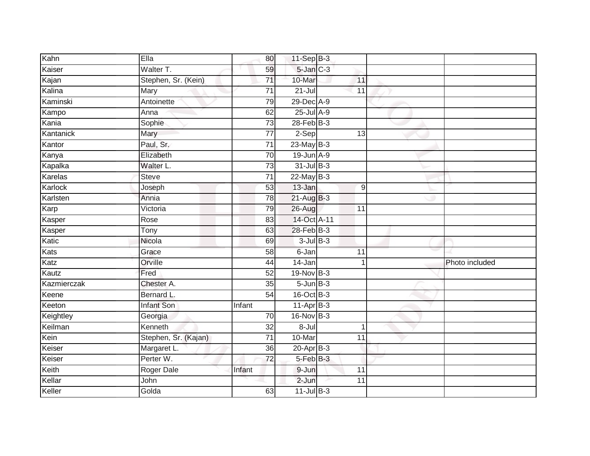| Kahn        | Ella                 | 80              | $11-Sep$ B-3    |                 |                |
|-------------|----------------------|-----------------|-----------------|-----------------|----------------|
| Kaiser      | Walter T.            | 59              | 5-Jan C-3       |                 |                |
| Kajan       | Stephen, Sr. (Kein)  | $\overline{71}$ | 10-Mar          | 11              |                |
| Kalina      | Mary                 | 71              | $21 -$ Jul      | 11              |                |
| Kaminski    | Antoinette           | 79              | 29-Dec A-9      |                 |                |
| Kampo       | Anna                 | 62              | $25$ -Jul $A-9$ |                 |                |
| Kania       | Sophie               | $\overline{73}$ | $28$ -Feb $B-3$ |                 |                |
| Kantanick   | Mary                 | 77              | 2-Sep           | 13              |                |
| Kantor      | Paul, Sr.            | $\overline{71}$ | $23$ -May $B-3$ |                 |                |
| Kanya       | Elizabeth            | 70              | $19$ -Jun $A-9$ |                 |                |
| Kapalka     | Walter L.            | 73              | 31-Jul B-3      |                 |                |
| Karelas     | <b>Steve</b>         | 71              | $22$ -May B-3   |                 |                |
| Karlock     | Joseph               | 53              | 13-Jan          | 9               |                |
| Karlsten    | Annia                | 78              | 21-Aug B-3      |                 |                |
| Karp        | Victoria             | 79              | 26-Aug          | $\overline{11}$ |                |
| Kasper      | Rose                 | 83              | 14-Oct A-11     |                 |                |
| Kasper      | <b>Tony</b>          | 63              | 28-Feb B-3      |                 |                |
| Katic       | Nicola               | 69              | $3$ -Jul $B-3$  |                 |                |
| Kats        | Grace                | 58              | 6-Jan           | 11              |                |
| Katz        | Orville              | 44              | $14 - Jan$      | $\overline{1}$  | Photo included |
| Kautz       | Fred                 | $\overline{52}$ | 19-Nov B-3      |                 |                |
| Kazmierczak | Chester A.           | 35              | $5 - Jun$ $B-3$ |                 |                |
| Keene       | Bernard L.           | 54              | $16$ -Oct B-3   |                 |                |
| Keeton      | <b>Infant Son</b>    | Infant          | $11-Apr$ B-3    |                 |                |
| Keightley   | Georgia              | 70              | 16-Nov B-3      |                 |                |
| Keilman     | Kenneth              | 32              | $8 -$ Jul       | $\mathbf 1$     |                |
| Kein        | Stephen, Sr. (Kajan) | $\overline{71}$ | 10-Mar          | $\overline{11}$ |                |
| Keiser      | Margaret L.          | 36              | $20 - Apr$ B-3  |                 |                |
| Keiser      | Perter W.            | $\overline{72}$ | 5-Feb B-3       |                 |                |
| Keith       | <b>Roger Dale</b>    | Infant          | 9-Jun           | 11              |                |
| Kellar      | John                 |                 | $2-Jun$         | 11              |                |
| Keller      | Golda                | 63              | $11$ -Jul $B-3$ |                 |                |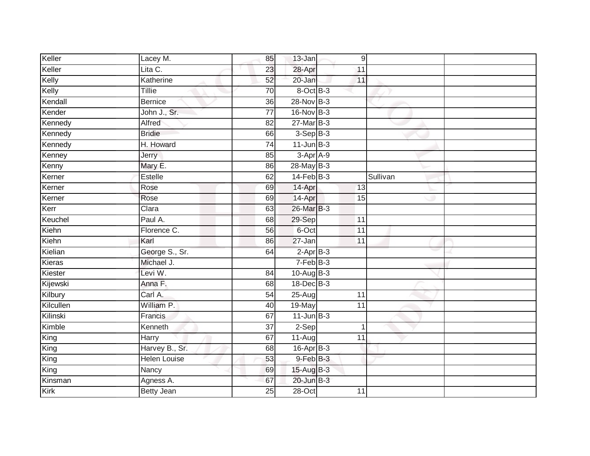| Keller    | Lacey M.            | 85              | 13-Jan          | 9               |          |  |
|-----------|---------------------|-----------------|-----------------|-----------------|----------|--|
| Keller    | Lita C.             | 23              | 28-Apr          | 11              |          |  |
| Kelly     | Katherine           | 52              | 20-Jan          | 11              |          |  |
| Kelly     | Tillie              | 70              | 8-Oct B-3       |                 |          |  |
| Kendall   | <b>Bernice</b>      | $\overline{36}$ | 28-Nov B-3      |                 |          |  |
| Kender    | John J., Sr.        | $\overline{77}$ | 16-Nov B-3      |                 |          |  |
| Kennedy   | Alfred              | 82              | $27$ -Mar $B-3$ |                 |          |  |
| Kennedy   | <b>Bridie</b>       | 66              | $3-SepB-3$      |                 |          |  |
| Kennedy   | H. Howard           | $\overline{74}$ | $11$ -Jun $B-3$ |                 |          |  |
| Kenney    | <b>Jerry</b>        | 85              | 3-Apr A-9       |                 |          |  |
| Kenny     | Mary E.             | 86              | 28-May B-3      |                 |          |  |
| Kerner    | Estelle             | 62              | $14$ -Feb $B-3$ |                 | Sullivan |  |
| Kerner    | Rose                | 69              | 14-Apr          | 13              |          |  |
| Kerner    | Rose                | 69              | 14-Apr          | 15              |          |  |
| Kerr      | Clara               | 63              | 26-Mar B-3      |                 |          |  |
| Keuchel   | Paul A.             | 68              | 29-Sep          | 11              |          |  |
| Kiehn     | Florence C.         | 56              | 6-Oct           | $\overline{11}$ |          |  |
| Kiehn     | Karl                | 86              | 27-Jan          | 11              |          |  |
| Kielian   | George S., Sr.      | 64              | $2-AprB-3$      |                 |          |  |
| Kieras    | Michael J.          |                 | $7-FebB-3$      |                 |          |  |
| Kiester   | Levi W.             | 84              | 10-Aug B-3      |                 |          |  |
| Kijewski  | Anna F.             | 68              | 18-Dec B-3      |                 |          |  |
| Kilbury   | Carl A.             | 54              | $25-Aug$        | 11              |          |  |
| Kilcullen | William P.          | 40              | 19-May          | 11              |          |  |
| Kilinski  | Francis             | 67              | $11$ -Jun $B-3$ |                 |          |  |
| Kimble    | Kenneth             | 37              | 2-Sep           | $\overline{1}$  |          |  |
| King      | Harry               | 67              | 11-Aug          | $\overline{11}$ |          |  |
| King      | Harvey B., Sr.      | 68              | 16-Apr B-3      |                 |          |  |
| King      | <b>Helen Louise</b> | 53              | 9-Feb B-3       |                 |          |  |
| King      | Nancy               | 69              | 15-Aug B-3      |                 |          |  |
| Kinsman   | Agness A.           | 67              | 20-Jun B-3      |                 |          |  |
| Kirk      | <b>Betty Jean</b>   | $\overline{25}$ | $28 - Oct$      | 11              |          |  |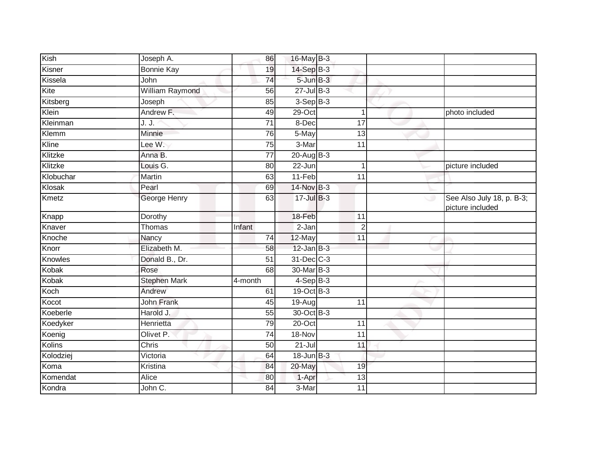| Kish          | Joseph A.              | 86              | 16-May B-3      |                |   |                                               |
|---------------|------------------------|-----------------|-----------------|----------------|---|-----------------------------------------------|
| Kisner        | <b>Bonnie Kay</b>      | 19              | 14-Sep B-3      |                |   |                                               |
| Kissela       | John                   | 74              | 5-Jun B-3       |                |   |                                               |
| Kite          | <b>William Raymond</b> | 56              | $27$ -Jul B-3   |                |   |                                               |
| Kitsberg      | Joseph                 | 85              | $3-Sep B-3$     |                |   |                                               |
| Klein         | Andrew F.              | 49              | $29$ -Oct       | $\mathbf 1$    |   | photo included                                |
| Kleinman      | J. J.                  | 71              | 8-Dec           | 17             |   |                                               |
| Klemm         | <b>Minnie</b>          | 76              | 5-May           | 13             |   |                                               |
| Kline         | Lee W.                 | 75              | 3-Mar           | 11             |   |                                               |
| Klitzke       | Anna B.                | $\overline{77}$ | $20$ -Aug $B-3$ |                |   |                                               |
| Klitzke       | Louis G.               | 80              | 22-Jun          | 1              |   | picture included                              |
| Klobuchar     | Martin                 | 63              | 11-Feb          | 11             |   |                                               |
| Klosak        | Pearl                  | 69              | 14-Nov B-3      |                |   |                                               |
| Kmetz         | <b>George Henry</b>    | 63              | 17-Jul B-3      |                | w | See Also July 18, p. B-3;<br>picture included |
| Knapp         | Dorothy                |                 | 18-Feb          | 11             |   |                                               |
| Knaver        | Thomas                 | Infant          | 2-Jan           | $\overline{2}$ |   |                                               |
| Knoche        | Nancy                  | 74              | 12-May          | 11             |   |                                               |
| Knorr         | Elizabeth M.           | 58              | $12$ -Jan $B-3$ |                |   |                                               |
| Knowles       | Donald B., Dr.         | 51              | 31-Dec C-3      |                |   |                                               |
| Kobak         | Rose                   | 68              | 30-Mar B-3      |                |   |                                               |
| Kobak         | <b>Stephen Mark</b>    | 4-month         | $4-SepB-3$      |                |   |                                               |
| Koch          | Andrew                 | 61              | 19-Oct B-3      |                |   |                                               |
| Kocot         | John Frank             | 45              | 19-Aug          | 11             |   |                                               |
| Koeberle      | Harold J.              | 55              | 30-Oct B-3      |                |   |                                               |
| Koedyker      | Henrietta              | 79              | $20$ -Oct       | 11             |   |                                               |
| Koenig        | Olivet P.              | 74              | 18-Nov          | 11             |   |                                               |
| <b>Kolins</b> | <b>Chris</b>           | 50              | $21 -$ Jul      | 11             |   |                                               |
| Kolodziej     | Victoria               | 64              | 18-Jun B-3      |                |   |                                               |
| Koma          | Kristina               | 84              | 20-May          | 19             |   |                                               |
| Komendat      | Alice                  | 80              | 1-Apr           | 13             |   |                                               |
| Kondra        | John C.                | 84              | 3-Mar           | 11             |   |                                               |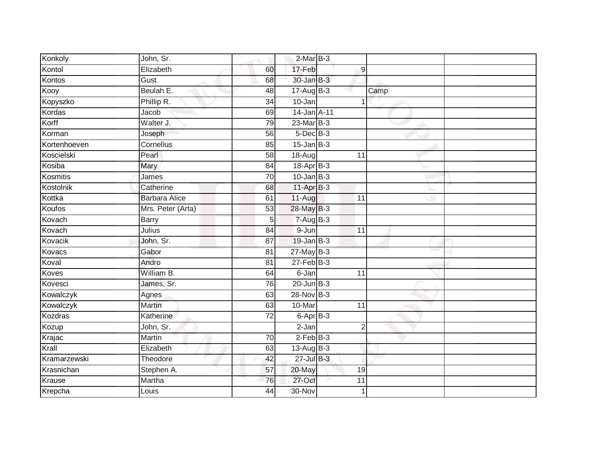| Konkoly      | John, Sr.            |                 | $2-MarB-3$               |                |      |  |
|--------------|----------------------|-----------------|--------------------------|----------------|------|--|
| Kontol       | Elizabeth            | 60              | 17-Feb                   | 9              |      |  |
| Kontos       | Gust                 | 68              | $30 - Jan$ $B-3$         |                |      |  |
| Kooy         | Beulah E.            | 48              | $17-AugB-3$              |                | Camp |  |
| Kopyszko     | Phillip R.           | $\overline{34}$ | 10-Jan                   |                |      |  |
| Kordas       | Jacob                | 69              | 14-Jan A-11              |                |      |  |
| Korff        | Walter J.            | 79              | $23$ -Mar $B-3$          |                |      |  |
| Korman       | Joseph               | 56              | $5$ -Dec $B$ -3          |                |      |  |
| Kortenhoeven | Cornelius            | 85              | $15$ -Jan $B-3$          |                |      |  |
| Koscielski   | Pearl                | 58              | $18-Aug$                 | 11             |      |  |
| Kosiba       | Mary                 | 84              | 18-Apr B-3               |                |      |  |
| Kosmitis     | James                | 70              | $10$ -Jan B-3            |                |      |  |
| Kostolnik    | Catherine            | 68              | 11-Apr B-3               |                |      |  |
| Kottka       | <b>Barbara Alice</b> | 61              | $11-Auq$                 | 11             |      |  |
| Koufos       | Mrs. Peter (Arta)    | $\overline{53}$ | 28-May B-3               |                |      |  |
| Kovach       | <b>Barry</b>         | 5               | $7 - Aug$ B-3            |                |      |  |
| Kovach       | <b>Julius</b>        | 84              | $9 - Jun$                | 11             |      |  |
| Kovacik      | John, Sr.            | 87              | $19$ -Jan $B-3$          |                |      |  |
| Kovacs       | Gabor                | 81              | $27$ -May B-3            |                |      |  |
| Koval        | Andro                | 81              | $27$ -Feb $B-3$          |                |      |  |
| Koves        | William B.           | 64              | 6-Jan                    | 11             |      |  |
| Kovesci      | James, Sr.           | 76              | $20$ -Jun $B-3$          |                |      |  |
| Kowalczyk    | Agnes                | 63              | 28-Nov B-3               |                |      |  |
| Kowalczyk    | Martin               | 63              | 10-Mar                   | 11             |      |  |
| Kozdras      | Katherine            | 72              | $6 - \overline{Apr}$ B-3 |                |      |  |
| Kozup        | John, Sr.            |                 | $2-Jan$                  | $\overline{2}$ |      |  |
| Krajac       | Martin               | 70              | $2$ -Feb $B-3$           |                |      |  |
| Krall        | Elizabeth            | 63              | 13-Aug B-3               |                |      |  |
| Kramarzewski | Theodore             | 42              | $27 -$ Jul $B - 3$       |                |      |  |
| Krasnichan   | Stephen A.           | 57              | 20-May                   | 19             |      |  |
| Krause       | Martha               | 76              | 27-Oct                   | 11             |      |  |
| Krepcha      | Louis                | 44              | 30-Nov                   | 1              |      |  |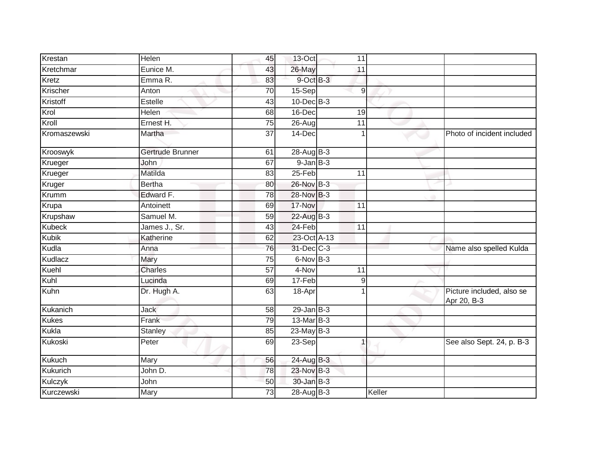| Krestan       | Helen            | 45              | 13-Oct               | 11              |        |                                          |
|---------------|------------------|-----------------|----------------------|-----------------|--------|------------------------------------------|
| Kretchmar     | Eunice M.        | 43              | 26-May               | 11              |        |                                          |
| Kretz         | Emma R.          | 83              | 9-Oct B-3            |                 |        |                                          |
| Krischer      | Anton            | 70              | 15-Sep               | 9               |        |                                          |
| Kristoff      | Estelle          | 43              | $10$ -Dec $B-3$      |                 |        |                                          |
| Krol          | Helen            | 68              | 16-Dec               | 19              |        |                                          |
| Kroll         | Ernest H.        | 75              | $\overline{2}$ 6-Aug | 11              |        |                                          |
| Kromaszewski  | Martha           | $\overline{37}$ | 14-Dec               |                 |        | Photo of incident included               |
| Krooswyk      | Gertrude Brunner | 61              | 28-Aug B-3           |                 |        |                                          |
| Krueger       | John             | 67              | $9$ -Jan $B$ -3      |                 |        |                                          |
| Krueger       | Matilda          | 83              | 25-Feb               | 11              |        |                                          |
| Kruger        | <b>Bertha</b>    | 80              | 26-Nov B-3           |                 |        |                                          |
| Krumm         | Edward F.        | $\overline{78}$ | 28-Nov B-3           |                 |        |                                          |
| Krupa         | Antoinett        | 69              | 17-Nov               | 11              |        |                                          |
| Krupshaw      | Samuel M.        | 59              | 22-Aug B-3           |                 |        |                                          |
| <b>Kubeck</b> | James J., Sr.    | 43              | 24-Feb               | 11              |        |                                          |
| <b>Kubik</b>  | Katherine        | 62              | 23-Oct A-13          |                 |        |                                          |
| Kudla         | Anna             | 76              | 31-Dec C-3           |                 |        | Name also spelled Kulda                  |
| Kudlacz       | Mary             | $\overline{75}$ | $6$ -Nov $B-3$       |                 |        |                                          |
| Kuehl         | <b>Charles</b>   | $\overline{57}$ | 4-Nov                | $\overline{11}$ |        |                                          |
| Kuhl          | Lucinda          | 69              | 17-Feb               | 9               |        |                                          |
| Kuhn          | Dr. Hugh A.      | 63              | 18-Apr               |                 |        | Picture included, also se<br>Apr 20, B-3 |
| Kukanich      | Jack             | 58              | $29$ -Jan B-3        |                 |        |                                          |
| <b>Kukes</b>  | Frank            | 79              | 13-Mar B-3           |                 |        |                                          |
| <b>Kukla</b>  | Stanley          | 85              | $23$ -May B-3        |                 |        |                                          |
| Kukoski       | Peter            | 69              | 23-Sep               |                 |        | See also Sept. 24, p. B-3                |
| Kukuch        | Mary             | 56              | 24-Aug B-3           |                 |        |                                          |
| Kukurich      | John D.          | 78              | 23-Nov B-3           |                 |        |                                          |
| Kulczyk       | John             | 50              | 30-Jan B-3           |                 |        |                                          |
| Kurczewski    | Mary             | $\overline{73}$ | 28-Aug B-3           |                 | Keller |                                          |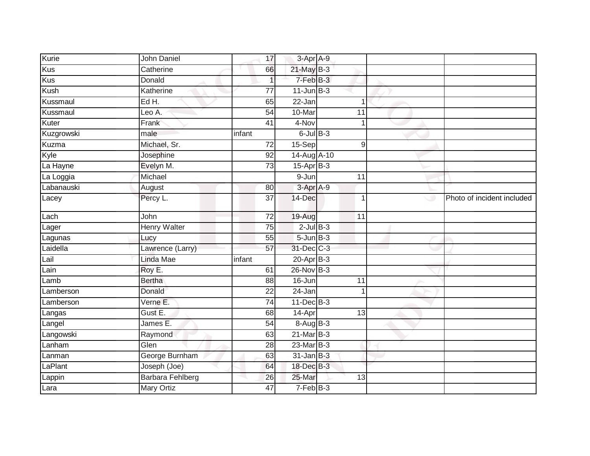| Kurie      | John Daniel             | 17              | 3-Apr A-9       |             |   |                            |
|------------|-------------------------|-----------------|-----------------|-------------|---|----------------------------|
| <b>Kus</b> | Catherine               | 66              | $21$ -May B-3   |             |   |                            |
| Kus        | Donald                  |                 | 7-Feb B-3       |             |   |                            |
| Kush       | Katherine               | 77              | $11$ -Jun $B-3$ |             |   |                            |
| Kussmaul   | Ed H.                   | 65              | 22-Jan          | -1          |   |                            |
| Kussmaul   | Leo A.                  | 54              | 10-Mar          | 11          |   |                            |
| Kuter      | Frank                   | 41              | 4-Nov           | $\mathbf 1$ |   |                            |
| Kuzgrowski | male                    | infant          | $6$ -Jul $B$ -3 |             |   |                            |
| Kuzma      | Michael, Sr.            | 72              | $15-Sep$        | $9\,$       |   |                            |
| Kyle       | Josephine               | 92              | 14-Aug A-10     |             |   |                            |
| La Hayne   | Evelyn M.               | $\overline{73}$ | 15-Apr B-3      |             |   |                            |
| La Loggia  | Michael                 |                 | 9-Jun           | 11          |   |                            |
| Labanauski | August                  | 80              | 3-Apr A-9       |             |   |                            |
| Lacey      | Percy L.                | $\overline{37}$ | 14-Dec          | $\mathbf 1$ | ت | Photo of incident included |
| Lach       | John                    | $\overline{72}$ | 19-Aug          | 11          |   |                            |
| Lager      | <b>Henry Walter</b>     | $\overline{75}$ | $2$ -Jul $B-3$  |             |   |                            |
| Lagunas    | Lucy                    | 55              | $5 - Jun$ $B-3$ |             |   |                            |
| Laidella   | Lawrence (Larry)        | 57              | 31-Dec C-3      |             |   |                            |
| Lail       | Linda Mae               | infant          | $20$ -Apr $B-3$ |             |   |                            |
| Lain       | Roy E.                  | 61              | $26$ -Nov $B-3$ |             |   |                            |
| Lamb       | <b>Bertha</b>           | 88              | 16-Jun          | 11          |   |                            |
| Lamberson  | Donald                  | 22              | 24-Jan          |             |   |                            |
| Lamberson  | Verne E.                | $\overline{74}$ | $11$ -Dec $B-3$ |             |   |                            |
| Langas     | Gust E.                 | 68              | 14-Apr          | 13          |   |                            |
| Langel     | James E.                | 54              | 8-Aug B-3       |             |   |                            |
| Langowski  | Raymond                 | 63              | 21-Mar B-3      |             |   |                            |
| Lanham     | Glen                    | $\overline{28}$ | 23-Mar B-3      |             |   |                            |
| Lanman     | George Burnham          | 63              | $31$ -Jan $B-3$ |             |   |                            |
| LaPlant    | Joseph (Joe)            | 64              | 18-Dec B-3      |             |   |                            |
| Lappin     | <b>Barbara Fehlberg</b> | 26              | 25-Mar          | 13          |   |                            |
| Lara       | <b>Mary Ortiz</b>       | 47              | 7-Feb B-3       |             |   |                            |
|            |                         |                 |                 |             |   |                            |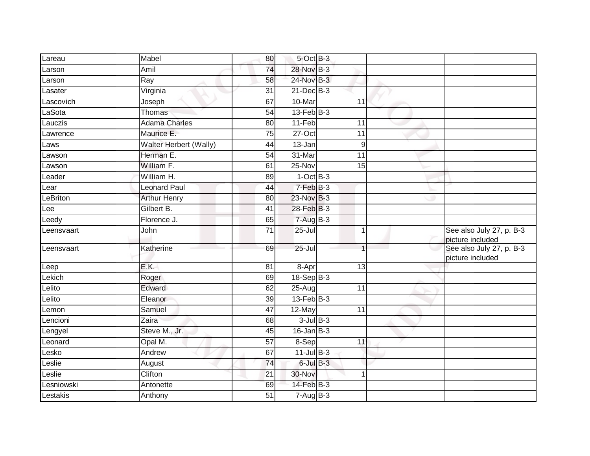| Lareau     | Mabel                  | 80              | 5-Oct B-3         |                  |                                              |
|------------|------------------------|-----------------|-------------------|------------------|----------------------------------------------|
| Larson     | Amil                   | 74              | 28-Nov B-3        |                  |                                              |
| Larson     | Ray                    | 58              | 24-Nov B-3        |                  |                                              |
| Lasater    | Virginia               | 31              | $21$ -Dec $B-3$   |                  |                                              |
| Lascovich  | Joseph                 | 67              | 10-Mar            | 11               |                                              |
| LaSota     | Thomas                 | 54              | $13$ -Feb $ B-3 $ |                  |                                              |
| Lauczis    | <b>Adama Charles</b>   | 80              | 11-Feb            | 11               |                                              |
| Lawrence   | Maurice E.             | 75              | 27-Oct            | 11               |                                              |
| Laws       | Walter Herbert (Wally) | 44              | 13-Jan            | $\boldsymbol{9}$ |                                              |
| Lawson     | Herman E.              | $\overline{54}$ | 31-Mar            | $\overline{11}$  |                                              |
| Lawson     | William F.             | 61              | 25-Nov            | 15               |                                              |
| Leader     | William H.             | 89              | $1-OctB-3$        |                  |                                              |
| Lear       | <b>Leonard Paul</b>    | 44              | $7-FebB-3$        |                  |                                              |
| LeBriton   | <b>Arthur Henry</b>    | 80              | 23-Nov B-3        |                  |                                              |
| Lee        | Gilbert B.             | $\overline{41}$ | 28-Feb B-3        |                  |                                              |
| Leedy      | Florence J.            | 65              | $7-AugB-3$        |                  |                                              |
| Leensvaart | John                   | $\overline{71}$ | $25 -$ Jul        | $\mathbf{1}$     | See also July 27, p. B-3<br>picture included |
| Leensvaart | Katherine              | 69              | $25 -$ Jul        | $\overline{1}$   | See also July 27, p. B-3<br>picture included |
| Leep       | E.K.                   | 81              | 8-Apr             | 13               |                                              |
| Lekich     | Roger                  | 69              | 18-Sep B-3        |                  |                                              |
| Lelito     | Edward                 | 62              | 25-Aug            | 11               |                                              |
| Lelito     | Eleanor                | 39              | $13$ -Feb $ B-3 $ |                  |                                              |
| Lemon      | Samuel                 | 47              | 12-May            | 11               |                                              |
| _encioni   | Zaira                  | 68              | $3$ -Jul $B-3$    |                  |                                              |
| Lengyel    | Steve M., Jr.          | 45              | $16$ -Jan $B-3$   |                  |                                              |
| Leonard    | Opal M.                | $\overline{57}$ | 8-Sep             | 11               |                                              |
| _esko      | Andrew                 | 67              | $11$ -Jul $B-3$   |                  |                                              |
| Leslie     | August                 | 74              | $6$ -Jul $B-3$    |                  |                                              |
| $L$ eslie  | Clifton                | $\overline{21}$ | 30-Nov            | 1                |                                              |
| Lesniowski | Antonette              | 69              | 14-Feb B-3        |                  |                                              |
| Lestakis   | Anthony                | 51              | $7-Aug$ B-3       |                  |                                              |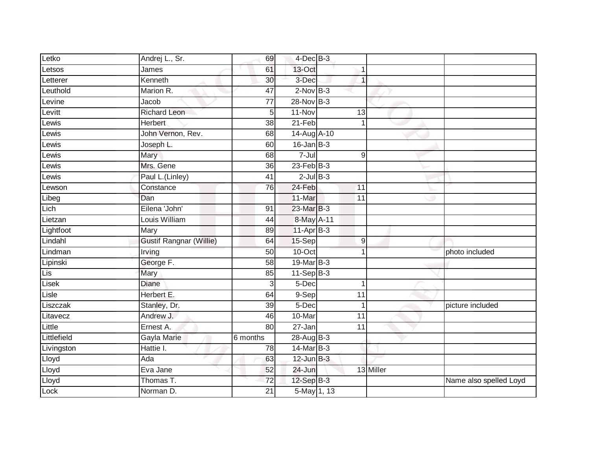| Letko       | Andrej L., Sr.                 | 69              | $4$ -Dec $B$ -3 |                |           |                        |
|-------------|--------------------------------|-----------------|-----------------|----------------|-----------|------------------------|
| Letsos      | James                          | 61              | 13-Oct          |                |           |                        |
| Letterer    | Kenneth                        | 30              | 3-Dec           | 1              |           |                        |
| Leuthold    | Marion R.                      | 47              | $2$ -Nov $B-3$  |                |           |                        |
| Levine      | Jacob                          | $\overline{77}$ | 28-Nov B-3      |                |           |                        |
| Levitt      | <b>Richard Leon</b>            | 5               | 11-Nov          | 13             |           |                        |
| Lewis       | <b>Herbert</b>                 | 38              | 21-Feb          |                |           |                        |
| Lewis       | John Vernon, Rev.              | 68              | 14-Aug A-10     |                |           |                        |
| Lewis       | Joseph L.                      | 60              | $16$ -Jan B-3   |                |           |                        |
| _ewis       | Mary                           | 68              | 7-Jul           | $\overline{9}$ |           |                        |
| Lewis       | Mrs. Gene                      | 36              | $23$ -Feb $B-3$ |                |           |                        |
| Lewis       | Paul L.(Linley)                | 41              | $2$ -Jul $B-3$  |                |           |                        |
| Lewson      | Constance                      | 76              | 24-Feb          | 11             |           |                        |
| Libeg       | Dan                            |                 | 11-Mar          | 11             |           |                        |
| Lich        | Eilena 'John'                  | 91              | 23-Mar B-3      |                |           |                        |
| Lietzan     | Louis William                  | 44              | 8-May A-11      |                |           |                        |
| Lightfoot   | Mary                           | 89              | $11-AprB-3$     |                |           |                        |
| Lindahl     | <b>Gustif Rangnar (Willie)</b> | 64              | 15-Sep          | $\mathsf 9$    |           |                        |
| Lindman     | Irving                         | 50              | 10-Oct          |                |           | photo included         |
| Lipinski    | George F.                      | 58              | 19-Mar B-3      |                |           |                        |
| Lis         | Mary                           | 85              | $11-Sep$ B-3    |                |           |                        |
| Lisek       | Diane                          | 3               | 5-Dec           | 1              |           |                        |
| Lisle       | Herbert E.                     | 64              | 9-Sep           | 11             |           |                        |
| Liszczak    | Stanley, Dr.                   | 39              | $5$ -Dec        | $\mathbf{1}$   |           | picture included       |
| Litavecz    | Andrew J.                      | 46              | 10-Mar          | 11             |           |                        |
| Little      | Ernest A.                      | 80              | 27-Jan          | 11             |           |                        |
| Littlefield | Gayla Marie                    | 6 months        | $28-AugB-3$     |                |           |                        |
| Livingston  | Hattie I.                      | 78              | 14-Mar B-3      |                |           |                        |
| Lloyd       | Ada                            | 63              | $12$ -Jun $B-3$ |                |           |                        |
| Lloyd       | Eva Jane                       | 52              | 24-Jun          |                | 13 Miller |                        |
| Lloyd       | Thomas T.                      | 72              | 12-Sep B-3      |                |           | Name also spelled Loyd |
| Lock        | Norman D.                      | $\overline{21}$ | 5-May 1, 13     |                |           |                        |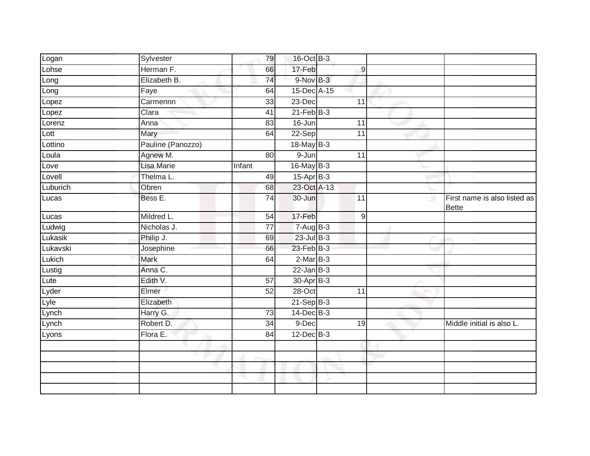| Logan         | Sylvester         | 79              | 16-Oct B-3      |                  |                                              |
|---------------|-------------------|-----------------|-----------------|------------------|----------------------------------------------|
| Lohse         | Herman F.         | 66              | 17-Feb          | $\boldsymbol{9}$ |                                              |
| Long          | Elizabeth B.      | $\overline{74}$ | 9-Nov B-3       |                  |                                              |
| Long          | Faye              | 64              | 15-Dec A-15     |                  |                                              |
| Lopez         | Carmennn          | 33              | $23$ -Dec       | 11               |                                              |
| Lopez         | Clara             | 41              | $21$ -Feb $B-3$ |                  |                                              |
| Lorenz        | Anna              | 83              | 16-Jun          | 11               |                                              |
| Lott          | Mary              | 64              | $22-Sep$        | 11               |                                              |
| Lottino       | Pauline (Panozzo) |                 | $18$ -May B-3   |                  |                                              |
| Loula         | Agnew M.          | 80              | 9-Jun           | 11               |                                              |
| Love          | <b>Lisa Marie</b> | Infant          | 16-May B-3      |                  |                                              |
| Lovell        | Thelma L.         | 49              | $15$ -Apr $B-3$ |                  |                                              |
| Luburich      | Obren             | 68              | 23-Oct A-13     |                  |                                              |
| Lucas         | Bess E.           | 74              | 30-Jun          | 11               | First name is also listed as<br><b>Bette</b> |
| Lucas         | Mildred L.        | 54              | 17-Feb          | $9\,$            |                                              |
| Ludwig        | Nicholas J.       | $\overline{77}$ | $7-AugB-3$      |                  |                                              |
| Lukasik       | Philip J.         | 69              | $23$ -Jul $B-3$ |                  |                                              |
| Lukavski      | Josephine         | 66              | 23-Feb B-3      |                  |                                              |
| Lukich        | <b>Mark</b>       | 64              | $2-MarB-3$      |                  |                                              |
| Lustig        | Anna C.           |                 | $22$ -Jan $B-3$ |                  |                                              |
| Lute          | Edith V.          | 57              | 30-Apr B-3      |                  |                                              |
| Lyder         | Elmer             | 52              | 28-Oct          | 11               |                                              |
|               | Elizabeth         |                 | $21$ -Sep $B-3$ |                  |                                              |
| Lyle<br>Lynch | Harry G.          | $\overline{73}$ | $14$ -Dec $B-3$ |                  |                                              |
| Lynch         | Robert D.         | 34              | 9-Dec           | 19               | Middle initial is also L.                    |
| Lyons         | Flora E.          | 84              | $12$ -Dec $B-3$ |                  |                                              |
|               |                   |                 |                 |                  |                                              |
|               |                   |                 |                 |                  |                                              |
|               |                   |                 |                 |                  |                                              |
|               |                   | a.              |                 |                  |                                              |
|               |                   |                 |                 |                  |                                              |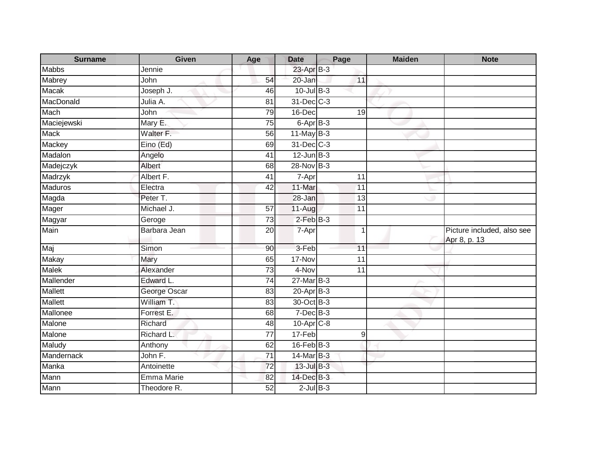| <b>Surname</b> | <b>Given</b>      | Age             | <b>Date</b>     | Page             | <b>Maiden</b> | <b>Note</b>                                |
|----------------|-------------------|-----------------|-----------------|------------------|---------------|--------------------------------------------|
| <b>Mabbs</b>   | Jennie            |                 | 23-Apr B-3      |                  |               |                                            |
| Mabrey         | <b>John</b>       | 54              | 20-Jan          | 11               |               |                                            |
| Macak          | Joseph J.         | 46              | $10$ -Jul B-3   |                  |               |                                            |
| MacDonald      | Julia A.          | $\overline{81}$ | 31-Dec C-3      |                  |               |                                            |
| Mach           | John              | 79              | 16-Dec          | 19               |               |                                            |
| Maciejewski    | Mary E.           | 75              | 6-Apr B-3       |                  |               |                                            |
| Mack           | Walter F.         | 56              | $11$ -May B-3   |                  |               |                                            |
| Mackey         | Eino (Ed)         | 69              | 31-Dec C-3      |                  |               |                                            |
| Madalon        | Angelo            | 41              | $12$ -Jun $B-3$ |                  |               |                                            |
| Madejczyk      | Albert            | 68              | 28-Nov B-3      |                  |               |                                            |
| Madrzyk        | Albert F.         | 41              | 7-Apr           | 11               |               |                                            |
| <b>Maduros</b> | Electra           | 42              | 11-Mar          | 11               |               |                                            |
| Magda          | Peter T.          |                 | 28-Jan          | 13               |               |                                            |
| Mager          | Michael J.        | 57              | $11-Auq$        | 11               |               |                                            |
| Magyar         | Geroge            | 73              | $2$ -Feb $B-3$  |                  |               |                                            |
| Main           | Barbara Jean      | $\overline{20}$ | 7-Apr           | $\mathbf{1}$     |               | Picture included, also see<br>Apr 8, p. 13 |
| Maj            | Simon             | 90              | 3-Feb           | 11               |               |                                            |
| <b>Makay</b>   | Mary              | 65              | 17-Nov          | 11               |               |                                            |
| <b>Malek</b>   | Alexander         | 73              | 4-Nov           | 11               |               |                                            |
| Mallender      | Edward L.         | 74              | 27-Mar B-3      |                  |               |                                            |
| Mallett        | George Oscar      | 83              | $20$ -Apr $B-3$ |                  |               |                                            |
| <b>Mallett</b> | William T.        | 83              | 30-Oct B-3      |                  |               |                                            |
| Mallonee       | Forrest E.        | 68              | $7$ -Dec $B-3$  |                  |               |                                            |
| Malone         | Richard           | 48              | $10-Apr$ $C-8$  |                  |               |                                            |
| Malone         | Richard L.        | 77              | 17-Feb          | $\boldsymbol{9}$ |               |                                            |
| Maludy         | Anthony           | 62              | $16$ -Feb $B-3$ |                  |               |                                            |
| Mandernack     | John F.           | 71              | 14-Mar B-3      |                  |               |                                            |
| Manka          | Antoinette        | 72              | 13-Jul B-3      |                  |               |                                            |
| Mann           | <b>Emma Marie</b> | 82              | 14-Dec B-3      |                  |               |                                            |
| Mann           | Theodore R.       | 52              | $2$ -Jul $B-3$  |                  |               |                                            |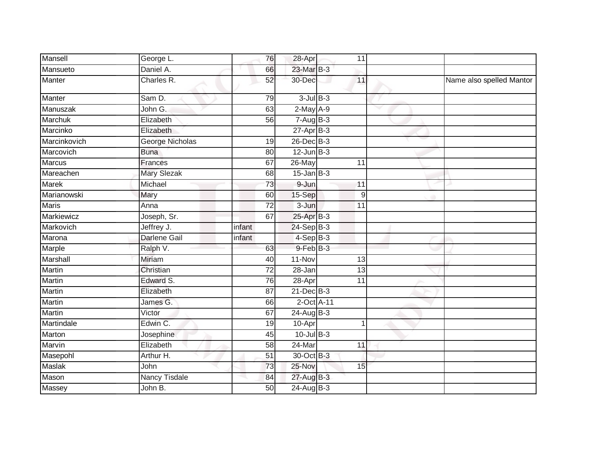| Mansell        | George L.            | 76              | 28-Apr                   | 11              |   |                          |
|----------------|----------------------|-----------------|--------------------------|-----------------|---|--------------------------|
| Mansueto       | Daniel A.            | 66              | 23-Mar B-3               |                 |   |                          |
| Manter         | Charles R.           | 52              | 30-Dec                   | 11              |   | Name also spelled Mantor |
| Manter         | Sam D.               | 79              | $3$ -Jul $B-3$           |                 |   |                          |
| Manuszak       | John G.              | 63              | $2$ -May $A-9$           |                 | ▽ |                          |
| <b>Marchuk</b> | Elizabeth            | 56              | $7 - \overline{Aug}$ B-3 |                 |   |                          |
| Marcinko       | Elizabeth            |                 | $27$ -Apr $B-3$          |                 |   |                          |
| Marcinkovich   | George Nicholas      | $\overline{19}$ | 26-Dec B-3               |                 |   |                          |
| Marcovich      | <b>Buna</b>          | 80              | $12$ -Jun $B-3$          |                 |   |                          |
| Marcus         | Frances              | 67              | 26-May                   | 11              |   |                          |
| Mareachen      | <b>Mary Slezak</b>   | 68              | $15$ -Jan B-3            |                 |   |                          |
| <b>Marek</b>   | Michael              | $\overline{73}$ | 9-Jun                    | 11              |   |                          |
| Marianowski    | Mary                 | 60              | 15-Sep                   | 9               |   |                          |
| <b>Maris</b>   | Anna                 | 72              | 3-Jun                    | 11              |   |                          |
| Markiewicz     | Joseph, Sr.          | 67              | 25-Apr B-3               |                 |   |                          |
| Markovich      | Jeffrey J.           | infant          | 24-Sep B-3               |                 |   |                          |
| Marona         | <b>Darlene Gail</b>  | infant          | $4-Sep$ B-3              |                 |   |                          |
| Marple         | Ralph V.             | 63              | 9-Feb B-3                |                 |   |                          |
| Marshall       | <b>Miriam</b>        | 40              | 11-Nov                   | 13              |   |                          |
| Martin         | Christian            | $\overline{72}$ | 28-Jan                   | $\overline{13}$ |   |                          |
| Martin         | Edward S.            | 76              | $28 -$ Apr               | 11              |   |                          |
| Martin         | Elizabeth            | 87              | $21$ -Dec $B-3$          |                 |   |                          |
| Martin         | James <sub>G.</sub>  | 66              | 2-Oct A-11               |                 |   |                          |
| <b>Martin</b>  | Victor               | 67              | 24-Aug B-3               |                 |   |                          |
| Martindale     | Edwin C.             | 19              | 10-Apr                   | 1               |   |                          |
| Marton         | Josephine            | 45              | $10$ -Jul $B-3$          |                 |   |                          |
| Marvin         | Elizabeth            | 58              | 24-Mar                   | 11              |   |                          |
| Masepohl       | Arthur H.            | 51              | 30-Oct B-3               |                 |   |                          |
| <b>Maslak</b>  | John                 | 73              | 25-Nov                   | 15              |   |                          |
| Mason          | <b>Nancy Tisdale</b> | 84              | 27-Aug B-3               |                 |   |                          |
| Massey         | John B.              | 50              | 24-Aug B-3               |                 |   |                          |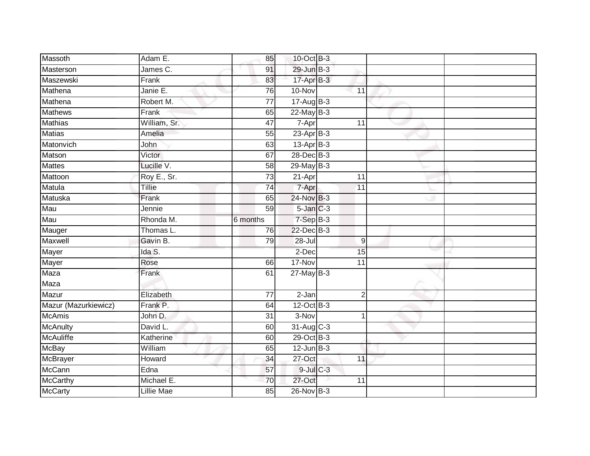| Massoth              | Adam E.           | 85              | 10-Oct B-3          |                 |  |
|----------------------|-------------------|-----------------|---------------------|-----------------|--|
| Masterson            | James C.          | 91              | 29-Jun B-3          |                 |  |
| Maszewski            | Frank             | 83              | $17$ -Apr $B-3$     |                 |  |
| Mathena              | Janie E.          | 76              | 10-Nov              | 11              |  |
| Mathena              | Robert M.         | $\overline{77}$ | $17 - Aug$ B-3      |                 |  |
| <b>Mathews</b>       | Frank             | 65              | $22$ -May B-3       |                 |  |
| <b>Mathias</b>       | William, Sr.      | 47              | 7-Apr               | 11              |  |
| <b>Matias</b>        | Amelia            | 55              | $23$ -Apr $B-3$     |                 |  |
| Matonvich            | John              | 63              | $13-Apr$ B-3        |                 |  |
| Matson               | Victor            | 67              | 28-Dec B-3          |                 |  |
| <b>Mattes</b>        | Lucille V.        | 58              | 29-May B-3          |                 |  |
| Mattoon              | Roy E., Sr.       | $\overline{73}$ | $21-Apr$            | 11              |  |
| Matula               | Tillie            | 74              | 7-Apr               | 11              |  |
| Matuska              | Frank             | 65              | 24-Nov B-3          |                 |  |
| Mau                  | Jennie            | 59              | $5$ -Jan $C-3$      |                 |  |
| Mau                  | Rhonda M.         | 6 months        | $7-Sep$ B-3         |                 |  |
| Mauger               | Thomas L.         | 76              | 22-Dec B-3          |                 |  |
| Maxwell              | Gavin B.          | 79              | $28 -$ Jul          | 9               |  |
| Mayer                | Ida S.            |                 | 2-Dec               | 15              |  |
| Mayer                | Rose              | 66              | 17-Nov              | $\overline{11}$ |  |
| Maza                 | Frank             | 61              | $27$ -May B-3       |                 |  |
| Maza                 |                   |                 |                     |                 |  |
| Mazur                | Elizabeth         | 77              | $\overline{2}$ -Jan | $\overline{2}$  |  |
| Mazur (Mazurkiewicz) | Frank P.          | 64              | $12$ -Oct B-3       |                 |  |
| <b>McAmis</b>        | John D.           | 31              | 3-Nov               |                 |  |
| McAnulty             | David L.          | 60              | 31-Aug C-3          |                 |  |
| <b>McAuliffe</b>     | Katherine         | 60              | 29-Oct B-3          |                 |  |
| <b>McBay</b>         | William           | 65              | $12$ -Jun $B-3$     |                 |  |
| McBrayer             | Howard            | 34              | 27-Oct              | 11              |  |
| <b>McCann</b>        | Edna              | 57              | $9$ -Jul $C$ -3     |                 |  |
| <b>McCarthy</b>      | Michael E.        | 70              | 27-Oct              | 11              |  |
| <b>McCarty</b>       | <b>Lillie Mae</b> | $\overline{85}$ | 26-Nov B-3          |                 |  |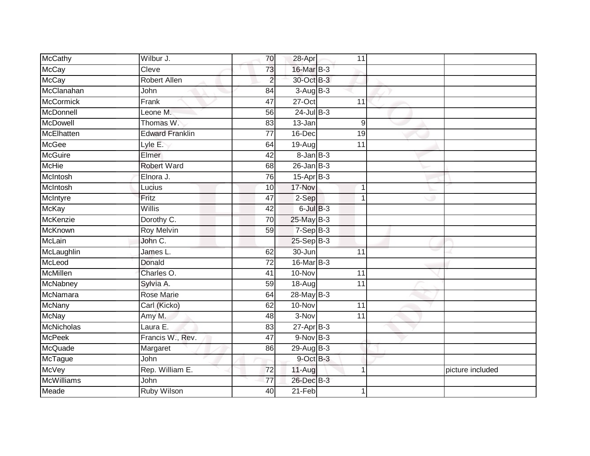| McCathy           | Wilbur J.              | 70              | 28-Apr            | 11              |                  |
|-------------------|------------------------|-----------------|-------------------|-----------------|------------------|
| <b>McCay</b>      | Cleve                  | 73              | 16-Mar B-3        |                 |                  |
| <b>McCay</b>      | <b>Robert Allen</b>    | $\overline{a}$  | 30-Oct B-3        |                 |                  |
| McClanahan        | John                   | 84              | $3-Aug$ B-3       |                 |                  |
| <b>McCormick</b>  | Frank                  | 47              | $27-Oct$          | $\overline{11}$ |                  |
| McDonnell         | Leone M.               | 56              | $24$ -Jul $B-3$   |                 |                  |
| <b>McDowell</b>   | Thomas W.              | 83              | 13-Jan            | 9               |                  |
| McElhatten        | <b>Edward Franklin</b> | 77              | $16$ -Dec         | 19              |                  |
| <b>McGee</b>      | Lyle E.                | 64              | 19-Aug            | 11              |                  |
| <b>McGuire</b>    | Elmer                  | 42              | $8 - Jan$ $B - 3$ |                 |                  |
| <b>McHie</b>      | <b>Robert Ward</b>     | 68              | $26$ -Jan B-3     |                 |                  |
| McIntosh          | Elnora J.              | 76              | $15$ -Apr $B$ -3  |                 |                  |
| McIntosh          | Lucius                 | 10              | 17-Nov            | 1               |                  |
| McIntyre          | Fritz                  | 47              | 2-Sep             | 1               |                  |
| <b>McKay</b>      | Willis                 | 42              | $6$ -Jul $B-3$    |                 |                  |
| McKenzie          | Dorothy C.             | 70              | 25-May B-3        |                 |                  |
| McKnown           | <b>Roy Melvin</b>      | 59              | $7-Sep$ B-3       |                 |                  |
| <b>McLain</b>     | John C.                |                 | $25-Sep$ B-3      |                 |                  |
| McLaughlin        | James L.               | 62              | 30-Jun            | 11              |                  |
| McLeod            | Donald                 | $\overline{72}$ | 16-Mar B-3        |                 |                  |
| McMillen          | Charles O.             | 41              | $10 - Nov$        | $\overline{11}$ |                  |
| McNabney          | Sylvia A.              | 59              | $18-Aug$          | 11              |                  |
| McNamara          | <b>Rose Marie</b>      | 64              | 28-May B-3        |                 |                  |
| <b>McNany</b>     | Carl (Kicko)           | 62              | 10-Nov            | 11              |                  |
| <b>McNay</b>      | Amy M.                 | 48              | 3-Nov             | 11              |                  |
| McNicholas        | Laura E.               | 83              | $27 - Apr$ B-3    |                 |                  |
| <b>McPeek</b>     | Francis W., Rev.       | $\overline{47}$ | 9-Nov B-3         |                 |                  |
| McQuade           | Margaret               | 86              | 29-Aug $B-3$      |                 |                  |
| McTague           | John                   |                 | 9-Oct B-3         |                 |                  |
| <b>McVey</b>      | Rep. William E.        | $\overline{72}$ | 11-Aug            | 1               | picture included |
| <b>McWilliams</b> | John                   | $\overline{77}$ | 26-Dec B-3        |                 |                  |
| Meade             | <b>Ruby Wilson</b>     | $\overline{40}$ | $21-Feb$          |                 |                  |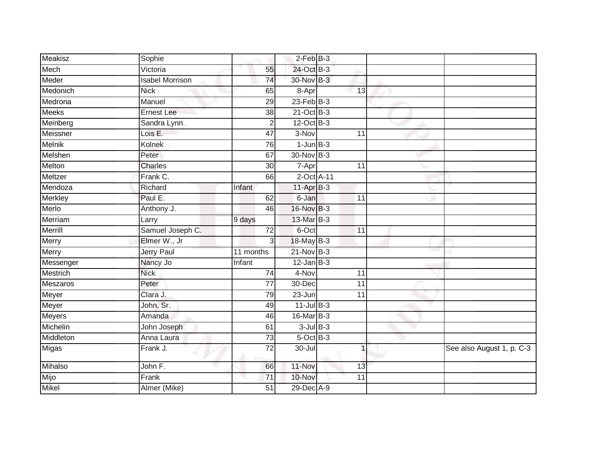| <b>Meakisz</b> | Sophie                 |                 | $2$ -Feb $B-3$    |                 |                           |
|----------------|------------------------|-----------------|-------------------|-----------------|---------------------------|
| Mech           | Victoria               | 55              | 24-Oct B-3        |                 |                           |
| Meder          | <b>Isabel Morrison</b> | 74              | 30-Nov B-3        |                 |                           |
| Medonich       | <b>Nick</b>            | 65              | 8-Apr             | 13              |                           |
| Medrona        | Manuel                 | 29              | $23$ -Feb $ B-3 $ |                 |                           |
| Meeks          | <b>Ernest Lee</b>      | 38              | $21$ -Oct B-3     |                 |                           |
| Meinberg       | Sandra Lynn            | $\overline{2}$  | 12-Oct B-3        |                 |                           |
| Meissner       | Lois $E$ .             | 47              | 3-Nov             | 11              |                           |
| <b>Melnik</b>  | Kolnek                 | 76              | $1$ -Jun $B-3$    |                 |                           |
| Melshen        | Peter                  | 67              | 30-Nov B-3        |                 |                           |
| Melton         | <b>Charles</b>         | 30              | 7-Apr             | 11              |                           |
| Meltzer        | Frank C.               | 66              | 2-Oct A-11        |                 |                           |
| Mendoza        | Richard                | Infant          | $11-Apr$ B-3      |                 |                           |
| Merkley        | Paul E.                | 62              | 6-Jan             | 11              |                           |
| Merlo          | Anthony J.             | 46              | 16-Nov B-3        |                 |                           |
| Merriam        | Larry                  | 9 days          | 13-Mar B-3        |                 |                           |
| Merrill        | Samuel Joseph C.       | $\overline{72}$ | 6-Oct             | $\overline{11}$ |                           |
| Merry          | Elmer W., Jr           | 3               | $18$ -May B-3     |                 |                           |
| Merry          | <b>Jerry Paul</b>      | 11 months       | 21-Nov B-3        |                 |                           |
| Messenger      | Nancy Jo               | Infant          | $12$ -Jan B-3     |                 |                           |
| Mestrich       | <b>Nick</b>            | 74              | 4-Nov             | 11              |                           |
| Meszaros       | Peter                  | $\overline{77}$ | 30-Dec            | $\overline{11}$ |                           |
| Meyer          | Clara J.               | 79              | 23-Jun            | 11              |                           |
| Meyer          | John, Sr.              | 49              | $11$ -Jul $B-3$   |                 |                           |
| Meyers         | Amanda                 | 46              | 16-Mar B-3        |                 |                           |
| Michelin       | John Joseph            | 61              | $3$ -Jul $B-3$    |                 |                           |
| Middleton      | Anna Laura             | $\overline{73}$ | $5$ -Oct $B$ -3   |                 |                           |
| Migas          | Frank J.               | 72              | 30-Jul            | $\overline{1}$  | See also August 1, p. C-3 |
| Mihalso        | John F.                | 66              | 11-Nov            | 13              |                           |
| Mijo           | Frank                  | 71              | 10-Nov            | 11              |                           |
| Mikel          | Almer (Mike)           | 51              | 29-Dec A-9        |                 |                           |
|                |                        |                 |                   |                 |                           |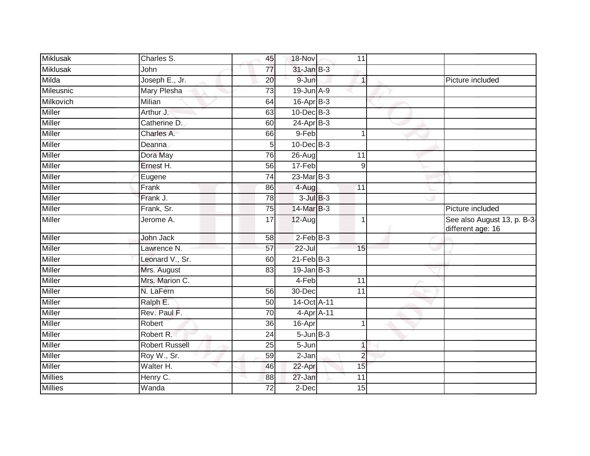| <b>Miklusak</b><br>31-Jan B-3<br>$\overline{77}$<br>John<br>Joseph E., Jr.<br>Milda<br>$9 - Jun$<br>20<br>$\mathbf{1}$<br>Mileusnic<br>19-Jun A-9<br>Mary Plesha<br>73<br>Milkovich<br>$16$ -Apr $B-3$<br><b>Milian</b><br>64<br><b>Miller</b><br>$10$ -Dec $B-3$<br>Arthur J.<br>63<br>Miller<br>Catherine D.<br>24-Apr B-3<br>60<br><b>Miller</b><br>Charles A.<br>9-Feb<br>66<br>1<br><b>Miller</b><br>10-Dec B-3<br>5<br>Deanna<br>Miller<br>Dora May<br>76<br>26-Aug<br>11 |                                                  |
|---------------------------------------------------------------------------------------------------------------------------------------------------------------------------------------------------------------------------------------------------------------------------------------------------------------------------------------------------------------------------------------------------------------------------------------------------------------------------------|--------------------------------------------------|
|                                                                                                                                                                                                                                                                                                                                                                                                                                                                                 |                                                  |
|                                                                                                                                                                                                                                                                                                                                                                                                                                                                                 | Picture included                                 |
|                                                                                                                                                                                                                                                                                                                                                                                                                                                                                 |                                                  |
|                                                                                                                                                                                                                                                                                                                                                                                                                                                                                 |                                                  |
|                                                                                                                                                                                                                                                                                                                                                                                                                                                                                 |                                                  |
|                                                                                                                                                                                                                                                                                                                                                                                                                                                                                 |                                                  |
|                                                                                                                                                                                                                                                                                                                                                                                                                                                                                 |                                                  |
|                                                                                                                                                                                                                                                                                                                                                                                                                                                                                 |                                                  |
|                                                                                                                                                                                                                                                                                                                                                                                                                                                                                 |                                                  |
| <b>Miller</b><br>17-Feb<br>Ernest H.<br>56<br>9                                                                                                                                                                                                                                                                                                                                                                                                                                 |                                                  |
| Miller<br>23-Mar B-3<br>$\overline{74}$<br>Eugene                                                                                                                                                                                                                                                                                                                                                                                                                               |                                                  |
| Miller<br>Frank<br>4-Aug<br>86<br>11                                                                                                                                                                                                                                                                                                                                                                                                                                            |                                                  |
| <b>Miller</b><br>$3$ -Jul $B-3$<br>Frank J.<br>78                                                                                                                                                                                                                                                                                                                                                                                                                               |                                                  |
| Miller<br>14-Mar B-3<br>Frank, Sr.<br>75                                                                                                                                                                                                                                                                                                                                                                                                                                        | Picture included                                 |
| <b>Miller</b><br>17<br>12-Aug<br>Jerome A.<br>1                                                                                                                                                                                                                                                                                                                                                                                                                                 | See also August 13, p. B-3-<br>different age: 16 |
| $2$ -Feb $B-3$<br><b>Miller</b><br>John Jack<br>58                                                                                                                                                                                                                                                                                                                                                                                                                              |                                                  |
| Miller<br>$22$ -Jul<br>Lawrence N.<br>57<br>15                                                                                                                                                                                                                                                                                                                                                                                                                                  |                                                  |
| $21$ -Feb $B-3$<br>Miller<br>Leonard V., Sr.<br>60                                                                                                                                                                                                                                                                                                                                                                                                                              |                                                  |
| <b>Miller</b><br>$19$ -Jan B-3<br>Mrs. August<br>$\overline{83}$                                                                                                                                                                                                                                                                                                                                                                                                                |                                                  |
| Mrs. Marion C.<br>4-Feb<br><b>Miller</b><br>11                                                                                                                                                                                                                                                                                                                                                                                                                                  |                                                  |
| <b>Miller</b><br>N. LaFern<br>30-Dec<br>56<br>11                                                                                                                                                                                                                                                                                                                                                                                                                                |                                                  |
| <b>Miller</b><br>14-Oct A-11<br>Ralph E.<br>50                                                                                                                                                                                                                                                                                                                                                                                                                                  |                                                  |
| Miller<br>Rev. Paul F.<br>4-Apr A-11<br>70                                                                                                                                                                                                                                                                                                                                                                                                                                      |                                                  |
| Miller<br>Robert<br>$\overline{36}$<br>16-Apr<br>$\mathbf{1}$                                                                                                                                                                                                                                                                                                                                                                                                                   |                                                  |
| $5 - Jun$ $B-3$<br><b>Miller</b><br>Robert R.<br>24                                                                                                                                                                                                                                                                                                                                                                                                                             |                                                  |
| <b>Miller</b><br><b>Robert Russell</b><br>$5 - Jun$<br>25<br>$\mathbf{1}$                                                                                                                                                                                                                                                                                                                                                                                                       |                                                  |
| Miller<br>59<br>Roy W., Sr.<br>2-Jan<br>$\overline{2}$                                                                                                                                                                                                                                                                                                                                                                                                                          |                                                  |
| <b>Miller</b><br>Walter H.<br>22-Apr<br>15<br>46                                                                                                                                                                                                                                                                                                                                                                                                                                |                                                  |
| <b>Millies</b><br>Henry C.<br>11<br>88<br>27-Jan                                                                                                                                                                                                                                                                                                                                                                                                                                |                                                  |
| Wanda<br><b>Millies</b><br>72<br>$2$ -Dec<br>15                                                                                                                                                                                                                                                                                                                                                                                                                                 |                                                  |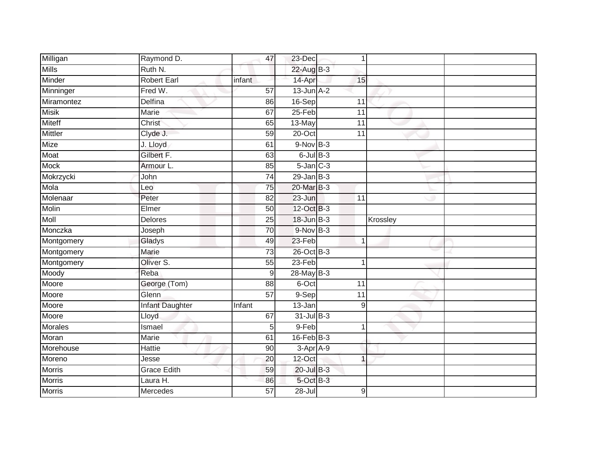| Milligan       | Raymond D.             | 47     | 23-Dec          | 1                |          |  |
|----------------|------------------------|--------|-----------------|------------------|----------|--|
| <b>Mills</b>   | Ruth N.                |        | 22-Aug B-3      |                  |          |  |
| Minder         | <b>Robert Earl</b>     | infant | 14-Apr          | 15               |          |  |
| Minninger      | Fred W.                | 57     | $13$ -Jun $A-2$ |                  |          |  |
| Miramontez     | <b>Delfina</b>         | 86     | 16-Sep          | $\overline{11}$  |          |  |
| <b>Misik</b>   | Marie                  | 67     | $25-Feb$        | $\overline{11}$  |          |  |
| <b>Miteff</b>  | Christ                 | 65     | 13-May          | 11               |          |  |
| <b>Mittler</b> | Clyde J.               | 59     | 20-Oct          | 11               |          |  |
| Mize           | J. Lloyd               | 61     | $9-Nov$ B-3     |                  |          |  |
| Moat           | Gilbert F.             | 63     | $6$ -Jul $B-3$  |                  |          |  |
| <b>Mock</b>    | Armour L.              | 85     | $5$ -Jan $C-3$  |                  |          |  |
| Mokrzycki      | John                   | 74     | $29$ -Jan B-3   |                  |          |  |
| Mola           | Leo                    | 75     | 20-Mar B-3      |                  |          |  |
| Molenaar       | Peter                  | 82     | 23-Jun          | 11               |          |  |
| Molin          | Elmer                  | 50     | 12-Oct B-3      |                  |          |  |
| <b>Moll</b>    | Delores                | 25     | $18$ -Jun $B-3$ |                  | Krossley |  |
| Monczka        | Joseph                 | 70     | $9-Nov$ B-3     |                  |          |  |
| Montgomery     | Gladys                 | 49     | $23-Feb$        | 1                |          |  |
| Montgomery     | Marie                  | 73     | 26-Oct B-3      |                  |          |  |
| Montgomery     | Oliver S.              | 55     | $23-Feb$        |                  |          |  |
| Moody          | Reba                   | 9      | 28-May B-3      |                  |          |  |
| Moore          | George (Tom)           | 88     | 6-Oct           | $\overline{11}$  |          |  |
| Moore          | Glenn                  | 57     | $9-Sep$         | 11               |          |  |
| Moore          | <b>Infant Daughter</b> | Infant | $13 - Jan$      | 9                |          |  |
| Moore          | Lloyd                  | 67     | $31$ -Jul B-3   |                  |          |  |
| <b>Morales</b> | Ismael                 | 5      | 9-Feb           | 1                |          |  |
| Moran          | Marie                  | 61     | $16$ -Feb $B-3$ |                  |          |  |
| Morehouse      | Hattie                 | 90     | 3-Apr A-9       |                  |          |  |
| Moreno         | Jesse                  | 20     | $12$ -Oct       | 1                |          |  |
| <b>Morris</b>  | <b>Grace Edith</b>     | 59     | 20-Jul B-3      |                  |          |  |
| Morris         | Laura H.               | 86     | 5-Oct B-3       |                  |          |  |
| <b>Morris</b>  | Mercedes               | 57     | $28 -$ Jul      | $\boldsymbol{9}$ |          |  |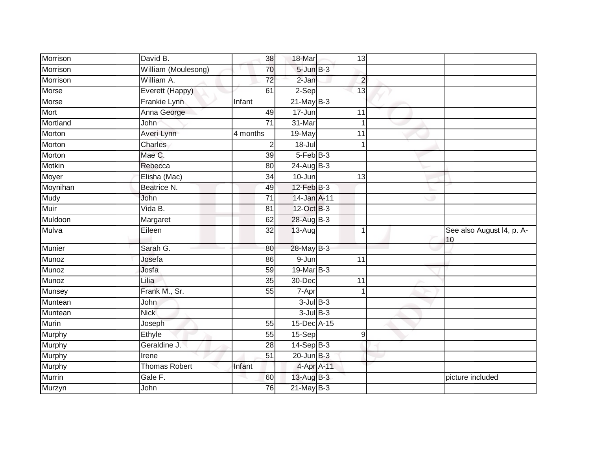| Morrison      | David B.             | 38              | 18-Mar            | 13              |                                 |
|---------------|----------------------|-----------------|-------------------|-----------------|---------------------------------|
| Morrison      | William (Moulesong)  | 70              | $5 - Jun$ $B - 3$ |                 |                                 |
| Morrison      | William A.           | 72              | $2-Jan$           | $\overline{c}$  |                                 |
| Morse         | Everett (Happy)      | 61              | 2-Sep             | $\overline{13}$ |                                 |
| Morse         | Frankie Lynn         | Infant          | $21$ -May B-3     |                 |                                 |
| Mort          | Anna George          | 49              | 17-Jun            | 11              |                                 |
| Mortland      | John                 | 71              | 31-Mar            | 1               |                                 |
| Morton        | Averi Lynn           | 4 months        | 19-May            | 11              |                                 |
| Morton        | Charles              | $\overline{2}$  | $18 -$ Jul        |                 |                                 |
| Morton        | Mae C.               | $\overline{39}$ | $5-FebB-3$        |                 |                                 |
| Motkin        | Rebecca              | 80              | 24-Aug B-3        |                 |                                 |
| Moyer         | Elisha (Mac)         | 34              | 10-Jun            | 13              |                                 |
| Moynihan      | Beatrice N.          | 49              | $12$ -Feb $B-3$   |                 |                                 |
| Mudy          | John                 | $\overline{71}$ | 14-Jan A-11       |                 |                                 |
| Muir          | Vida B.              | 81              | 12-Oct B-3        |                 |                                 |
| Muldoon       | Margaret             | 62              | 28-Aug B-3        |                 |                                 |
| Mulva         | Eileen               | $\overline{32}$ | $13-Aug$          | $\mathbf{1}$    | See also August I4, p. A-<br>10 |
| <b>Munier</b> | Sarah G.             | 80              | 28-May B-3        |                 |                                 |
| Munoz         | Josefa               | 86              | 9-Jun             | 11              |                                 |
| Munoz         | Josfa                | 59              | 19-Mar B-3        |                 |                                 |
| Munoz         | Lilia                | 35              | 30-Dec            | 11              |                                 |
| Munsey        | Frank M., Sr.        | 55              | 7-Apr             |                 |                                 |
| Muntean       | John                 |                 | $3$ -Jul $B-3$    |                 |                                 |
| Muntean       | <b>Nick</b>          |                 | $3$ -Jul $B-3$    |                 |                                 |
| Murin         | Joseph               | 55              | 15-Dec A-15       |                 |                                 |
| Murphy        | Ethyle               | 55              | 15-Sep            | $\overline{9}$  |                                 |
| Murphy        | Geraldine J.         | $\overline{28}$ | $14-Sep$ B-3      |                 |                                 |
| Murphy        | Irene                | $\overline{51}$ | $20$ -Jun $B-3$   |                 |                                 |
| Murphy        | <b>Thomas Robert</b> | Infant          | 4-Apr A-11        |                 |                                 |
| Murrin        | Gale F.              | 60              | $13$ -Aug B-3     |                 | picture included                |
| Murzyn        | John                 | 76              | $21$ -May B-3     |                 |                                 |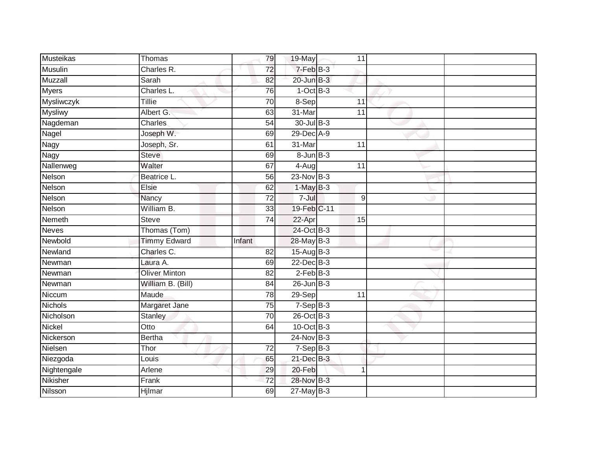| Musteikas      | Thomas               | 79              | 19-May            | 11              |  |
|----------------|----------------------|-----------------|-------------------|-----------------|--|
| <b>Musulin</b> | Charles R.           | 72              | 7-Feb B-3         |                 |  |
| <b>Muzzall</b> | Sarah                | 82              | $20$ -Jun $B-3$   |                 |  |
| Myers          | Charles L.           | 76              | $1-OctB-3$        |                 |  |
| Mysliwczyk     | <b>Tillie</b>        | $\overline{70}$ | 8-Sep             | $\overline{11}$ |  |
| <b>Mysliwy</b> | Albert G.            | 63              | 31-Mar            | 11              |  |
| Nagdeman       | Charles              | 54              | 30-Jul B-3        |                 |  |
| Nagel          | Joseph W.            | 69              | 29-Dec A-9        |                 |  |
| Nagy           | Joseph, Sr.          | 61              | 31-Mar            | 11              |  |
| <b>Nagy</b>    | <b>Steve</b>         | 69              | $8 - Jun$ $B - 3$ |                 |  |
| Nallenweg      | Walter               | 67              | 4-Aug             | 11              |  |
| Nelson         | Beatrice L.          | 56              | $23-Nov$ B-3      |                 |  |
| Nelson         | Elsie                | 62              | $1-May$ B-3       |                 |  |
| Nelson         | Nancy                | 72              | 7-Jul             | 9               |  |
| Nelson         | William B.           | 33              | 19-Feb C-11       |                 |  |
| Nemeth         | <b>Steve</b>         | 74              | 22-Apr            | 15              |  |
| <b>Neves</b>   | Thomas (Tom)         |                 | 24-Oct B-3        |                 |  |
| Newbold        | <b>Timmy Edward</b>  | Infant          | 28-May B-3        |                 |  |
| Newland        | Charles C.           | 82              | 15-Aug B-3        |                 |  |
| Newman         | Laura A.             | 69              | $22$ -Dec $B-3$   |                 |  |
| Newman         | <b>Oliver Minton</b> | 82              | $2$ -Feb $B-3$    |                 |  |
| Newman         | William B. (Bill)    | 84              | $26$ -Jun $B-3$   |                 |  |
| Niccum         | Maude                | 78              | 29-Sep            | 11              |  |
| <b>Nichols</b> | Margaret Jane        | 75              | $7-Sep$ $B-3$     |                 |  |
| Nicholson      | <b>Stanley</b>       | $\overline{70}$ | 26-Oct B-3        |                 |  |
| <b>Nickel</b>  | Otto                 | 64              | 10-Oct B-3        |                 |  |
| Nickerson      | Bertha               |                 | 24-Nov B-3        |                 |  |
| Nielsen        | Thor                 | 72              | $7-Sep B-3$       |                 |  |
| Niezgoda       | Louis                | 65              | 21-Dec B-3        |                 |  |
| Nightengale    | Arlene               | 29              | 20-Feb            | $\overline{1}$  |  |
| Nikisher       | Frank                | 72              | 28-Nov B-3        |                 |  |
| Nilsson        | Hjlmar               | 69              | $27$ -May B-3     |                 |  |
|                |                      |                 |                   |                 |  |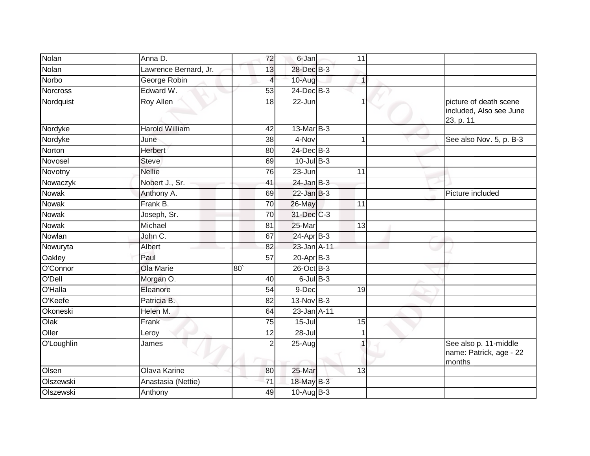| Nolan           | Anna D.               | $\overline{72}$ | 6-Jan             | 11          |              |                                                                |
|-----------------|-----------------------|-----------------|-------------------|-------------|--------------|----------------------------------------------------------------|
| Nolan           | Lawrence Bernard, Jr. | 13              | 28-Dec B-3        |             |              |                                                                |
| Norbo           | George Robin          | 4               | 10-Aug            | 1           |              |                                                                |
| <b>Norcross</b> | Edward W.             | 53              | $24$ -Dec $B-3$   |             |              |                                                                |
| Nordquist       | <b>Roy Allen</b>      | 18              | 22-Jun            |             | $\mathbf{1}$ | picture of death scene<br>included, Also see June<br>23, p. 11 |
| Nordyke         | <b>Harold William</b> | 42              | $13$ -Mar $ B-3 $ |             |              |                                                                |
| Nordyke         | June                  | 38              | 4-Nov             | $\mathbf 1$ |              | See also Nov. 5, p. B-3                                        |
| Norton          | <b>Herbert</b>        | 80              | $24$ -Dec $B-3$   |             |              |                                                                |
| Novosel         | <b>Steve</b>          | 69              | $10$ -Jul B-3     |             |              |                                                                |
| Novotny         | <b>Nellie</b>         | 76              | $23 - Jun$        | 11          |              |                                                                |
| Nowaczyk        | Nobert J., Sr.        | 41              | $24$ -Jan B-3     |             |              |                                                                |
| Nowak           | Anthony A.            | 69              | $22$ -Jan B-3     |             |              | Picture included                                               |
| <b>Nowak</b>    | Frank B.              | 70              | 26-May            | 11          |              |                                                                |
| Nowak           | Joseph, Sr.           | 70              | 31-Dec C-3        |             |              |                                                                |
| Nowak           | Michael               | 81              | 25-Mar            | 13          |              |                                                                |
| Nowlan          | John C.               | 67              | $24-AprB-3$       |             |              |                                                                |
| Nowuryta        | Albert                | 82              | 23-Jan A-11       |             |              |                                                                |
| Oakley          | Paul                  | 57              | $20$ -Apr $B-3$   |             |              |                                                                |
| O'Connor        | <b>Ola Marie</b>      | 80 <sup>°</sup> | 26-Oct B-3        |             |              |                                                                |
| O'Dell          | Morgan O.             | 40              | $6$ -Jul $B$ -3   |             |              |                                                                |
| O'Halla         | Eleanore              | 54              | 9-Dec             | 19          |              |                                                                |
| O'Keefe         | Patricia B.           | 82              | $13-Nov$ B-3      |             |              |                                                                |
| Okoneski        | Helen M.              | 64              | 23-Jan A-11       |             |              |                                                                |
| Olak            | Frank                 | 75              | $15 -$ Jul        | 15          |              |                                                                |
| Oller           | Leroy                 | $\overline{12}$ | $28 -$ Jul        | 1           |              |                                                                |
| O'Loughlin      | James                 | $\overline{2}$  | 25-Aug            |             |              | See also p. 11-middle<br>name: Patrick, age - 22<br>months     |
| Olsen           | Olava Karine          | 80              | 25-Mar            | 13          |              |                                                                |
| Olszewski       | Anastasia (Nettie)    | 71              | 18-May B-3        |             |              |                                                                |
| Olszewski       | Anthony               | 49              | $10-Aug$ B-3      |             |              |                                                                |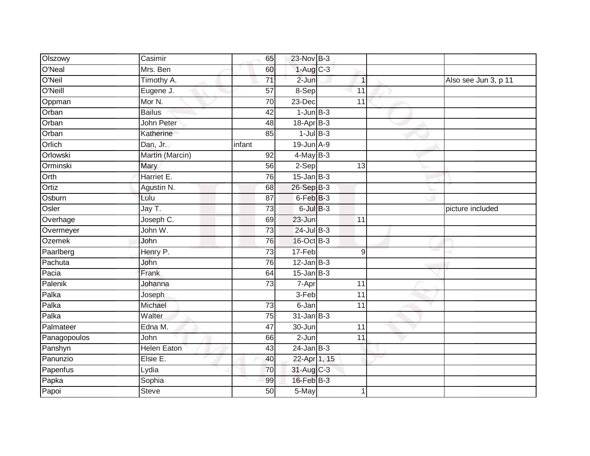| Olszowy      | Casimir             | 65              | 23-Nov B-3      |                 |                      |
|--------------|---------------------|-----------------|-----------------|-----------------|----------------------|
| O'Neal       | Mrs. Ben            | 60              | $1-Aug$ C-3     |                 |                      |
| O'Neil       | Timothy A.          | 71              | 2-Jun           | $\mathbf{1}$    | Also see Jun 3, p 11 |
| O'Neill      | Eugene J.           | 57              | 8-Sep           | 11              |                      |
| Oppman       | Mor N.              | 70              | $23$ -Dec       | 11              |                      |
| Orban        | <b>Bailus</b>       | 42              | $1$ -Jun $B-3$  |                 |                      |
| Orban        | John Peter          | 48              | 18-Apr B-3      |                 |                      |
| Orban        | Katherine           | 85              | $1$ -Jul $B-3$  |                 |                      |
| Orlich       | Dan, Jr.            | infant          | 19-Jun A-9      |                 |                      |
| Orlowski     | Martin (Marcin)     | 92              | $4$ -May B-3    |                 |                      |
| Orminski     | Mary                | 56              | $2-Sep$         | 13              |                      |
| Orth         | Harriet E.          | 76              | $15$ -Jan B-3   |                 |                      |
| Ortiz        | Agustin N.          | 68              | $26-SepB-3$     |                 |                      |
| Osburn       | Lulu                | 87              | 6-Feb B-3       |                 |                      |
| Osler        | $\overline{JayT}$ . | 73              | $6$ -Jul $B-3$  |                 | picture included     |
| Overhage     | Joseph C.           | 69              | 23-Jun          | 11              |                      |
| Overmeyer    | John W.             | 73              | $24$ -Jul $B-3$ |                 |                      |
| Ozemek       | John                | 76              | 16-Oct B-3      |                 |                      |
| Paarlberg    | Henry P.            | 73              | 17-Feb          | 9               |                      |
| Pachuta      | <b>John</b>         | 76              | $12$ -Jan B-3   |                 |                      |
| Pacia        | Frank               | 64              | $15$ -Jan B-3   |                 |                      |
| Palenik      | Johanna             | 73              | 7-Apr           | 11              |                      |
| Palka        | Joseph              |                 | 3-Feb           | $\overline{11}$ |                      |
| Palka        | Michael             | 73              | 6-Jan           | $\overline{11}$ |                      |
| Palka        | Walter              | 75              | $31$ -Jan B-3   |                 |                      |
| Palmateer    | Edna M.             | $\overline{47}$ | 30-Jun          | $\overline{11}$ |                      |
| Panagopoulos | <b>John</b>         | 66              | $2 - Jun$       | 11              |                      |
| Panshyn      | <b>Helen Eaton</b>  | 43              | $24$ -Jan $B-3$ |                 |                      |
| Panunzio     | Elsie E.            | 40              | 22-Apr 1, 15    |                 |                      |
| Papenfus     | Lydia               | 70              | 31-Aug C-3      |                 |                      |
| Papka        | Sophia              | 99              | $16$ -Feb $B-3$ |                 |                      |
| Papoi        | <b>Steve</b>        | 50              | $5-May$         | 1               |                      |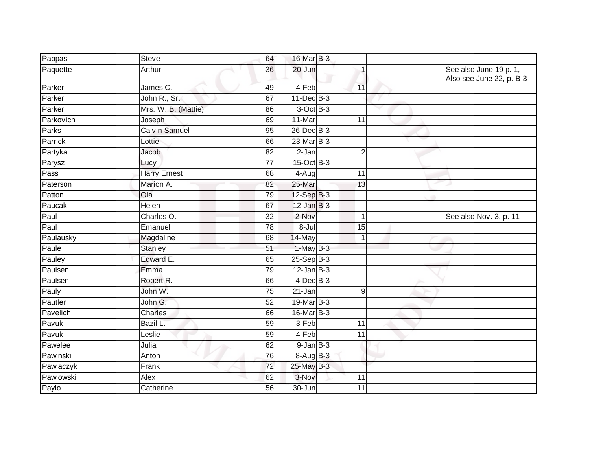| Pappas    | <b>Steve</b>        | 64              | 16-Mar B-3      |                  |                                                    |
|-----------|---------------------|-----------------|-----------------|------------------|----------------------------------------------------|
| Paquette  | Arthur              | 36              | 20-Jun          | 1                | See also June 19 p. 1,<br>Also see June 22, p. B-3 |
| Parker    | James C.            | 49              | 4-Feb           | 11               |                                                    |
| Parker    | John R., Sr.        | 67              | 11-Dec B-3      |                  |                                                    |
| Parker    | Mrs. W. B. (Mattie) | 86              | 3-Oct B-3       |                  |                                                    |
| Parkovich | Joseph              | 69              | $11-Mar$        | 11               |                                                    |
| Parks     | Calvin Samuel       | 95              | 26-Dec B-3      |                  |                                                    |
| Parrick   | Lottie              | 66              | $23$ -Mar $B-3$ |                  |                                                    |
| Partyka   | Jacob               | 82              | 2-Jan           | $\overline{2}$   |                                                    |
| Parysz    | Lucy                | 77              | 15-Oct B-3      |                  |                                                    |
| Pass      | <b>Harry Ernest</b> | 68              | 4-Aug           | 11               |                                                    |
| Paterson  | Marion A.           | 82              | 25-Mar          | 13               |                                                    |
| Patton    | Ola                 | 79              | $12-Sep$ B-3    |                  |                                                    |
| Paucak    | Helen               | 67              | $12$ -Jan B-3   |                  |                                                    |
| Paul      | Charles O.          | $\overline{32}$ | $2-Nov$         | 1                | See also Nov. 3, p. 11                             |
| Paul      | Emanuel             | 78              | 8-Jul           | 15               |                                                    |
| Paulausky | Magdaline           | 68              | 14-May          | $\overline{1}$   |                                                    |
| Paule     | Stanley             | 51              | $1-May$ B-3     |                  |                                                    |
| Pauley    | Edward E.           | 65              | $25-Sep$ B-3    |                  |                                                    |
| Paulsen   | Emma                | 79              | $12$ -Jan $B-3$ |                  |                                                    |
| Paulsen   | Robert R.           | 66              | $4$ -Dec $B-3$  |                  |                                                    |
| Pauly     | John W.             | 75              | 21-Jan          | $\boldsymbol{9}$ |                                                    |
| Pautler   | John G.             | $\overline{52}$ | 19-Mar B-3      |                  |                                                    |
| Pavelich  | <b>Charles</b>      | 66              | 16-Mar B-3      |                  |                                                    |
| Pavuk     | Bazil L.            | 59              | 3-Feb           | 11               |                                                    |
| Pavuk     | Leslie              | 59              | 4-Feb           | 11               |                                                    |
| Pawelee   | Julia               | 62              | $9$ -Jan $B-3$  |                  |                                                    |
| Pawinski  | Anton               | 76              | $8-Aug$ B-3     |                  |                                                    |
| Pawlaczyk | Frank               | $\overline{72}$ | 25-May B-3      |                  |                                                    |
| Pawlowski | Alex                | 62              | 3-Nov           | 11               |                                                    |
| Paylo     | Catherine           | 56              | 30-Jun          | 11               |                                                    |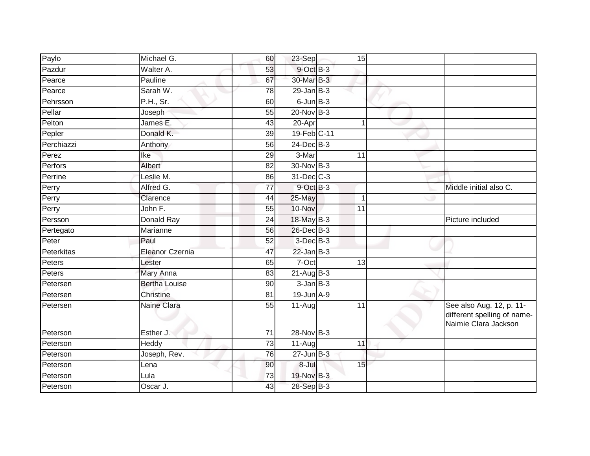| Paylo      | Michael G.           | 60              | 23-Sep          | 15              |                                                                                 |
|------------|----------------------|-----------------|-----------------|-----------------|---------------------------------------------------------------------------------|
| Pazdur     | Walter A.            | 53              | 9-Oct B-3       |                 |                                                                                 |
| Pearce     | Pauline              | 67              | 30-Mar B-3      |                 |                                                                                 |
| Pearce     | Sarah W.             | 78              | $29$ -Jan $B-3$ |                 |                                                                                 |
| Pehrsson   | P.H., Sr.            | 60              | $6$ -Jun $B-3$  |                 |                                                                                 |
| Pellar     | Joseph               | 55              | 20-Nov B-3      |                 |                                                                                 |
| Pelton     | James E.             | 43              | 20-Apr          |                 |                                                                                 |
| Pepler     | Donald K.            | 39              | 19-Feb C-11     |                 |                                                                                 |
| Perchiazzi | Anthony              | 56              | 24-Dec B-3      |                 |                                                                                 |
| Perez      | Ike                  | 29              | 3-Mar           | 11              |                                                                                 |
| Perfors    | Albert               | 82              | 30-Nov B-3      |                 |                                                                                 |
| Perrine    | Leslie M.            | 86              | $31$ -Dec $C-3$ |                 |                                                                                 |
| Perry      | Alfred G.            | 77              | 9-Oct B-3       |                 | Middle initial also C.                                                          |
| Perry      | Clarence             | 44              | 25-May          | 1               |                                                                                 |
| Perry      | John F.              | $\overline{55}$ | 10-Nov          | $\overline{11}$ |                                                                                 |
| Persson    | Donald Ray           | 24              | 18-May B-3      |                 | Picture included                                                                |
| Pertegato  | Marianne             | 56              | 26-Dec B-3      |                 |                                                                                 |
| Peter      | Paul                 | 52              | $3-Dec$ B-3     |                 |                                                                                 |
| Peterkitas | Eleanor Czernia      | 47              | $22$ -Jan $B-3$ |                 |                                                                                 |
| Peters     | Lester               | 65              | 7-Oct           | $\overline{13}$ |                                                                                 |
| Peters     | Mary Anna            | 83              | $21$ -Aug $B-3$ |                 |                                                                                 |
| Petersen   | <b>Bertha Louise</b> | 90              | $3$ -Jan $B-3$  |                 |                                                                                 |
| Petersen   | Christine            | 81              | $19$ -Jun $A-9$ |                 |                                                                                 |
| Petersen   | Naine Clara          | 55              | $11-Auq$        | 11              | See also Aug. 12, p. 11-<br>different spelling of name-<br>Naimie Clara Jackson |
| Peterson   | Esther J.            | 71              | 28-Nov B-3      |                 |                                                                                 |
| Peterson   | Heddy                | 73              | $11-Aug$        | 11              |                                                                                 |
| Peterson   | Joseph, Rev.         | 76              | $27$ -Jun $B-3$ |                 |                                                                                 |
| Peterson   | Lena                 | 90              | 8-Jul           | 15              |                                                                                 |
| Peterson   | Lula                 | 73              | 19-Nov B-3      |                 |                                                                                 |
| Peterson   | Oscar J.             | 43              | 28-Sep B-3      |                 |                                                                                 |
|            |                      |                 |                 |                 |                                                                                 |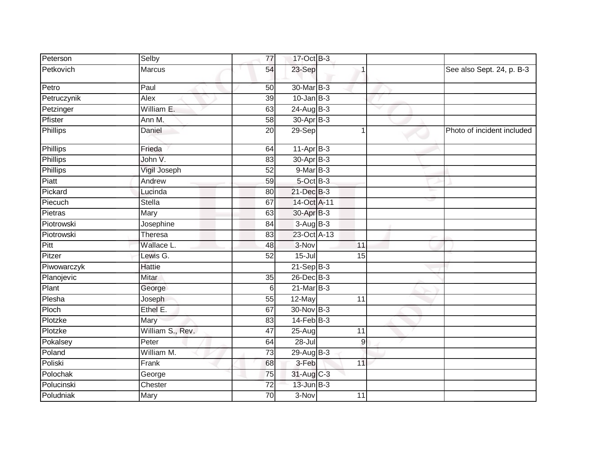| Peterson    | Selby            | $\overline{77}$ | 17-Oct B-3      |                 |                       |                            |
|-------------|------------------|-----------------|-----------------|-----------------|-----------------------|----------------------------|
| Petkovich   | <b>Marcus</b>    | 54              | 23-Sep          |                 |                       | See also Sept. 24, p. B-3  |
| Petro       | Paul             | $\overline{50}$ | 30-Mar B-3      |                 |                       |                            |
| Petruczynik | Alex             | 39              | $10$ -Jan B-3   |                 |                       |                            |
| Petzinger   | William E.       | 63              | 24-Aug B-3      |                 | $\tilde{\phantom{a}}$ |                            |
| Pfister     | Ann M.           | 58              | 30-Apr B-3      |                 |                       |                            |
| Phillips    | Daniel           | 20              | $29-$ Sep       | $\overline{1}$  |                       | Photo of incident included |
| Phillips    | Frieda           | 64              | $11-AprB-3$     |                 |                       |                            |
| Phillips    | John V.          | 83              | 30-Apr B-3      |                 |                       |                            |
| Phillips    | Vigil Joseph     | 52              | 9-Mar B-3       |                 |                       |                            |
| Piatt       | Andrew           | 59              | $5$ -Oct $B$ -3 |                 |                       |                            |
| Pickard     | Lucinda          | 80              | 21-Dec B-3      |                 |                       |                            |
| Piecuch     | <b>Stella</b>    | 67              | 14-Oct A-11     |                 |                       |                            |
| Pietras     | Mary             | 63              | 30-Apr B-3      |                 |                       |                            |
| Piotrowski  | Josephine        | 84              | $3-AugB-3$      |                 |                       |                            |
| Piotrowski  | <b>Theresa</b>   | 83              | 23-Oct A-13     |                 |                       |                            |
| Pitt        | Wallace L.       | 48              | 3-Nov           | 11              |                       |                            |
| Pitzer      | Lewis G.         | 52              | $15 -$ Jul      | $\overline{15}$ |                       |                            |
| Piwowarczyk | <b>Hattie</b>    |                 | $21-Sep$ B-3    |                 |                       |                            |
| Planojevic  | Mitar            | $\overline{35}$ | 26-Dec B-3      |                 |                       |                            |
| Plant       | George           | 6               | $21$ -Mar $B-3$ |                 |                       |                            |
| Plesha      | Joseph           | 55              | 12-May          | 11              |                       |                            |
| Ploch       | Ethel E.         | 67              | 30-Nov B-3      |                 |                       |                            |
| Plotzke     | Mary             | 83              | $14$ -Feb $B-3$ |                 |                       |                            |
| Plotzke     | William S., Rev. | 47              | 25-Aug          | 11              |                       |                            |
| Pokalsey    | Peter            | 64              | $28 -$ Jul      | $\overline{9}$  |                       |                            |
| Poland      | William M.       | $\overline{73}$ | 29-Aug $B-3$    |                 |                       |                            |
| Poliski     | Frank            | 68              | 3-Feb           | 11              |                       |                            |
| Polochak    | George           | 75              | 31-Aug C-3      |                 |                       |                            |
| Polucinski  | Chester          | $\overline{72}$ | $13$ -Jun $B-3$ |                 |                       |                            |
| Poludniak   | Mary             | 70              | 3-Nov           | 11              |                       |                            |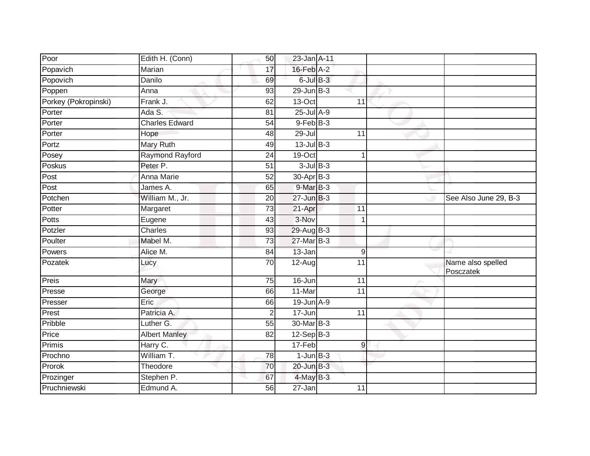| Poor                 | Edith H. (Conn)        | 50              | 23-Jan A-11           |                |                                |
|----------------------|------------------------|-----------------|-----------------------|----------------|--------------------------------|
| Popavich             | Marian                 | 17              | $16$ -Feb $A-2$       |                |                                |
| Popovich             | Danilo                 | 69              | $6$ -Jul $B-3$        |                |                                |
| Poppen               | Anna                   | 93              | $29$ -Jun $B-3$       |                |                                |
| Porkey (Pokropinski) | Frank J.               | 62              | $13-Oct$              | 11             |                                |
| Porter               | Ada S.                 | 81              | 25-Jul A-9            |                |                                |
| Porter               | <b>Charles Edward</b>  | 54              | $9$ -Feb $B$ -3       |                |                                |
| Porter               | Hope                   | 48              | 29-Jul                | 11             |                                |
| Portz                | <b>Mary Ruth</b>       | 49              | $13$ -Jul B-3         |                |                                |
| Posey                | <b>Raymond Rayford</b> | 24              | 19-Oct                | 1              |                                |
| Poskus               | Peter P.               | 51              | $3$ -Jul $B-3$        |                |                                |
| Post                 | <b>Anna Marie</b>      | $\overline{52}$ | 30-Apr <sub>B-3</sub> |                |                                |
| Post                 | James A.               | 65              | 9-Mar B-3             |                |                                |
| Potchen              | William M., Jr.        | 20              | $27 - Jun$ B-3        |                | See Also June 29, B-3          |
| Potter               | Margaret               | $\overline{73}$ | 21-Apr                | 11             |                                |
| Potts                | Eugene                 | $\overline{43}$ | 3-Nov                 | $\mathbf{1}$   |                                |
| Potzler              | <b>Charles</b>         | 93              | 29-Aug B-3            |                |                                |
| Poulter              | Mabel M.               | 73              | 27-Mar B-3            |                |                                |
| Powers               | Alice M.               | 84              | $13 - Jan$            | $\overline{9}$ |                                |
| Pozatek              | Lucy                   | 70              | $12-Aug$              | 11             | Name also spelled<br>Posczatek |
| Preis                | Mary                   | 75              | 16-Jun                | 11             |                                |
| Presse               | George                 | 66              | 11-Mar                | 11             |                                |
| Presser              | Eric                   | 66              | $19$ -Jun $A-9$       |                |                                |
| Prest                | Patricia A.            | $\overline{2}$  | 17-Jun                | 11             |                                |
| Pribble              | Luther G.              | 55              | 30-Mar B-3            |                |                                |
| Price                | <b>Albert Manley</b>   | 82              | $12-Sep$ B-3          |                |                                |
| Primis               | Harry C.               |                 | 17-Feb                | $\overline{9}$ |                                |
| Prochno              | William T.             | 78              | $1$ -Jun $B-3$        |                |                                |
| Prorok               | Theodore               | 70              | $20$ -Jun $B-3$       |                |                                |
| Prozinger            | Stephen P.             | 67              | $4$ -May $B-3$        |                |                                |
| Pruchniewski         | Edmund A.              | 56              | 27-Jan                | 11             |                                |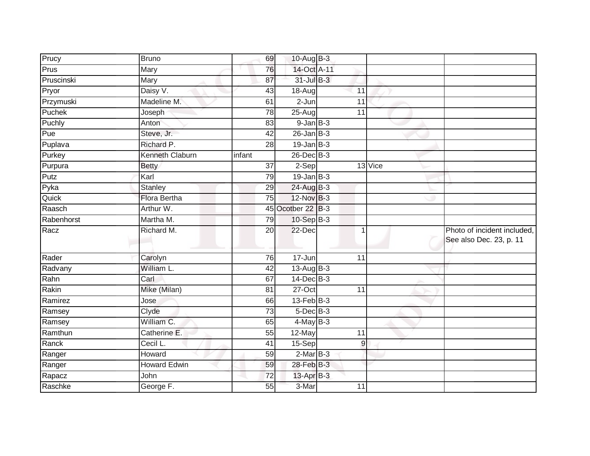| Prucy      | <b>Bruno</b>        | 69              | 10-Aug B-3      |             |         |                                                        |
|------------|---------------------|-----------------|-----------------|-------------|---------|--------------------------------------------------------|
|            |                     |                 |                 |             |         |                                                        |
| Prus       | Mary                | 76              | 14-Oct A-11     |             |         |                                                        |
| Pruscinski | Mary                | 87              | 31-Jul B-3      |             |         |                                                        |
| Pryor      | Daisy V.            | 43              | 18-Aug          | 11          |         |                                                        |
| Przymuski  | Madeline M.         | 61              | $2 - Jun$       | 11          |         |                                                        |
| Puchek     | Joseph              | 78              | $25-Aug$        | 11          |         |                                                        |
| Puchly     | Anton               | 83              | $9$ -Jan $B$ -3 |             |         |                                                        |
| Pue        | Steve, Jr.          | 42              | $26$ -Jan $B-3$ |             |         |                                                        |
| Puplava    | Richard P.          | 28              | $19$ -Jan B-3   |             |         |                                                        |
| Purkey     | Kenneth Claburn     | infant          | $26$ -Dec $B-3$ |             |         |                                                        |
| Purpura    | <b>Betty</b>        | 37              | 2-Sep           |             | 13 Vice |                                                        |
| Putz       | Karl                | 79              | $19$ -Jan B-3   |             |         |                                                        |
| Pyka       | Stanley             | 29              | 24-Aug B-3      |             |         |                                                        |
| Quick      | <b>Flora Bertha</b> | 75              | 12-Nov B-3      |             |         |                                                        |
| Raasch     | Arthur W.           | 45              | Ocotber 22 B-3  |             |         |                                                        |
| Rabenhorst | Martha M.           | 79              | 10-Sep B-3      |             |         |                                                        |
| Racz       | Richard M.          | 20              | 22-Dec          | $\mathbf 1$ |         | Photo of incident included,<br>See also Dec. 23, p. 11 |
| Rader      | Carolyn             | 76              | 17-Jun          | 11          |         |                                                        |
| Radvany    | William L.          | 42              | 13-Aug B-3      |             |         |                                                        |
| Rahn       | Carl                | 67              | $14$ -Dec $B-3$ |             |         |                                                        |
| Rakin      | Mike (Milan)        | 81              | $27-Oct$        | 11          |         |                                                        |
| Ramirez    | Jose                | 66              | $13$ -Feb $B-3$ |             |         |                                                        |
| Ramsey     | Clyde               | $\overline{73}$ | $5$ -Dec $B$ -3 |             |         |                                                        |
| Ramsey     | William C.          | 65              | $4$ -May B-3    |             |         |                                                        |
| Ramthun    | Catherine E.        | 55              | 12-May          | 11          |         |                                                        |
| Ranck      | Cecil L.            | 41              | $15-Sep$        | 9           |         |                                                        |
| Ranger     | Howard              | 59              | $2$ -Mar $B-3$  |             |         |                                                        |
| Ranger     | <b>Howard Edwin</b> | 59              | 28-Feb B-3      |             |         |                                                        |
| Rapacz     | John                | 72              | 13-Apr B-3      |             |         |                                                        |
| Raschke    | George F.           | 55              | 3-Mar           | 11          |         |                                                        |
|            |                     |                 |                 |             |         |                                                        |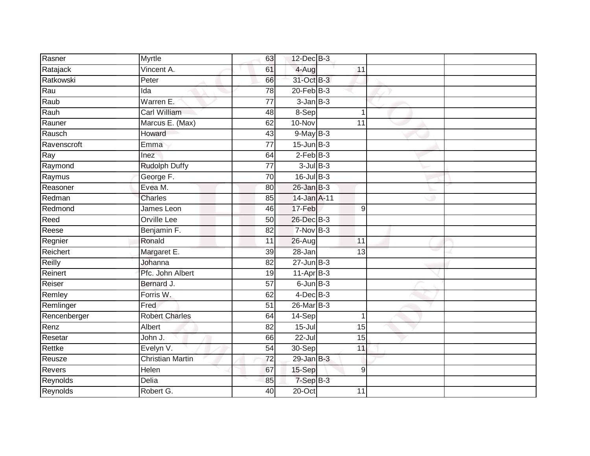| Rasner        | Myrtle                  | 63              | $12$ -Dec $B-3$ |                 |  |
|---------------|-------------------------|-----------------|-----------------|-----------------|--|
| Ratajack      | Vincent A.              | 61              | 4-Aug           | 11              |  |
| Ratkowski     | Peter                   | 66              | 31-Oct B-3      |                 |  |
| Rau           | Ida                     | 78              | $20$ -Feb $B-3$ |                 |  |
| Raub          | Warren E.               | $\overline{77}$ | $3$ -Jan $B-3$  |                 |  |
| Rauh          | Carl William            | 48              | 8-Sep           | $\mathbf 1$     |  |
| Rauner        | Marcus E. (Max)         | 62              | 10-Nov          | 11              |  |
| Rausch        | Howard                  | 43              | $9$ -May $B-3$  |                 |  |
| Ravenscroft   | Emma                    | $\overline{77}$ | $15$ -Jun $B-3$ |                 |  |
| Ray           | Inez                    | 64              | $2$ -Feb $B-3$  |                 |  |
| Raymond       | <b>Rudolph Duffy</b>    | 77              | $3$ -Jul $B-3$  |                 |  |
| Raymus        | George F.               | 70              | $16$ -Jul B-3   |                 |  |
| Reasoner      | Evea M.                 | 80              | $26$ -Jan $B-3$ |                 |  |
| Redman        | <b>Charles</b>          | 85              | 14-Jan A-11     |                 |  |
| Redmond       | James Leon              | 46              | 17-Feb          | $9\,$           |  |
| Reed          | Orville Lee             | 50              | 26-Dec B-3      |                 |  |
| Reese         | Benjamin F.             | $\overline{82}$ | $7-Nov$ B-3     |                 |  |
| Regnier       | Ronald                  | 11              | $26 - Aug$      | $\overline{11}$ |  |
| Reichert      | Margaret E.             | 39              | $28 - Jan$      | 13              |  |
| Reilly        | Johanna                 | $\overline{82}$ | $27 - Jun$ B-3  |                 |  |
| Reinert       | Pfc. John Albert        | 19              | $11-AprB-3$     |                 |  |
| Reiser        | Bernard J.              | $\overline{57}$ | $6$ -Jun $B-3$  |                 |  |
| Remley        | Forris W.               | 62              | $4$ -Dec $B-3$  |                 |  |
| Remlinger     | Fred                    | 51              | 26-Mar B-3      |                 |  |
| Rencenberger  | <b>Robert Charles</b>   | 64              | $14-Sep$        |                 |  |
| Renz          | Albert                  | 82              | $15 -$ Jul      | 15              |  |
| Resetar       | John J.                 | 66              | $22 -$ Jul      | 15              |  |
| Rettke        | Evelyn V.               | 54              | 30-Sep          | 11              |  |
| Reusze        | <b>Christian Martin</b> | 72              | $29$ -Jan B-3   |                 |  |
| <b>Revers</b> | Helen                   | 67              | 15-Sep          | 9               |  |
| Reynolds      | Delia                   | 85              | 7-Sep B-3       |                 |  |
| Reynolds      | Robert G.               | $\overline{40}$ | $20$ -Oct       | 11              |  |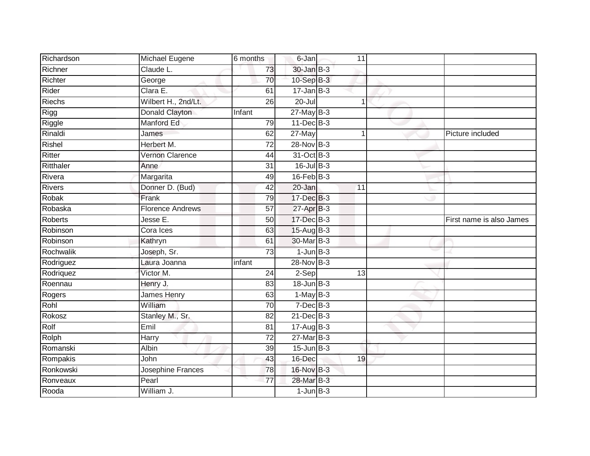| Richardson     | Michael Eugene          | 6 months        | 6-Jan            | 11              |                          |
|----------------|-------------------------|-----------------|------------------|-----------------|--------------------------|
| Richner        | Claude L.               | 73              | $30 - Jan$ $B-3$ |                 |                          |
| Richter        | George                  | 70              | 10-Sep B-3       |                 |                          |
| Rider          | Clara E.                | 61              | $17 - Jan$ B-3   |                 |                          |
| Riechs         | Wilbert H., 2nd/Lt.     | $\overline{26}$ | $20 -$ Jul       |                 |                          |
| Rigg           | Donald Clayton          | Infant          | $27$ -May B-3    |                 |                          |
| Riggle         | Manford Ed              | 79              | 11-Dec B-3       |                 |                          |
| Rinaldi        | James                   | 62              | 27-May           | 1               | Picture included         |
| Rishel         | Herbert M.              | $\overline{72}$ | 28-Nov B-3       |                 |                          |
| Ritter         | <b>Vernon Clarence</b>  | 44              | 31-Oct B-3       |                 |                          |
| Ritthaler      | Anne                    | 31              | $16$ -Jul B-3    |                 |                          |
| Rivera         | Margarita               | 49              | $16$ -Feb $B-3$  |                 |                          |
| <b>Rivers</b>  | Donner D. (Bud)         | 42              | $20 - Jan$       | 11              |                          |
| Robak          | Frank                   | 79              | 17-Dec B-3       |                 |                          |
| Robaska        | <b>Florence Andrews</b> | $\overline{57}$ | 27-Apr B-3       |                 |                          |
| <b>Roberts</b> | Jesse E.                | 50              | 17-Dec B-3       |                 | First name is also James |
| Robinson       | Cora Ices               | 63              | 15-Aug B-3       |                 |                          |
| Robinson       | Kathryn                 | 61              | 30-Mar B-3       |                 |                          |
| Rochwalik      | Joseph, Sr.             | 73              | $1$ -Jun $B-3$   |                 |                          |
| Rodriguez      | Laura Joanna            | infant          | $28-Nov$ B-3     |                 |                          |
| Rodriquez      | Victor M.               | $\overline{24}$ | $2-Sep$          | $\overline{13}$ |                          |
| Roennau        | Henry J.                | 83              | $18$ -Jun $B-3$  |                 |                          |
| Rogers         | <b>James Henry</b>      | 63              | $1-May$ B-3      |                 |                          |
| Rohl           | William                 | 70              | $7$ -Dec $B-3$   |                 |                          |
| Rokosz         | Stanley M., Sr.         | 82              | 21-Dec B-3       |                 |                          |
| Rolf           | Emil                    | 81              | $17 - Aug$ B-3   |                 |                          |
| Rolph          | Harry                   | $\overline{72}$ | $27$ -Mar $B-3$  |                 |                          |
| Romanski       | Albin                   | 39              | $15$ -Jun $B-3$  |                 |                          |
| Rompakis       | John                    | 43              | 16-Dec           | 19              |                          |
| Ronkowski      | Josephine Frances       | 78              | 16-Nov B-3       |                 |                          |
| Ronveaux       | Pearl                   | 77              | 28-Mar B-3       |                 |                          |
| Rooda          | William J.              |                 | $1$ -Jun $B-3$   |                 |                          |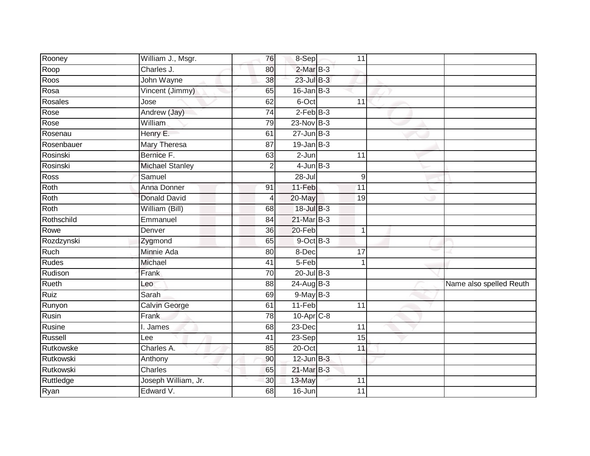| Rooney       | William J., Msgr.      | 76              | $8-Sep$          | 11              |                         |
|--------------|------------------------|-----------------|------------------|-----------------|-------------------------|
| Roop         | Charles J.             | 80              | $2$ -Mar $B-3$   |                 |                         |
| Roos         | John Wayne             | $\overline{38}$ | $23$ -Jul B-3    |                 |                         |
| Rosa         | Vincent (Jimmy)        | 65              | $16$ -Jan $B-3$  |                 |                         |
| Rosales      | Jose                   | 62              | 6-Oct            | 11              |                         |
| Rose         | Andrew (Jay)           | 74              | $2$ -Feb $B-3$   |                 |                         |
| Rose         | <b>William</b>         | 79              | 23-Nov B-3       |                 |                         |
| Rosenau      | Henry E.               | 61              | $27 - Jun$ $B-3$ |                 |                         |
| Rosenbauer   | Mary Theresa           | 87              | $19$ -Jan $B-3$  |                 |                         |
| Rosinski     | Bernice F.             | 63              | $2-Jun$          | 11              |                         |
| Rosinski     | <b>Michael Stanley</b> | $\overline{2}$  | $4$ -Jun $B-3$   |                 |                         |
| Ross         | Samuel                 |                 | $28 -$ Jul       | 9               |                         |
| Roth         | Anna Donner            | 91              | 11-Feb           | 11              |                         |
| Roth         | <b>Donald David</b>    | 4               | 20-May           | 19              |                         |
| Roth         | William (Bill)         | 68              | 18-Jul B-3       |                 |                         |
| Rothschild   | Emmanuel               | 84              | 21-Mar B-3       |                 |                         |
| Rowe         | Denver                 | 36              | 20-Feb           | $\overline{1}$  |                         |
| Rozdzynski   | Zygmond                | 65              | $9$ -Oct $B$ -3  |                 |                         |
| Ruch         | Minnie Ada             | 80              | 8-Dec            | 17              |                         |
| <b>Rudes</b> | Michael                | 41              | 5-Feb            |                 |                         |
| Rudison      | Frank                  | $\overline{70}$ | $20$ -Jul $B-3$  |                 |                         |
| Rueth        | Leo                    | 88              | $24$ -Aug B-3    |                 | Name also spelled Reuth |
| Ruiz         | Sarah                  | 69              | $9$ -May $B-3$   |                 |                         |
| Runyon       | Calvin George          | 61              | $11-Feb$         | 11              |                         |
| Rusin        | Frank                  | 78              | $10-Apr$ $C-8$   |                 |                         |
| Rusine       | I. James               | 68              | 23-Dec           | 11              |                         |
| Russell      | Lee                    | $\overline{41}$ | $23-Sep$         | 15              |                         |
| Rutkowske    | Charles A.             | 85              | 20-Oct           | 11              |                         |
| Rutkowski    | Anthony                | 90              | $12$ -Jun $B-3$  |                 |                         |
| Rutkowski    | Charles                | 65              | 21-Mar B-3       |                 |                         |
| Ruttledge    | Joseph William, Jr.    | 30              | 13-May           | 11              |                         |
| Ryan         | Edward V.              | $\overline{68}$ | $16 - Jun$       | $\overline{11}$ |                         |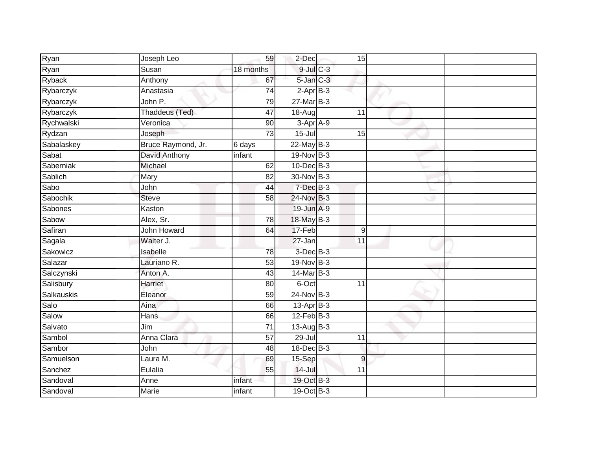| Ryan       | Joseph Leo         | 59              | $2$ -Dec        | 15              |  |
|------------|--------------------|-----------------|-----------------|-----------------|--|
| Ryan       | Susan              | 18 months       | $9$ -Jul $C$ -3 |                 |  |
| Ryback     | Anthony            | 67              | $5$ -Jan $C-3$  |                 |  |
| Rybarczyk  | Anastasia          | 74              | $2-AprB-3$      |                 |  |
| Rybarczyk  | John P.            | 79              | $27$ -Mar $B-3$ |                 |  |
| Rybarczyk  | Thaddeus (Ted)     | 47              | 18-Aug          | 11              |  |
| Rychwalski | Veronica           | 90              | $3-AprA-9$      |                 |  |
| Rydzan     | Joseph             | 73              | $15 -$ Jul      | 15              |  |
| Sabalaskey | Bruce Raymond, Jr. | $6$ days        | $22$ -May B-3   |                 |  |
| Sabat      | David Anthony      | infant          | $19-Nov$ B-3    |                 |  |
| Saberniak  | Michael            | 62              | 10-Dec B-3      |                 |  |
| Sablich    | Mary               | 82              | 30-Nov B-3      |                 |  |
| Sabo       | John               | 44              | $7$ -Dec $B-3$  |                 |  |
| Sabochik   | <b>Steve</b>       | 58              | 24-Nov B-3      |                 |  |
| Sabones    | Kaston             |                 | 19-Jun A-9      |                 |  |
| Sabow      | Alex, Sr.          | 78              | 18-May B-3      |                 |  |
| Safiran    | <b>John Howard</b> | 64              | 17-Feb          | 9               |  |
| Sagala     | Walter J.          |                 | 27-Jan          | 11              |  |
| Sakowicz   | Isabelle           | 78              | $3$ -Dec $B-3$  |                 |  |
| Salazar    | Lauriano R.        | 53              | 19-Nov B-3      |                 |  |
| Salczynski | Anton A.           | 43              | $14$ -Mar $B-3$ |                 |  |
| Salisbury  | <b>Harriet</b>     | 80              | 6-Oct           | $\overline{11}$ |  |
| Salkauskis | Eleanor            | 59              | 24-Nov B-3      |                 |  |
| Salo       | Aina               | 66              | $13$ -Apr $B-3$ |                 |  |
| Salow      | Hans               | 66              | $12$ -Feb $B-3$ |                 |  |
| Salvato    | Jim                | $\overline{71}$ | $13$ -Aug B-3   |                 |  |
| Sambol     | Anna Clara         | $\overline{57}$ | 29-Jul          | 11              |  |
| Sambor     | John               | 48              | 18-Dec B-3      |                 |  |
| Samuelson  | Laura M.           | 69              | 15-Sep          | $\overline{9}$  |  |
| Sanchez    | Eulalia            | 55              | $14$ -Jul       | 11              |  |
| Sandoval   | Anne               | infant          | 19-Oct B-3      |                 |  |
| Sandoval   | Marie              | infant          | 19-Oct B-3      |                 |  |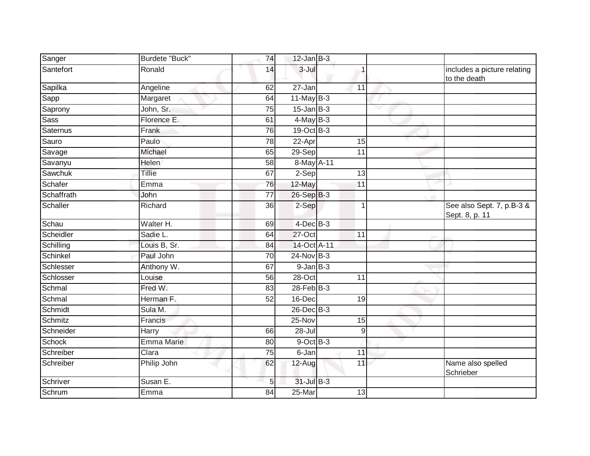| Sanger      | Burdete "Buck"    | 74              | $12$ -Jan $B-3$ |                 |                                             |
|-------------|-------------------|-----------------|-----------------|-----------------|---------------------------------------------|
| Santefort   | Ronald            | 14              | 3-Jul           |                 | includes a picture relating<br>to the death |
| Sapilka     | Angeline          | 62              | 27-Jan          | 11              |                                             |
| Sapp        | Margaret          | 64              | $11$ -May B-3   |                 |                                             |
| Saprony     | John, Sr.         | 75              | $15$ -Jan $B-3$ |                 |                                             |
| <b>Sass</b> | Florence E.       | 61              | $4$ -May B-3    |                 |                                             |
| Saternus    | Frank             | 76              | 19-Oct B-3      |                 |                                             |
| Sauro       | Paulo             | 78              | 22-Apr          | $\overline{15}$ |                                             |
| Savage      | Michael           | 65              | 29-Sep          | 11              |                                             |
| Savanyu     | <b>Helen</b>      | 58              | 8-May A-11      |                 |                                             |
| Sawchuk     | Tillie            | 67              | 2-Sep           | 13              |                                             |
| Schafer     | Emma              | 76              | 12-May          | 11              |                                             |
| Schaffrath  | John              | $\overline{77}$ | 26-Sep B-3      |                 |                                             |
| Schaller    | Richard           | 36              | 2-Sep           | $\overline{1}$  | See also Sept. 7, p.B-3 &<br>Sept. 8, p. 11 |
| Schau       | Walter H.         | 69              | $4$ -Dec $B-3$  |                 |                                             |
| Scheidler   | Sadie L.          | 64              | 27-Oct          | 11              |                                             |
| Schilling   | Louis B, Sr.      | 84              | 14-Oct A-11     |                 |                                             |
| Schinkel    | Paul John         | 70              | 24-Nov B-3      |                 |                                             |
| Schlesser   | Anthony W.        | 67              | $9$ -Jan $B$ -3 |                 |                                             |
| Schlosser   | Louise            | $\overline{56}$ | $28 - Oct$      | 11              |                                             |
| Schmal      | Fred W.           | 83              | $28$ -Feb $B-3$ |                 |                                             |
| Schmal      | Herman F.         | 52              | 16-Dec          | 19              |                                             |
| Schmidt     | Sula M.           |                 | $26$ -Dec $B-3$ |                 |                                             |
| Schmitz     | Francis           |                 | 25-Nov          | 15              |                                             |
| Schneider   | <b>Harry</b>      | 66              | $28 -$ Jul      | $\overline{9}$  |                                             |
| Schock      | <b>Emma Marie</b> | 80              | $9$ -Oct $B$ -3 |                 |                                             |
| Schreiber   | Clara             | 75              | 6-Jan           | 11              |                                             |
| Schreiber   | Philip John       | 62              | 12-Aug          | 11              | Name also spelled<br>Schrieber              |
| Schriver    | Susan E.          | 5               | 31-Jul B-3      |                 |                                             |
| Schrum      | Emma              | $\overline{84}$ | $25 - Mar$      | $\overline{13}$ |                                             |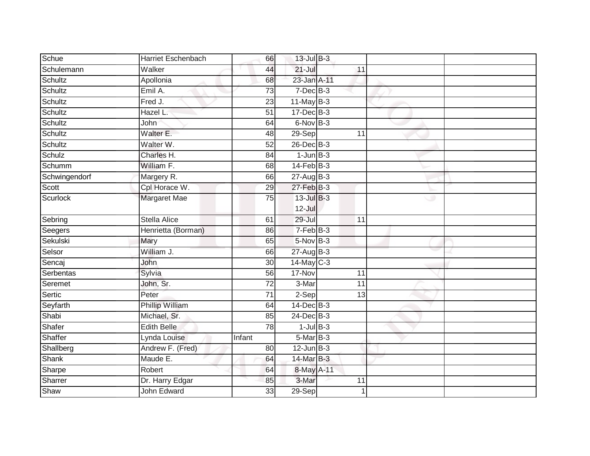| Schue         | <b>Harriet Eschenbach</b> | 66              | 13-Jul B-3      |                 |   |  |
|---------------|---------------------------|-----------------|-----------------|-----------------|---|--|
| Schulemann    | Walker                    | 44              | $21 -$ Jul      | 11              |   |  |
| Schultz       | Apollonia                 | 68              | 23-Jan A-11     |                 |   |  |
| Schultz       | Emil A.                   | 73              | $7$ -Dec $B$ -3 |                 |   |  |
| Schultz       | Fred J.                   | $\overline{23}$ | $11$ -May B-3   |                 |   |  |
| Schultz       | Hazel L.                  | $\overline{51}$ | $17 - Dec$ B-3  |                 |   |  |
| Schultz       | John                      | 64              | $6$ -Nov $B-3$  |                 |   |  |
| Schultz       | Walter E.                 | 48              | 29-Sep          | 11              |   |  |
| Schultz       | Walter W.                 | 52              | 26-Dec B-3      |                 |   |  |
| Schulz        | Charles H.                | $\overline{84}$ | $1-JunB-3$      |                 |   |  |
| Schumm        | William F.                | 68              | $14$ -Feb $B-3$ |                 |   |  |
| Schwingendorf | Margery R.                | 66              | 27-Aug B-3      |                 |   |  |
| Scott         | Cpl Horace W.             | 29              | $27$ -Feb $B-3$ |                 |   |  |
| Scurlock      | Margaret Mae              | 75              | $13$ -Jul B-3   |                 | ت |  |
|               |                           |                 | $12 -$ Jul      |                 |   |  |
| Sebring       | <b>Stella Alice</b>       | 61              | 29-Jul          | 11              |   |  |
| Seegers       | Henrietta (Borman)        | 86              | $7-FebB-3$      |                 |   |  |
| Sekulski      | Mary                      | 65              | 5-Nov B-3       |                 |   |  |
| Selsor        | William J.                | 66              | 27-Aug B-3      |                 |   |  |
| Sencaj        | John                      | 30              | $14$ -May C-3   |                 |   |  |
| Serbentas     | Sylvia                    | 56              | 17-Nov          | 11              |   |  |
| Seremet       | John, Sr.                 | $\overline{72}$ | 3-Mar           | $\overline{11}$ |   |  |
| Sertic        | Peter                     | 71              | 2-Sep           | 13              |   |  |
| Seyfarth      | Phillip William           | 64              | $14$ -Dec $B-3$ |                 |   |  |
| Shabi         | Michael, Sr.              | 85              | $24$ -Dec $B-3$ |                 |   |  |
| Shafer        | <b>Edith Belle</b>        | $\overline{78}$ | $1$ -Jul $B-3$  |                 |   |  |
| Shaffer       | Lynda Louise              | Infant          | $5-MarB-3$      |                 |   |  |
| Shallberg     | Andrew F. (Fred)          | 80              | $12$ -Jun $B-3$ |                 |   |  |
| Shank         | Maude E.                  | 64              | 14-Mar B-3      |                 |   |  |
| Sharpe        | Robert                    | 64              | 8-May A-11      |                 |   |  |
| Sharrer       | Dr. Harry Edgar           | 85              | 3-Mar           | 11              |   |  |
| Shaw          | John Edward               | 33              | 29-Sep          |                 |   |  |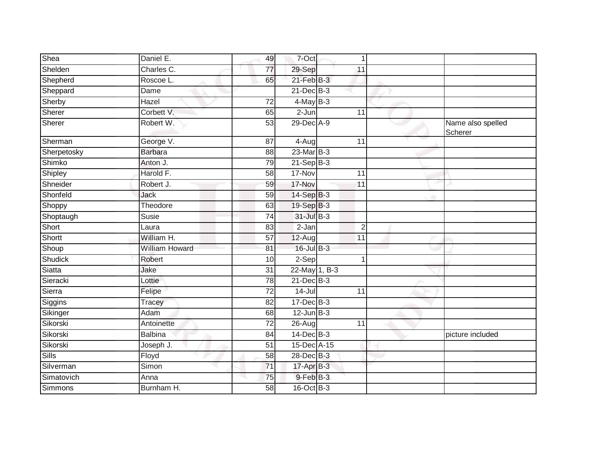| Shea         | Daniel E.             | 49              | 7-Oct           | 1               |                              |
|--------------|-----------------------|-----------------|-----------------|-----------------|------------------------------|
| Shelden      | Charles C.            | $\overline{77}$ | 29-Sep          | 11              |                              |
| Shepherd     | Roscoe L.             | 65              | $21$ -Feb $B-3$ |                 |                              |
| Sheppard     | Dame                  |                 | 21-Dec B-3      |                 |                              |
| Sherby       | Hazel                 | $\overline{72}$ | $4$ -May B-3    |                 |                              |
| Sherer       | Corbett V.            | 65              | $2 - Jun$       | 11              |                              |
| Sherer       | Robert W.             | 53              | 29-Dec A-9      |                 | Name also spelled<br>Scherer |
| Sherman      | George V.             | 87              | 4-Aug           | $\overline{11}$ |                              |
| Sherpetosky  | <b>Barbara</b>        | 88              | 23-Mar B-3      |                 |                              |
| Shimko       | Anton J.              | 79              | $21-SepB-3$     |                 |                              |
| Shipley      | Harold F.             | 58              | 17-Nov          | 11              |                              |
| Shneider     | Robert J.             | 59              | 17-Nov          | 11              |                              |
| Shonfeld     | Jack                  | 59              | 14-Sep B-3      |                 |                              |
| Shoppy       | Theodore              | 63              | 19-Sep B-3      |                 |                              |
| Shoptaugh    | Susie                 | 74              | 31-Jul B-3      |                 |                              |
| Short        | Laura                 | 83              | 2-Jan           | $\overline{2}$  |                              |
| Shortt       | William H.            | 57              | 12-Aug          | 11              |                              |
| Shoup        | <b>William Howard</b> | 81              | 16-Jul B-3      |                 |                              |
| Shudick      | Robert                | 10              | 2-Sep           |                 |                              |
| Siatta       | Jake                  | 31              | 22-May 1, B-3   |                 |                              |
| Sieracki     | Lottie                | 78              | $21$ -Dec $B-3$ |                 |                              |
| Sierra       | Felipe                | $\overline{72}$ | $14 -$ Jul      | 11              |                              |
| Siggins      | Tracey                | 82              | $17 - Dec$ B-3  |                 |                              |
| Sikinger     | Adam                  | 68              | $12$ -Jun $B-3$ |                 |                              |
| Sikorski     | Antoinette            | $\overline{72}$ | 26-Aug          | $\overline{11}$ |                              |
| Sikorski     | Balbina               | 84              | 14-Dec B-3      |                 | picture included             |
| Sikorski     | Joseph J.             | 51              | 15-Dec A-15     |                 |                              |
| <b>Sills</b> | Floyd                 | 58              | 28-Dec B-3      |                 |                              |
| Silverman    | Simon                 | $\overline{71}$ | 17-Apr B-3      |                 |                              |
| Simatovich   | Anna                  | 75              | 9-Feb B-3       |                 |                              |
| Simmons      | Burnham H.            | 58              | 16-Oct B-3      |                 |                              |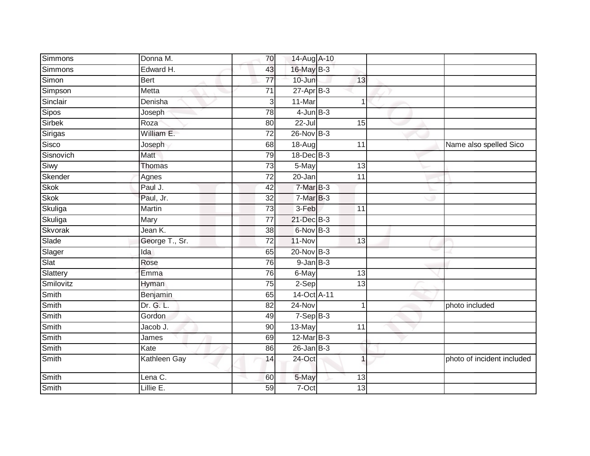| Simmons   | Donna M.            | 70              | 14-Aug A-10     |                 |                            |
|-----------|---------------------|-----------------|-----------------|-----------------|----------------------------|
| Simmons   | Edward H.           | 43              | 16-May B-3      |                 |                            |
| Simon     | <b>Bert</b>         | $\overline{77}$ | $10 - Jun$      | 13              |                            |
| Simpson   | Metta               | $\overline{71}$ | $27$ -Apr $B-3$ |                 |                            |
| Sinclair  | Denisha             | 3               | 11-Mar          | $\overline{1}$  |                            |
| Sipos     | Joseph              | 78              | $4$ -Jun $B-3$  |                 |                            |
| Sirbek    | Roza                | 80              | 22-Jul          | 15              |                            |
| Sirigas   | William E.          | $\overline{72}$ | 26-Nov B-3      |                 |                            |
| Sisco     | Joseph              | 68              | $18-Aug$        | 11              | Name also spelled Sico     |
| Sisnovich | Matt                | 79              | $18$ -Dec $B-3$ |                 |                            |
| Siwy      | Thomas              | $\overline{73}$ | 5-May           | 13              |                            |
| Skender   | Agnes               | 72              | 20-Jan          | 11              |                            |
| Skok      | Paul J.             | 42              | $7-MarB-3$      |                 |                            |
| Skok      | Paul, Jr.           | $\overline{32}$ | $7-MarB-3$      |                 |                            |
| Skuliga   | <b>Martin</b>       | $\overline{73}$ | $3-Feb$         | 11              |                            |
| Skuliga   | Mary                | 77              | 21-Dec B-3      |                 |                            |
| Skvorak   | Jean K.             | $\overline{38}$ | 6-Nov B-3       |                 |                            |
| Slade     | George T., Sr.      | 72              | 11-Nov          | 13              |                            |
| Slager    | Ida                 | 65              | 20-Nov B-3      |                 |                            |
| Slat      | Rose                | 76              | $9$ -Jan $B$ -3 |                 |                            |
| Slattery  | Emma                | 76              | 6-May           | 13              |                            |
| Smilovitz | Hyman               | $\overline{75}$ | $2-Sep$         | $\overline{13}$ |                            |
| Smith     | Benjamin            | 65              | 14-Oct A-11     |                 |                            |
| Smith     | Dr. G. L.           | 82              | 24-Nov          | 1               | photo included             |
| Smith     | Gordon              | 49              | $7-SepB-3$      |                 |                            |
| Smith     | Jacob J.            | 90              | 13-May          | 11              |                            |
| Smith     | James               | 69              | $12$ -Mar $B-3$ |                 |                            |
| Smith     | Kate                | 86              | $26$ -Jan B-3   |                 |                            |
| Smith     | <b>Kathleen Gay</b> | 14              | 24-Oct          | $\overline{1}$  | photo of incident included |
| Smith     | Lena C.             | 60              | 5-May           | 13              |                            |
| Smith     | Lillie E.           | 59              | 7-Oct           | 13              |                            |
|           |                     |                 |                 |                 |                            |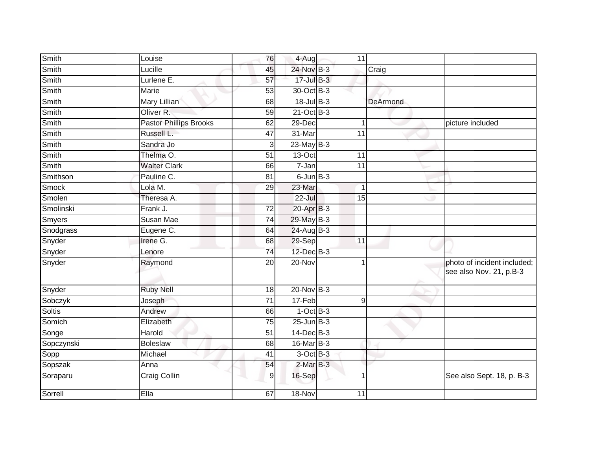| Louise                        | 76              |           | 11                                                                                                                                                                                                                                                                                                                                                               |                     |                                                        |
|-------------------------------|-----------------|-----------|------------------------------------------------------------------------------------------------------------------------------------------------------------------------------------------------------------------------------------------------------------------------------------------------------------------------------------------------------------------|---------------------|--------------------------------------------------------|
| Lucille                       | 45              |           |                                                                                                                                                                                                                                                                                                                                                                  | $\overline{C}$ raig |                                                        |
| Lurlene E.                    | $\overline{57}$ |           |                                                                                                                                                                                                                                                                                                                                                                  |                     |                                                        |
| Marie                         | 53              |           |                                                                                                                                                                                                                                                                                                                                                                  |                     |                                                        |
| <b>Mary Lillian</b>           | 68              |           |                                                                                                                                                                                                                                                                                                                                                                  | DeArmond            |                                                        |
| Oliver R.                     | 59              |           |                                                                                                                                                                                                                                                                                                                                                                  |                     |                                                        |
| <b>Pastor Phillips Brooks</b> | 62              |           | $\mathbf{1}$                                                                                                                                                                                                                                                                                                                                                     |                     | picture included                                       |
| Russell L.                    | 47              | 31-Mar    | 11                                                                                                                                                                                                                                                                                                                                                               |                     |                                                        |
| Sandra Jo                     | 3               |           |                                                                                                                                                                                                                                                                                                                                                                  |                     |                                                        |
| Thelma O.                     | 51              |           | 11                                                                                                                                                                                                                                                                                                                                                               |                     |                                                        |
| <b>Walter Clark</b>           | 66              | $7 - Jan$ | 11                                                                                                                                                                                                                                                                                                                                                               |                     |                                                        |
| Pauline C.                    | 81              |           |                                                                                                                                                                                                                                                                                                                                                                  |                     |                                                        |
| Lola M.                       | 29              | 23-Mar    | $\mathbf 1$                                                                                                                                                                                                                                                                                                                                                      |                     |                                                        |
| Theresa A.                    |                 |           | 15                                                                                                                                                                                                                                                                                                                                                               |                     |                                                        |
| Frank J.                      | 72              |           |                                                                                                                                                                                                                                                                                                                                                                  |                     |                                                        |
| Susan Mae                     | 74              |           |                                                                                                                                                                                                                                                                                                                                                                  |                     |                                                        |
| Eugene C.                     | 64              |           |                                                                                                                                                                                                                                                                                                                                                                  |                     |                                                        |
| Irene G.                      | 68              |           | 11                                                                                                                                                                                                                                                                                                                                                               |                     |                                                        |
| Lenore                        | $\overline{74}$ |           |                                                                                                                                                                                                                                                                                                                                                                  |                     |                                                        |
| Raymond                       | 20              | 20-Nov    |                                                                                                                                                                                                                                                                                                                                                                  |                     | photo of incident included;<br>see also Nov. 21, p.B-3 |
| <b>Ruby Nell</b>              | 18              |           |                                                                                                                                                                                                                                                                                                                                                                  |                     |                                                        |
| Joseph                        | 71              |           | $\boldsymbol{9}$                                                                                                                                                                                                                                                                                                                                                 |                     |                                                        |
| Andrew                        | 66              |           |                                                                                                                                                                                                                                                                                                                                                                  |                     |                                                        |
| Elizabeth                     | 75              |           |                                                                                                                                                                                                                                                                                                                                                                  |                     |                                                        |
| Harold                        | 51              |           |                                                                                                                                                                                                                                                                                                                                                                  |                     |                                                        |
| <b>Boleslaw</b>               | 68              |           |                                                                                                                                                                                                                                                                                                                                                                  |                     |                                                        |
| Michael                       | 41              |           |                                                                                                                                                                                                                                                                                                                                                                  |                     |                                                        |
| Anna                          | 54              |           |                                                                                                                                                                                                                                                                                                                                                                  |                     |                                                        |
| <b>Craig Collin</b>           | $\mathsf 9$     |           |                                                                                                                                                                                                                                                                                                                                                                  |                     | See also Sept. 18, p. B-3                              |
| Ella                          | 67              | 18-Nov    | 11                                                                                                                                                                                                                                                                                                                                                               |                     |                                                        |
|                               |                 |           | 4-Aug<br>24-Nov B-3<br>$17 -$ Jul B-3<br>30-Oct B-3<br>18-Jul B-3<br>$21$ -Oct B-3<br>29-Dec<br>$23$ -May B-3<br>$13-Oct$<br>$6$ -Jun $B$ -3<br>$22 -$ Jul<br>$20$ -Apr $B-3$<br>29-May B-3<br>24-Aug B-3<br>29-Sep<br>12-Dec B-3<br>$20$ -Nov $B-3$<br>17-Feb<br>$1-OctB-3$<br>$25 - Jun$ $B-3$<br>14-Dec B-3<br>16-Mar B-3<br>3-Oct B-3<br>2-Mar B-3<br>16-Sep |                     |                                                        |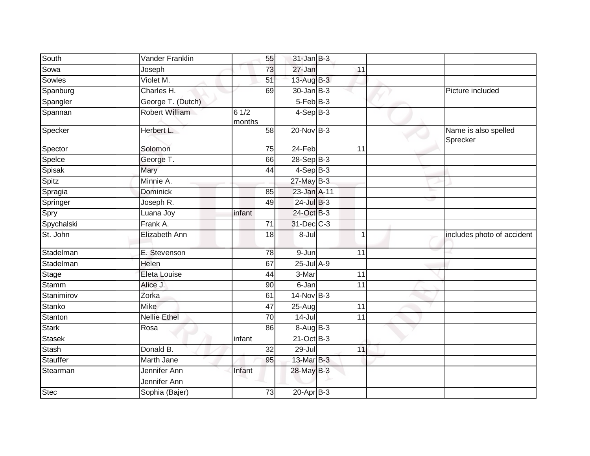| South         | Vander Franklin              |                | 55              | $31$ -Jan B-3    |                 |                                  |
|---------------|------------------------------|----------------|-----------------|------------------|-----------------|----------------------------------|
| Sowa          | Joseph                       |                | 73              | 27-Jan           | 11              |                                  |
| Sowles        | Violet M.                    |                | 51              | 13-Aug B-3       |                 |                                  |
| Spanburg      | Charles H.                   |                | 69              | $30 - Jan$ $B-3$ |                 | Picture included                 |
| Spangler      | George T. (Dutch)            |                |                 | $5-FebB-3$       |                 |                                  |
| Spannan       | Robert William               | 61/2<br>months |                 | $4-SepB-3$       |                 |                                  |
| Specker       | Herbert L.                   |                | 58              | 20-Nov B-3       |                 | Name is also spelled<br>Sprecker |
| Spector       | Solomon                      |                | 75              | $24-Feb$         | $\overline{11}$ |                                  |
| Spelce        | George T.                    |                | 66              | $28-SepB-3$      |                 |                                  |
| Spisak        | Mary                         |                | 44              | $4-SepB-3$       |                 |                                  |
| Spitz         | Minnie A.                    |                |                 | $27$ -May B-3    |                 |                                  |
| Spragia       | <b>Dominick</b>              |                | 85              | 23-Jan A-11      |                 |                                  |
| Springer      | Joseph R.                    |                | 49              | 24-Jul B-3       |                 |                                  |
| Spry          | Luana Joy                    | infant         |                 | 24-Oct B-3       |                 |                                  |
| Spychalski    | Frank A.                     |                | $\overline{71}$ | 31-Dec C-3       |                 |                                  |
| St. John      | Elizabeth Ann                |                | 18              | 8-Jul            | $\mathbf{1}$    | includes photo of accident       |
| Stadelman     | E. Stevenson                 |                | 78              | $9 - Jun$        | 11              |                                  |
| Stadelman     | Helen                        |                | 67              | $25$ -Jul $A-9$  |                 |                                  |
| Stage         | Eleta Louise                 |                | 44              | 3-Mar            | 11              |                                  |
| <b>Stamm</b>  | Alice J.                     |                | 90              | 6-Jan            | $\overline{11}$ |                                  |
| Stanimirov    | Zorka                        |                | 61              | $14$ -Nov $B-3$  |                 |                                  |
| Stanko        | <b>Mike</b>                  |                | 47              | $25-Aug$         | 11              |                                  |
| Stanton       | <b>Nellie Ethel</b>          |                | $\overline{70}$ | $14 -$ Jul       | $\overline{11}$ |                                  |
| <b>Stark</b>  | Rosa                         |                | 86              | 8-Aug B-3        |                 |                                  |
| <b>Stasek</b> |                              | infant         |                 | $21$ -Oct B-3    |                 |                                  |
| Stash         | Donald B.                    |                | 32              | $29 -$ Jul       | 11              |                                  |
| Stauffer      | Marth Jane                   |                | 95              | 13-Mar B-3       |                 |                                  |
| Stearman      | Jennifer Ann<br>Jennifer Ann | Infant         |                 | 28-May B-3       |                 |                                  |
| <b>Stec</b>   | Sophia (Bajer)               |                | 73              | $20 - Apr$ B-3   |                 |                                  |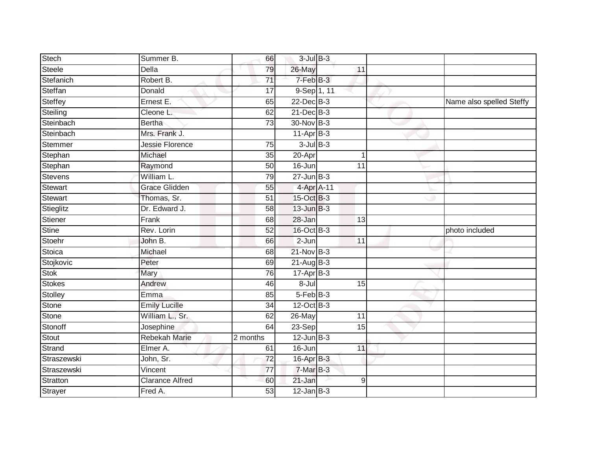| Stech          | Summer B.              | 66              | $3$ -Jul $B-3$  |                 |                          |
|----------------|------------------------|-----------------|-----------------|-----------------|--------------------------|
| Steele         | Della                  | 79              | 26-May          | 11              |                          |
| Stefanich      | Robert B.              | $\overline{71}$ | 7-Feb B-3       |                 |                          |
| Steffan        | Donald                 | 17              | 9-Sep 1, 11     |                 |                          |
| Steffey        | Ernest E.              | 65              | $22$ -Dec $B-3$ |                 | Name also spelled Steffy |
| Steiling       | Cleone L.              | 62              | $21$ -Dec $B-3$ |                 |                          |
| Steinbach      | <b>Bertha</b>          | 73              | 30-Nov B-3      |                 |                          |
| Steinbach      | Mrs. Frank J.          |                 | $11-AprB-3$     |                 |                          |
| Stemmer        | <b>Jessie Florence</b> | 75              | $3$ -Jul $B-3$  |                 |                          |
| Stephan        | Michael                | $\overline{35}$ | 20-Apr          | -1              |                          |
| Stephan        | Raymond                | 50              | 16-Jun          | 11              |                          |
| <b>Stevens</b> | William L.             | 79              | $27 - Jun$ B-3  |                 |                          |
| <b>Stewart</b> | <b>Grace Glidden</b>   | 55              | 4-Apr A-11      |                 |                          |
| Stewart        | Thomas, Sr.            | 51              | 15-Oct B-3      |                 |                          |
| Stieglitz      | Dr. Edward J.          | 58              | $13$ -Jun $B-3$ |                 |                          |
| Stiener        | Frank                  | 68              | 28-Jan          | 13              |                          |
| Stine          | Rev. Lorin             | 52              | 16-Oct B-3      |                 | photo included           |
| Stoehr         | John B.                | 66              | $2-Jun$         | $\overline{11}$ |                          |
| Stoica         | Michael                | 68              | $21$ -Nov $B-3$ |                 |                          |
| Stojkovic      | Peter                  | 69              | $21$ -Aug B-3   |                 |                          |
| Stok           | Mary                   | 76              | $17 - Apr$ B-3  |                 |                          |
| Stokes         | Andrew                 | 46              | 8-Jul           | 15              |                          |
| Stolley        | Emma                   | 85              | $5-FebB-3$      |                 |                          |
| Stone          | <b>Emily Lucille</b>   | 34              | $12$ -Oct B-3   |                 |                          |
| Stone          | William L., Sr.        | 62              | 26-May          | 11              |                          |
| Stonoff        | Josephine              | 64              | 23-Sep          | 15              |                          |
| Stout          | <b>Rebekah Marie</b>   | 2 months        | $12$ -Jun $B-3$ |                 |                          |
| Strand         | Elmer A.               | 61              | 16-Jun          | 11              |                          |
| Straszewski    | John, Sr.              | 72              | 16-Apr B-3      |                 |                          |
| Straszewski    | Vincent                | $\overline{77}$ | 7-Mar B-3       |                 |                          |
| Stratton       | <b>Clarance Alfred</b> | 60              | 21-Jan          | 9               |                          |
| <b>Strayer</b> | Fred A.                | $\overline{53}$ | $12$ -Jan B-3   |                 |                          |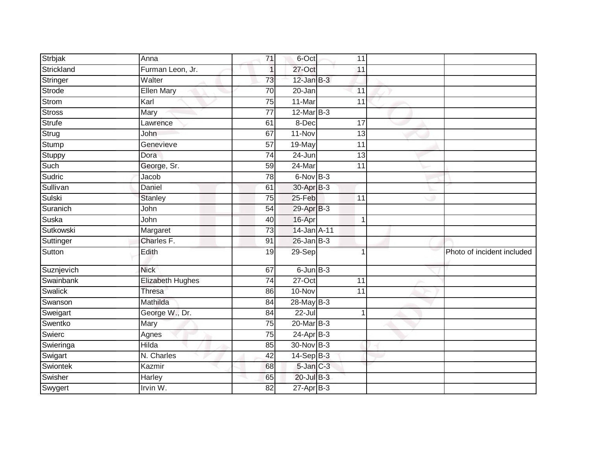| <b>Strbjak</b> | Anna             | 71              | 6-Oct                 | 11              |                            |
|----------------|------------------|-----------------|-----------------------|-----------------|----------------------------|
| Strickland     | Furman Leon, Jr. | 1               | 27-Oct                | 11              |                            |
| Stringer       | Walter           | 73              | $12$ -Jan $B-3$       |                 |                            |
| Strode         | Ellen Mary       | 70              | 20-Jan                | 11              |                            |
| Strom          | Karl             | 75              | 11-Mar                | $\overline{11}$ |                            |
| <b>Stross</b>  | Mary             | 77              | $12$ -Mar $B-3$       |                 |                            |
| <b>Strufe</b>  | Lawrence         | 61              | 8-Dec                 | 17              |                            |
| Strug          | John             | 67              | $11-Nov$              | 13              |                            |
| Stump          | Genevieve        | 57              | 19-May                | 11              |                            |
| Stuppy         | Dora             | $\overline{74}$ | 24-Jun                | $\overline{13}$ |                            |
| Such           | George, Sr.      | 59              | 24-Mar                | 11              |                            |
| Sudric         | Jacob            | 78              | $6-Nov$ B-3           |                 |                            |
| Sullivan       | Daniel           | 61              | 30-Apr <sub>B-3</sub> |                 |                            |
| Sulski         | <b>Stanley</b>   | 75              | 25-Feb                | 11              |                            |
| Suranich       | John             | 54              | 29-Apr B-3            |                 |                            |
| Suska          | John             | 40              | 16-Apr                | 1               |                            |
| Sutkowski      | Margaret         | $\overline{73}$ | 14-Jan A-11           |                 |                            |
| Suttinger      | Charles F.       | 91              | $26$ -Jan $B-3$       |                 |                            |
| Sutton         | Edith            | 19              | 29-Sep                |                 | Photo of incident included |
| Suznjevich     | <b>Nick</b>      | 67              | $6$ -Jun $B-3$        |                 |                            |
| Swainbank      | Elizabeth Hughes | 74              | $27-Oct$              | 11              |                            |
| Swalick        | <b>Thresa</b>    | 86              | 10-Nov                | 11              |                            |
| Swanson        | Mathilda         | 84              | 28-May B-3            |                 |                            |
| Sweigart       | George W., Dr.   | 84              | $22 -$ Jul            | 1               |                            |
| Swentko        | Mary             | $\overline{75}$ | 20-Mar B-3            |                 |                            |
| Swierc         | Agnes            | 75              | $24-AprB-3$           |                 |                            |
| Swieringa      | <b>Hilda</b>     | 85              | 30-Nov B-3            |                 |                            |
| Swigart        | N. Charles       | 42              | 14-Sep B-3            |                 |                            |
| Swiontek       | Kazmir           | 68              | $5$ -Jan $C-3$        |                 |                            |
| Swisher        | <b>Harley</b>    | 65              | 20-Jul B-3            |                 |                            |
| Swygert        | Irvin W.         | 82              | $27 - Apr$ B-3        |                 |                            |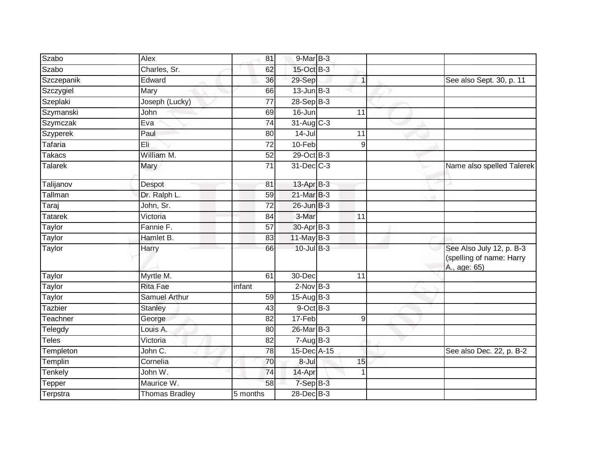| Szabo          | Alex                  | 81              | 9-Mar B-3                |                |                                                                      |
|----------------|-----------------------|-----------------|--------------------------|----------------|----------------------------------------------------------------------|
| Szabo          | Charles, Sr.          | 62              | 15-Oct B-3               |                |                                                                      |
| Szczepanik     | Edward                | 36              | 29-Sep                   | $\mathbf{1}$   | See also Sept. 30, p. 11                                             |
| Szczygiel      | Mary                  | 66              | $13$ -Jun $B-3$          |                |                                                                      |
| Szeplaki       | Joseph (Lucky)        | 77              | $28-Sep$ B-3             |                |                                                                      |
| Szymanski      | John                  | 69              | $16$ -Jun                | 11             |                                                                      |
| Szymczak       | Eva                   | 74              | $31-Aug$ C-3             |                |                                                                      |
| Szyperek       | Paul                  | 80              | 14-Jul                   | 11             |                                                                      |
| Tafaria        | Eli                   | 72              | $10-Feb$                 | 9              |                                                                      |
| Takacs         | William M.            | 52              | 29-Oct B-3               |                |                                                                      |
| Talarek        | Mary                  | 71              | 31-Dec C-3               |                | Name also spelled Talerek                                            |
| Talijanov      | Despot                | 81              | $13$ -Apr $B-3$          |                |                                                                      |
| Tallman        | Dr. Ralph L.          | 59              | 21-Mar B-3               |                |                                                                      |
| Taraj          | John, Sr.             | 72              | 26-Jun B-3               |                |                                                                      |
| <b>Tatarek</b> | Victoria              | 84              | 3-Mar                    | 11             |                                                                      |
| Taylor         | Fannie F.             | 57              | 30-Apr B-3               |                |                                                                      |
| Taylor         | Hamlet B.             | 83              | $11$ -May B-3            |                |                                                                      |
| <b>Taylor</b>  | Harry                 | 66              | 10-Jul B-3               |                | See Also July 12, p. B-3<br>(spelling of name: Harry<br>A., age: 65) |
| Taylor         | Myrtle M.             | 61              | 30-Dec                   | 11             |                                                                      |
| Taylor         | <b>Rita Fae</b>       | infant          | $2$ -Nov $B-3$           |                |                                                                      |
| <b>Taylor</b>  | <b>Samuel Arthur</b>  | $\overline{59}$ | $15-Aug$ B-3             |                |                                                                      |
| Tazbier        | Stanley               | 43              | 9-Oct B-3                |                |                                                                      |
| Teachner       | George                | 82              | 17-Feb                   | $\overline{9}$ |                                                                      |
| Telegdy        | Louis A.              | 80              | 26-Mar B-3               |                |                                                                      |
| Teles          | Victoria              | 82              | $7 - \overline{Aug}$ B-3 |                |                                                                      |
| Templeton      | John C.               | 78              | 15-Dec A-15              |                | See also Dec. 22, p. B-2                                             |
| Templin        | Cornelia              | 70              | 8-Jul                    | 15             |                                                                      |
| Tenkely        | John W.               | 74              | 14-Apr                   | $\mathbf 1$    |                                                                      |
| <b>Tepper</b>  | Maurice W.            | 58              | $7-SepB-3$               |                |                                                                      |
| Terpstra       | <b>Thomas Bradley</b> | 5 months        | 28-Dec B-3               |                |                                                                      |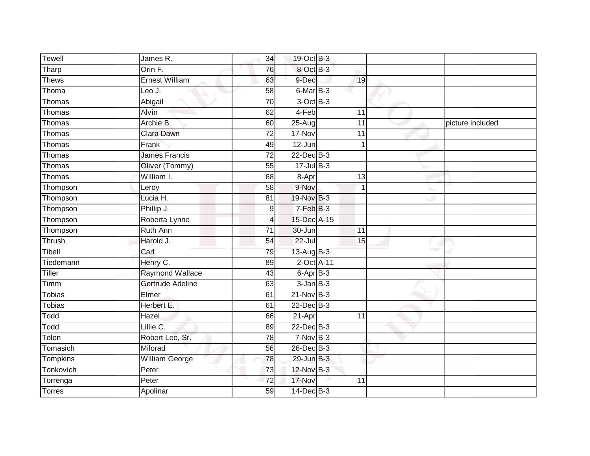| <b>Tewell</b> | James R.              | 34              | 19-Oct B-3      |    |                  |
|---------------|-----------------------|-----------------|-----------------|----|------------------|
| Tharp         | Orin F.               | 76              | 8-Oct B-3       |    |                  |
| <b>Thews</b>  | <b>Ernest William</b> | 63              | 9-Dec           | 19 |                  |
| Thoma         | Leo J.                | 58              | 6-Mar B-3       |    |                  |
| Thomas        | Abigail               | $\overline{70}$ | $3$ -Oct $B-3$  |    |                  |
| Thomas        | <b>Alvin</b>          | 62              | 4-Feb           | 11 |                  |
| Thomas        | Archie B.             | 60              | $25-Aug$        | 11 | picture included |
| Thomas        | Clara Dawn            | 72              | 17-Nov          | 11 |                  |
| Thomas        | Frank                 | 49              | 12-Jun          | 1  |                  |
| Thomas        | <b>James Francis</b>  | $\overline{72}$ | 22-Dec B-3      |    |                  |
| Thomas        | Oliver (Tommy)        | 55              | $17 -$ Jul B-3  |    |                  |
| Thomas        | William I.            | 68              | $8-Apr$         | 13 |                  |
| Thompson      | Leroy                 | 58              | 9-Nov           |    |                  |
| Thompson      | Lucia H.              | 81              | 19-Nov B-3      |    |                  |
| Thompson      | Phillip J.            | 9               | $7-FebB-3$      |    |                  |
| Thompson      | Roberta Lynne         | 4               | 15-Dec A-15     |    |                  |
| Thompson      | <b>Ruth Ann</b>       | 71              | 30-Jun          | 11 |                  |
| Thrush        | Harold J.             | 54              | $22 -$ Jul      | 15 |                  |
| Tibell        | Carl                  | 79              | 13-Aug B-3      |    |                  |
| Tiedemann     | Henry C.              | 89              | 2-Oct A-11      |    |                  |
| Tiller        | Raymond Wallace       | 43              | $6 - AprB - 3$  |    |                  |
| Timm          | Gertrude Adeline      | 63              | $3$ -Jan $B-3$  |    |                  |
| Tobias        | Elmer                 | 61              | $21-Nov$ B-3    |    |                  |
| <b>Tobias</b> | Herbert E.            | 61              | $22$ -Dec $B-3$ |    |                  |
| Todd          | Hazel                 | 66              | 21-Apr          | 11 |                  |
| Todd          | Lillie C.             | 89              | 22-Dec B-3      |    |                  |
| Tolen         | Robert Lee, Sr.       | 78              | $7-Nov$ B-3     |    |                  |
| Tomasich      | Milorad               | 56              | 26-Dec B-3      |    |                  |
| Tompkins      | William George        | 78              | 29-Jun B-3      |    |                  |
| Tonkovich     | Peter                 | 73              | 12-Nov B-3      |    |                  |
| Torrenga      | Peter                 | 72              | 17-Nov          | 11 |                  |
| <b>Torres</b> | Apolinar              | 59              | $14$ -Dec $B-3$ |    |                  |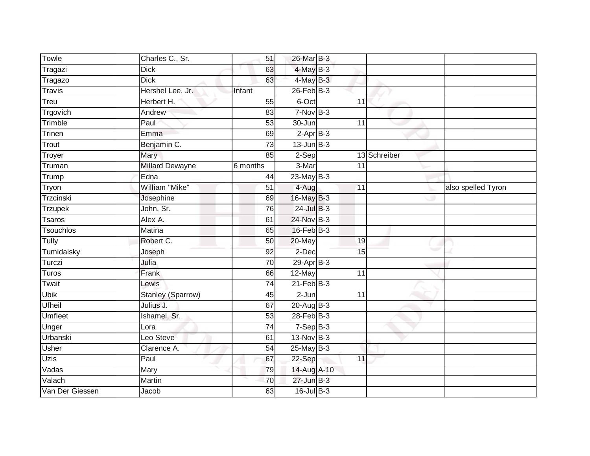| Towle            | Charles C., Sr.          | 51              | 26-Mar B-3      |                 |              |                    |
|------------------|--------------------------|-----------------|-----------------|-----------------|--------------|--------------------|
| Tragazi          | <b>Dick</b>              | 63              | $4$ -May $B-3$  |                 |              |                    |
| Tragazo          | <b>Dick</b>              | 63              | $4$ -May $B-3$  |                 |              |                    |
| <b>Travis</b>    | Hershel Lee, Jr.         | Infant          | $26$ -Feb $B-3$ |                 |              |                    |
| Treu             | Herbert H.               | 55              | 6-Oct           | $\overline{11}$ |              |                    |
| Trgovich         | Andrew                   | 83              | $7-Nov$ B-3     |                 |              |                    |
| Trimble          | Paul                     | $\overline{53}$ | 30-Jun          | 11              |              |                    |
| Trinen           | Emma                     | 69              | $2$ -Apr $B-3$  |                 |              |                    |
| Trout            | Benjamin C.              | $\overline{73}$ | $13$ -Jun $B-3$ |                 |              |                    |
| Troyer           | Mary                     | 85              | $2-Sep$         |                 | 13 Schreiber |                    |
| Truman           | <b>Millard Dewayne</b>   | 6 months        | 3-Mar           | 11              |              |                    |
| Trump            | Edna                     | 44              | $23$ -May $B-3$ |                 |              |                    |
| Tryon            | William "Mike"           | 51              | $4-Aug$         | 11              |              | also spelled Tyron |
| Trzcinski        | Josephine                | 69              | 16-May B-3      |                 |              |                    |
| <b>Trzupek</b>   | John, Sr.                | 76              | $24$ -Jul $B-3$ |                 |              |                    |
| Tsaros           | Alex A.                  | 61              | 24-Nov B-3      |                 |              |                    |
| <b>Tsouchlos</b> | <b>Matina</b>            | 65              | $16$ -Feb $B-3$ |                 |              |                    |
| Tully            | Robert C.                | 50              | 20-May          | 19              |              |                    |
| Tumidalsky       | Joseph                   | 92              | 2-Dec           | 15              |              |                    |
| Turczi           | Julia                    | $\overline{70}$ | $29$ -Apr $B-3$ |                 |              |                    |
| Turos            | Frank                    | 66              | 12-May          | $\overline{11}$ |              |                    |
| Twait            | Lewis                    | 74              | $21$ -Feb $B-3$ |                 |              |                    |
| <b>Ubik</b>      | <b>Stanley (Sparrow)</b> | 45              | $2-Jun$         | 11              |              |                    |
| Ufheil           | Julius J.                | 67              | 20-Aug B-3      |                 |              |                    |
| Umfleet          | Ishamel, Sr.             | 53              | $28$ -Feb $B-3$ |                 |              |                    |
| Unger            | Lora                     | 74              | $7-Sep$ B-3     |                 |              |                    |
| Urbanski         | Leo Steve                | 61              | 13-Nov B-3      |                 |              |                    |
| Usher            | Clarence A.              | 54              | $25$ -May B-3   |                 |              |                    |
| Uzis             | Paul                     | 67              | 22-Sep          | 11              |              |                    |
| Vadas            | Mary                     | 79              | 14-Aug A-10     |                 |              |                    |
| Valach           | Martin                   | 70              | $27$ -Jun $B-3$ |                 |              |                    |
| Van Der Giessen  | Jacob                    | 63              | 16-Jul B-3      |                 |              |                    |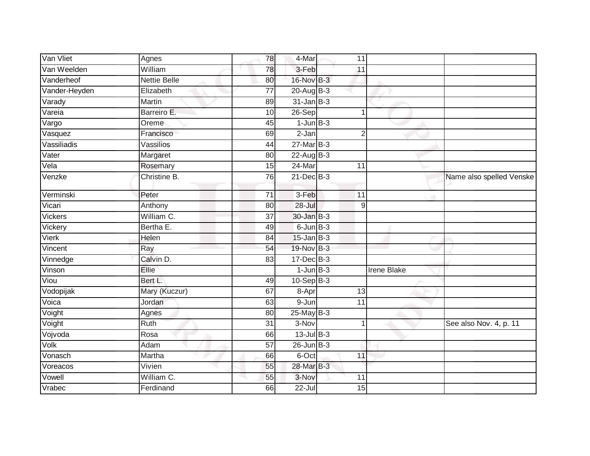| Van Vliet      | Agnes               | 78              | 4-Mar           | 11                   |                          |
|----------------|---------------------|-----------------|-----------------|----------------------|--------------------------|
| Van Weelden    | William             | 78              | 3-Feb           | 11                   |                          |
| Vanderheof     | <b>Nettie Belle</b> | 80              | 16-Nov B-3      |                      |                          |
| Vander-Heyden  | Elizabeth           | 77              | 20-Aug B-3      |                      |                          |
| Varady         | Martin              | 89              | $31$ -Jan $B-3$ |                      |                          |
| Vareia         | Barreiro E.         | 10              | 26-Sep          | 1                    |                          |
| Vargo          | Oreme               | 45              | $1$ -Jun $B-3$  |                      |                          |
| Vasquez        | Francisco           | 69              | $2-Jan$         | $\overline{2}$       |                          |
| Vassiliadis    | Vassilios           | 44              | $27$ -Mar $B-3$ |                      |                          |
| Vater          | Margaret            | 80              | $22$ -Aug B-3   |                      |                          |
| Vela           | Rosemary            | 15              | $24$ -Mar       | 11                   |                          |
| Venzke         | Christine B.        | $\overline{76}$ | $21$ -Dec $B-3$ |                      | Name also spelled Venske |
| Verminski      | Peter               | 71              | 3-Feb           | 11                   |                          |
| Vicari         | Anthony             | 80              | 28-Jul          | 9                    |                          |
| <b>Vickers</b> | William C.          | $\overline{37}$ | 30-Jan B-3      |                      |                          |
| Vickery        | Bertha E.           | 49              | $6$ -Jun $B-3$  |                      |                          |
| <b>Vierk</b>   | Helen               | 84              | $15$ -Jan B-3   |                      |                          |
| Vincent        | Ray                 | 54              | 19-Nov B-3      |                      |                          |
| Vinnedge       | Calvin D.           | 83              | 17-Dec B-3      |                      |                          |
| Vinson         | Ellie               |                 | $1$ -Jun $B-3$  | <b>Irene Blake</b>   |                          |
| Viou           | Bert L.             | 49              | $10-SepB-3$     |                      |                          |
| Vodopijak      | Mary (Kuczur)       | 67              | 8-Apr           | 13                   |                          |
| Voica          | Jordan              | 63              | 9-Jun           | 11                   |                          |
| Voight         | Agnes               | 80              | $25$ -May $B-3$ |                      |                          |
| Voight         | <b>Ruth</b>         | $\overline{31}$ | $3-Nov$         | $\blacktriangleleft$ | See also Nov. 4, p. 11   |
| Vojvoda        | Rosa                | 66              | $13$ -Jul $B-3$ |                      |                          |
| Volk           | Adam                | 57              | $26$ -Jun $B-3$ |                      |                          |
| Vonasch        | Martha              | 66              | 6-Oct           | 11                   |                          |
| Voreacos       | Vivien              | 55              | 28-Mar B-3      |                      |                          |
| Vowell         | William C.          | 55              | 3-Nov           | 11                   |                          |
| Vrabec         | Ferdinand           | 66              | 22-Jul          | 15                   |                          |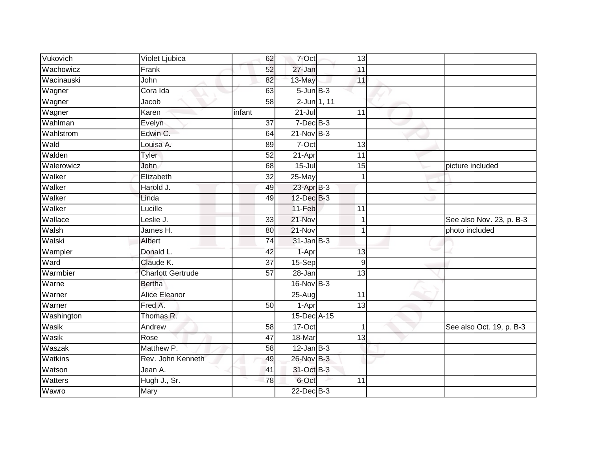| Vukovich   | Violet Ljubica           | 62              | 7-Oct            | 13              |                          |
|------------|--------------------------|-----------------|------------------|-----------------|--------------------------|
| Wachowicz  | Frank                    | 52              | 27-Jan           | 11              |                          |
| Wacinauski | John                     | 82              | 13-May           | 11              |                          |
| Wagner     | Cora Ida                 | 63              | $5 - Jun$ $B-3$  |                 |                          |
| Wagner     | Jacob                    | $\overline{58}$ | 2-Jun 1, 11      |                 |                          |
| Wagner     | Karen                    | infant          | $21 -$ Jul       | 11              |                          |
| Wahlman    | Evelyn                   | 37              | $7$ -Dec $B$ -3  |                 |                          |
| Wahlstrom  | Edwin C.                 | 64              | $21$ -Nov $B-3$  |                 |                          |
| Wald       | Louisa A.                | 89              | $7-Oct$          | 13              |                          |
| Walden     | <b>Tyler</b>             | 52              | 21-Apr           | 11              |                          |
| Walerowicz | John                     | 68              | $15 -$ Jul       | 15              | picture included         |
| Walker     | Elizabeth                | 32              | 25-May           | 1               |                          |
| Walker     | Harold J.                | 49              | 23-Apr B-3       |                 |                          |
| Walker     | Linda                    | 49              | 12-Dec B-3       |                 |                          |
| Walker     | Lucille                  |                 | 11-Feb           | 11              |                          |
| Wallace    | Leslie J.                | 33              | 21-Nov           | 1               | See also Nov. 23, p. B-3 |
| Walsh      | James H.                 | $\overline{80}$ | $21-Nov$         | $\mathbf{1}$    | photo included           |
| Walski     | Albert                   | 74              | $31 - Jan$ $B-3$ |                 |                          |
| Wampler    | Donald L.                | 42              | 1-Apr            | 13              |                          |
| Ward       | Claude K.                | $\overline{37}$ | 15-Sep           | $9\,$           |                          |
| Warmbier   | <b>Charlott Gertrude</b> | 57              | 28-Jan           | 13              |                          |
| Warne      | <b>Bertha</b>            |                 | 16-Nov B-3       |                 |                          |
| Warner     | <b>Alice Eleanor</b>     |                 | 25-Aug           | 11              |                          |
| Warner     | Fred A.                  | 50              | 1-Apr            | 13              |                          |
| Washington | Thomas R.                |                 | 15-Dec A-15      |                 |                          |
| Wasik      | Andrew                   | 58              | $17-Cct$         | 1               | See also Oct. 19, p. B-3 |
| Wasik      | Rose                     | 47              | 18-Mar           | $\overline{13}$ |                          |
| Waszak     | Matthew P.               | 58              | $12$ -Jan B-3    |                 |                          |
| Watkins    | Rev. John Kenneth        | 49              | 26-Nov B-3       |                 |                          |
| Watson     | Jean A.                  | 41              | 31-Oct B-3       |                 |                          |
| Watters    | Hugh J., Sr.             | 78              | 6-Oct            | 11              |                          |
| Wawro      | Mary                     |                 | $22$ -Dec $B-3$  |                 |                          |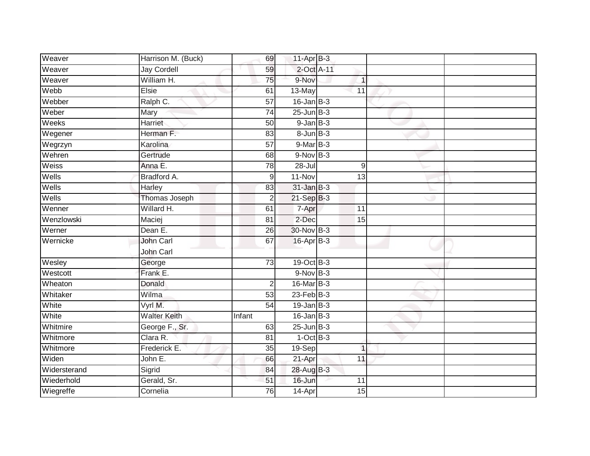| Weaver       | Harrison M. (Buck)  | 69              | $11-Apr$ B-3      |                 |  |
|--------------|---------------------|-----------------|-------------------|-----------------|--|
| Weaver       | <b>Jay Cordell</b>  | 59              | 2-Oct A-11        |                 |  |
| Weaver       | William H.          | 75              | 9-Nov             | $\mathbf{1}$    |  |
| Webb         | Elsie               | 61              | 13-May            | 11              |  |
| Webber       | Ralph C.            | 57              | $16$ -Jan B-3     |                 |  |
| Weber        | Mary                | $\overline{74}$ | $25$ -Jun $B-3$   |                 |  |
| Weeks        | Harriet             | 50              | $9$ -Jan $B$ -3   |                 |  |
| Wegener      | Herman F.           | 83              | $8 - Jun$ $B - 3$ |                 |  |
| Wegrzyn      | Karolina            | $\overline{57}$ | $9-MarB-3$        |                 |  |
| Wehren       | Gertrude            | 68              | $9-Nov$ B-3       |                 |  |
| Weiss        | Anna E.             | 78              | 28-Jul            | 9               |  |
| Wells        | Bradford A.         | 9               | 11-Nov            | 13              |  |
| Wells        | Harley              | 83              | $31$ -Jan B-3     |                 |  |
| Wells        | Thomas Joseph       | $\overline{2}$  | 21-Sep B-3        |                 |  |
| Wenner       | Willard H.          | 61              | 7-Apr             | $\overline{11}$ |  |
| Wenzlowski   | Maciej              | 81              | 2-Dec             | 15              |  |
| Werner       | Dean E.             | $\overline{26}$ | 30-Nov B-3        |                 |  |
| Wernicke     | <b>John Carl</b>    | 67              | 16-Apr B-3        |                 |  |
|              | John Carl           |                 |                   |                 |  |
| Wesley       | George              | 73              | 19-Oct B-3        |                 |  |
| Westcott     | Frank E.            |                 | $9-Nov$ B-3       |                 |  |
| Wheaton      | Donald              | 2               | 16-Mar B-3        |                 |  |
| Whitaker     | Wilma               | 53              | $23$ -Feb $B-3$   |                 |  |
| White        | Vyrl M.             | 54              | $19$ -Jan B-3     |                 |  |
| White        | <b>Walter Keith</b> | Infant          | $16$ -Jan $B-3$   |                 |  |
| Whitmire     | George F., Sr.      | 63              | $25$ -Jun $B-3$   |                 |  |
| Whitmore     | Clara R.            | $\overline{81}$ | $1-OctB-3$        |                 |  |
| Whitmore     | Frederick E.        | 35              | 19-Sep            | $\overline{1}$  |  |
| Widen        | John E.             | 66              | 21-Apr            | 11              |  |
| Widersterand | Sigrid              | 84              | 28-Aug B-3        |                 |  |
| Wiederhold   | Gerald, Sr.         | 51              | 16-Jun            | 11              |  |
| Wiegreffe    | Cornelia            | 76              | 14-Apr            | 15              |  |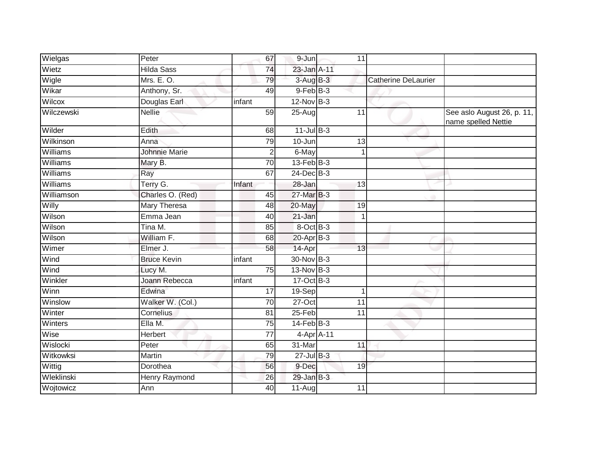| Wielgas         | Peter                | 67              | $9 - Jun$       | 11         |                            |                                                   |
|-----------------|----------------------|-----------------|-----------------|------------|----------------------------|---------------------------------------------------|
| Wietz           | <b>Hilda Sass</b>    | 74              | 23-Jan A-11     |            |                            |                                                   |
| Wigle           | Mrs. E. O.           | 79              | $3-AugB-3$      |            | <b>Catherine DeLaurier</b> |                                                   |
| Wikar           | Anthony, Sr.         | 49              | $9$ -Feb $B$ -3 |            |                            |                                                   |
| Wilcox          | Douglas Earl         | infant          | $12$ -Nov $B-3$ |            |                            |                                                   |
| Wilczewski      | <b>Nellie</b>        | 59              | 25-Aug          | 11         |                            | See aslo August 26, p. 11,<br>name spelled Nettie |
| Wilder          | Edith                | 68              | $11$ -Jul $B-3$ |            |                            |                                                   |
| Wilkinson       | Anna                 | 79              | 10-Jun          | 13         |                            |                                                   |
| Williams        | <b>Johnnie Marie</b> | $\overline{2}$  | 6-May           |            | 1                          |                                                   |
| Williams        | Mary B.              | 70              | $13$ -Feb $B-3$ |            |                            |                                                   |
| Williams        | Ray                  | 67              | 24-Dec B-3      |            |                            |                                                   |
| <b>Williams</b> | Terry G.             | Infant          | 28-Jan          | 13         |                            |                                                   |
| Williamson      | Charles O. (Red)     | 45              | 27-Mar B-3      |            |                            |                                                   |
| Willy           | <b>Mary Theresa</b>  | 48              | 20-May          | 19         |                            |                                                   |
| Wilson          | Emma Jean            | 40              | 21-Jan          |            | 1                          |                                                   |
| Wilson          | Tina M.              | 85              | 8-Oct B-3       |            |                            |                                                   |
| Wilson          | William F.           | 68              | $20$ -Apr $B-3$ |            |                            |                                                   |
| Wimer           | Elmer J.             | 58              | 14-Apr          | 13         |                            |                                                   |
| Wind            | <b>Bruce Kevin</b>   | infant          | 30-Nov B-3      |            |                            |                                                   |
| Wind            | Lucy M.              | $\overline{75}$ | 13-Nov B-3      |            |                            |                                                   |
| Winkler         | Joann Rebecca        | infant          | 17-Oct B-3      |            |                            |                                                   |
| Winn            | Edwina               | 17              | 19-Sep          |            | 1                          |                                                   |
| Winslow         | Walker W. (Col.)     | $\overline{70}$ | $27-Oct$        | 11         |                            |                                                   |
| Winter          | Cornelius            | 81              | $25-Feb$        | 11         |                            |                                                   |
| Winters         | Ella M.              | 75              | $14$ -Feb $B-3$ |            |                            |                                                   |
| Wise            | Herbert              | 77              |                 | 4-Apr A-11 |                            |                                                   |
| Wislocki        | Peter                | 65              | 31-Mar          | 11         |                            |                                                   |
| Witkowksi       | Martin               | 79              | $27$ -Jul B-3   |            |                            |                                                   |
| Wittig          | Dorothea             | 56              | 9-Dec           | 19         |                            |                                                   |
| Wleklinski      | Henry Raymond        | 26              | 29-Jan B-3      |            |                            |                                                   |
| Wojtowicz       | Ann                  | 40              | 11-Augl         | 11         |                            |                                                   |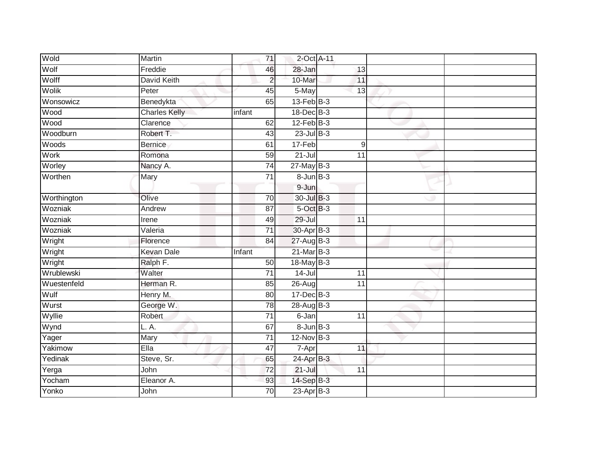| Wold        | Martin               | $\overline{71}$ | 2-Oct A-11            |                 |  |
|-------------|----------------------|-----------------|-----------------------|-----------------|--|
| Wolf        | Freddie              | 46              | 28-Jan                | 13              |  |
| Wolff       | <b>David Keith</b>   | $\overline{c}$  | 10-Mar                | 11              |  |
| Wolik       | Peter                | 45              | $5$ -May              | 13              |  |
| Wonsowicz   | Benedykta            | 65              | $13$ -Feb $B-3$       |                 |  |
| Wood        | <b>Charles Kelly</b> | infant          | 18-Dec B-3            |                 |  |
| <b>Wood</b> | Clarence             | 62              | $12$ -Feb $B-3$       |                 |  |
| Woodburn    | Robert T.            | 43              | $23$ -Jul $B-3$       |                 |  |
| Woods       | <b>Bernice</b>       | 61              | 17-Feb                | 9               |  |
| <b>Work</b> | Romona               | 59              | $21 -$ Jul            | $\overline{11}$ |  |
| Worley      | Nancy A.             | $\overline{74}$ | $27$ -May $B-3$       |                 |  |
| Worthen     | Mary                 | $\overline{71}$ | $8 - Jun$ $B-3$       |                 |  |
|             |                      |                 | 9-Jun                 |                 |  |
| Worthington | Olive                | 70              | 30-Jul B-3            |                 |  |
| Wozniak     | Andrew               | 87              | $5$ -Oct $B-3$        |                 |  |
| Wozniak     | Irene                | 49              | 29-Jul                | 11              |  |
| Wozniak     | Valeria              | $\overline{71}$ | 30-Apr <sub>B-3</sub> |                 |  |
| Wright      | Florence             | 84              | 27-Aug B-3            |                 |  |
| Wright      | <b>Kevan Dale</b>    | Infant          | $21$ -Mar $B-3$       |                 |  |
| Wright      | Ralph F.             | 50              | $18$ -May $B-3$       |                 |  |
| Wrublewski  | Walter               | 71              | $14 -$ Jul            | 11              |  |
| Wuestenfeld | Herman R.            | 85              | $26 - Aug$            | $\overline{11}$ |  |
| Wulf        | Henry M.             | 80              | $17 - Dec$ B-3        |                 |  |
| Wurst       | George W.            | $\overline{78}$ | 28-Aug B-3            |                 |  |
| Wyllie      | Robert               | $\overline{71}$ | 6-Jan                 | 11              |  |
| Wynd        | L. A.                | 67              | $8 - Jun$ $B - 3$     |                 |  |
| Yager       | Mary                 | $\overline{71}$ | $12-Nov$ B-3          |                 |  |
| Yakimow     | Ella                 | 47              | 7-Apr                 | 11              |  |
| Yedinak     | Steve, Sr.           | 65              | $24$ -Apr $B-3$       |                 |  |
| Yerga       | John                 | $\overline{72}$ | $21 -$ Jul            | 11              |  |
| Yocham      | Eleanor A.           | 93              | 14-Sep B-3            |                 |  |
| Yonko       | John                 | $\overline{70}$ | $23$ -Apr $B-3$       |                 |  |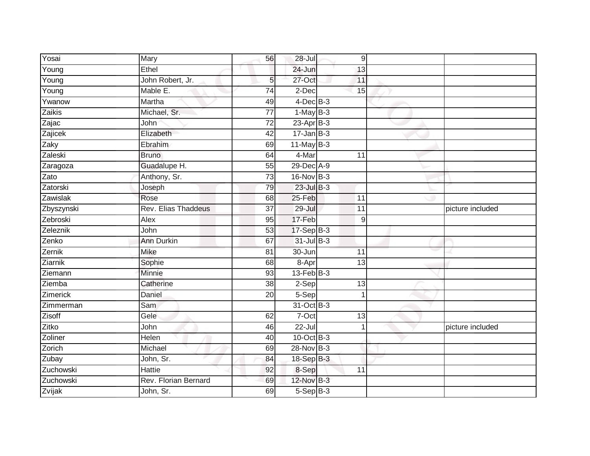| Yosai      | Mary                 | 56              | 28-Jul          | $\overline{9}$  |                  |
|------------|----------------------|-----------------|-----------------|-----------------|------------------|
| Young      | Ethel                |                 | 24-Jun          | 13              |                  |
| Young      | John Robert, Jr.     | 5 <sub>5</sub>  | $27$ -Oct       | 11              |                  |
| Young      | Mable E.             | $\overline{74}$ | $2$ -Dec        | 15              |                  |
| Ywanow     | Martha               | 49              | $4$ -Dec $B-3$  |                 |                  |
| Zaikis     | Michael, Sr.         | $\overline{77}$ | $1-May$ B-3     |                 |                  |
| Zajac      | John                 | $\overline{72}$ | $23$ -Apr $B-3$ |                 |                  |
| Zajicek    | Elizabeth            | 42              | $17 - Jan$ B-3  |                 |                  |
| Zaky       | Ebrahim              | 69              | $11$ -May B-3   |                 |                  |
| Zaleski    | <b>Bruno</b>         | 64              | $4$ -Mar        | 11              |                  |
| Zaragoza   | Guadalupe H.         | $\overline{55}$ | 29-Dec A-9      |                 |                  |
| Zato       | Anthony, Sr.         | $\overline{73}$ | 16-Nov B-3      |                 |                  |
| Zatorski   | Joseph               | 79              | $23$ -Jul $B-3$ |                 |                  |
| Zawislak   | Rose                 | 68              | 25-Feb          | 11              |                  |
| Zbyszynski | Rev. Elias Thaddeus  | $\overline{37}$ | $29 -$ Jul      | $\overline{11}$ | picture included |
| Zebroski   | Alex                 | 95              | 17-Feb          | 9               |                  |
| Zeleznik   | John                 | 53              | 17-Sep B-3      |                 |                  |
| Zenko      | Ann Durkin           | 67              | 31-Jul B-3      |                 |                  |
| Zernik     | Mike                 | 81              | 30-Jun          | 11              |                  |
| Ziarnik    | Sophie               | 68              | 8-Apr           | $\overline{13}$ |                  |
| Ziemann    | Minnie               | 93              | $13$ -Feb $B-3$ |                 |                  |
| Ziemba     | Catherine            | 38              | $2-Sep$         | $\overline{13}$ |                  |
| Zimerick   | Daniel               | 20              | $5-Sep$         |                 |                  |
| Zimmerman  | Sam                  |                 | 31-Oct B-3      |                 |                  |
| Zisoff     | Gele                 | 62              | 7-Oct           | 13              |                  |
| Zitko      | John                 | 46              | 22-Jul          |                 | picture included |
| Zoliner    | Helen                | 40              | $10$ -Oct B-3   |                 |                  |
| Zorich     | Michael              | 69              | 28-Nov B-3      |                 |                  |
| Zubay      | John, Sr.            | 84              | 18-Sep B-3      |                 |                  |
| Zuchowski  | Hattie               | 92              | 8-Sep           | 11              |                  |
| Zuchowski  | Rev. Florian Bernard | 69              | 12-Nov B-3      |                 |                  |
| Zvijak     | John, Sr.            | 69              | $5-Sep$ $B-3$   |                 |                  |